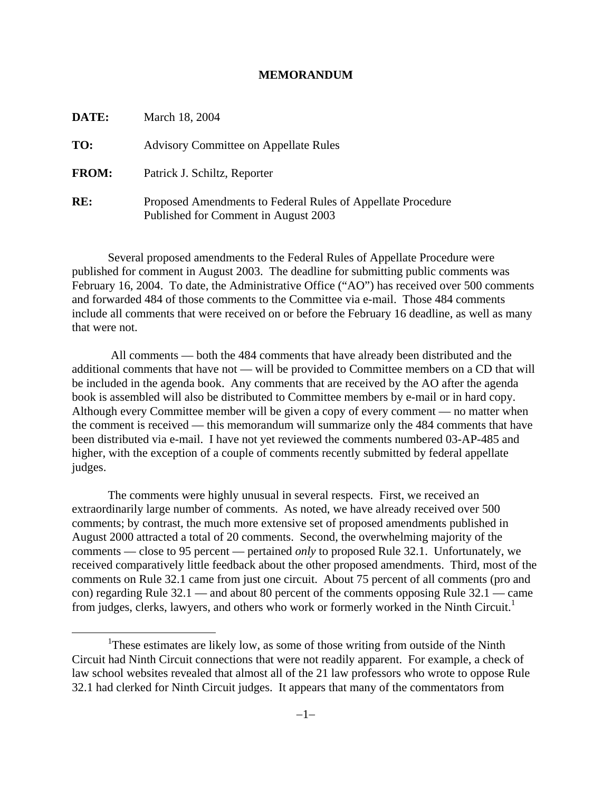#### **MEMORANDUM**

| DATE:        | March 18, 2004                                                                                      |
|--------------|-----------------------------------------------------------------------------------------------------|
| TO:          | <b>Advisory Committee on Appellate Rules</b>                                                        |
| <b>FROM:</b> | Patrick J. Schiltz, Reporter                                                                        |
| RE:          | Proposed Amendments to Federal Rules of Appellate Procedure<br>Published for Comment in August 2003 |

Several proposed amendments to the Federal Rules of Appellate Procedure were published for comment in August 2003. The deadline for submitting public comments was February 16, 2004. To date, the Administrative Office ("AO") has received over 500 comments and forwarded 484 of those comments to the Committee via e-mail. Those 484 comments include all comments that were received on or before the February 16 deadline, as well as many that were not.

 All comments — both the 484 comments that have already been distributed and the additional comments that have not — will be provided to Committee members on a CD that will be included in the agenda book. Any comments that are received by the AO after the agenda book is assembled will also be distributed to Committee members by e-mail or in hard copy. Although every Committee member will be given a copy of every comment — no matter when the comment is received — this memorandum will summarize only the 484 comments that have been distributed via e-mail. I have not yet reviewed the comments numbered 03-AP-485 and higher, with the exception of a couple of comments recently submitted by federal appellate judges.

The comments were highly unusual in several respects. First, we received an extraordinarily large number of comments. As noted, we have already received over 500 comments; by contrast, the much more extensive set of proposed amendments published in August 2000 attracted a total of 20 comments. Second, the overwhelming majority of the comments — close to 95 percent — pertained *only* to proposed Rule 32.1. Unfortunately, we received comparatively little feedback about the other proposed amendments. Third, most of the comments on Rule 32.1 came from just one circuit. About 75 percent of all comments (pro and con) regarding Rule 32.1 — and about 80 percent of the comments opposing Rule 32.1 — came from judges, clerks, lawyers, and others who work or formerly worked in the Ninth Circuit.<sup>1</sup>

 $\frac{1}{1}$ <sup>1</sup>These estimates are likely low, as some of those writing from outside of the Ninth Circuit had Ninth Circuit connections that were not readily apparent. For example, a check of law school websites revealed that almost all of the 21 law professors who wrote to oppose Rule 32.1 had clerked for Ninth Circuit judges. It appears that many of the commentators from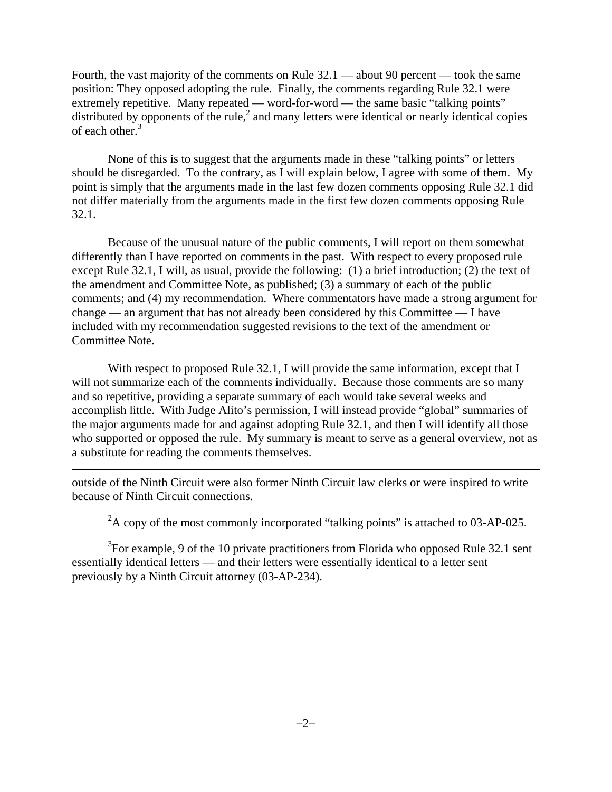Fourth, the vast majority of the comments on Rule 32.1 — about 90 percent — took the same position: They opposed adopting the rule. Finally, the comments regarding Rule 32.1 were extremely repetitive. Many repeated — word-for-word — the same basic "talking points" distributed by opponents of the rule, $<sup>2</sup>$  and many letters were identical or nearly identical copies</sup> of each other.<sup>3</sup>

None of this is to suggest that the arguments made in these "talking points" or letters should be disregarded. To the contrary, as I will explain below, I agree with some of them. My point is simply that the arguments made in the last few dozen comments opposing Rule 32.1 did not differ materially from the arguments made in the first few dozen comments opposing Rule 32.1.

Because of the unusual nature of the public comments, I will report on them somewhat differently than I have reported on comments in the past. With respect to every proposed rule except Rule 32.1, I will, as usual, provide the following: (1) a brief introduction; (2) the text of the amendment and Committee Note, as published; (3) a summary of each of the public comments; and (4) my recommendation. Where commentators have made a strong argument for change — an argument that has not already been considered by this Committee — I have included with my recommendation suggested revisions to the text of the amendment or Committee Note.

With respect to proposed Rule 32.1, I will provide the same information, except that I will not summarize each of the comments individually. Because those comments are so many and so repetitive, providing a separate summary of each would take several weeks and accomplish little. With Judge Alito's permission, I will instead provide "global" summaries of the major arguments made for and against adopting Rule 32.1, and then I will identify all those who supported or opposed the rule. My summary is meant to serve as a general overview, not as a substitute for reading the comments themselves.

outside of the Ninth Circuit were also former Ninth Circuit law clerks or were inspired to write because of Ninth Circuit connections.

 $\overline{a}$ 

 $2A$  copy of the most commonly incorporated "talking points" is attached to 03-AP-025.

 $3$ For example, 9 of the 10 private practitioners from Florida who opposed Rule 32.1 sent essentially identical letters — and their letters were essentially identical to a letter sent previously by a Ninth Circuit attorney (03-AP-234).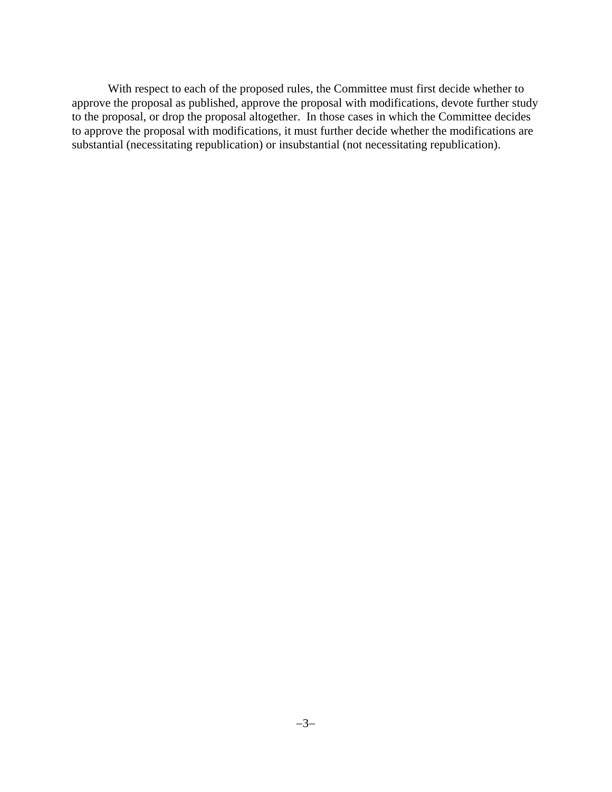With respect to each of the proposed rules, the Committee must first decide whether to approve the proposal as published, approve the proposal with modifications, devote further study to the proposal, or drop the proposal altogether. In those cases in which the Committee decides to approve the proposal with modifications, it must further decide whether the modifications are substantial (necessitating republication) or insubstantial (not necessitating republication).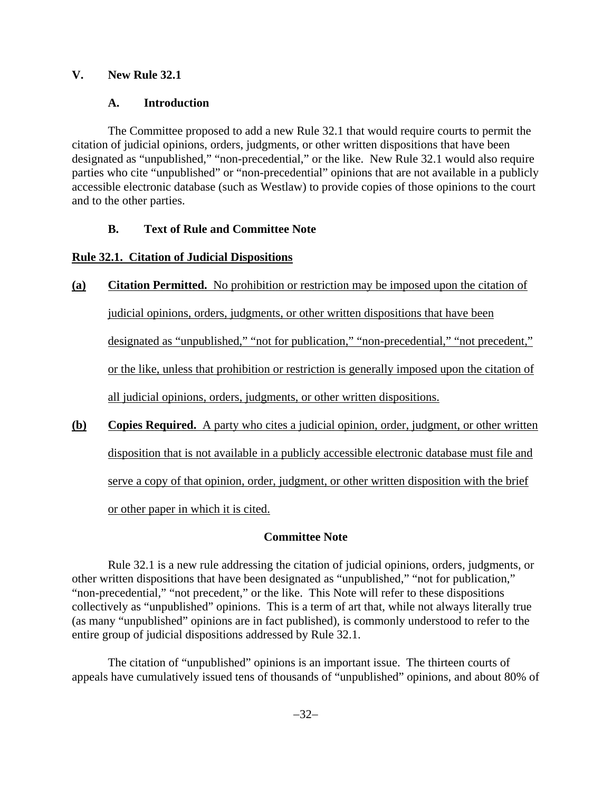## **V. New Rule 32.1**

## **A. Introduction**

The Committee proposed to add a new Rule 32.1 that would require courts to permit the citation of judicial opinions, orders, judgments, or other written dispositions that have been designated as "unpublished," "non-precedential," or the like. New Rule 32.1 would also require parties who cite "unpublished" or "non-precedential" opinions that are not available in a publicly accessible electronic database (such as Westlaw) to provide copies of those opinions to the court and to the other parties.

# **B. Text of Rule and Committee Note**

# **Rule 32.1. Citation of Judicial Dispositions**

# **(a) Citation Permitted.** No prohibition or restriction may be imposed upon the citation of

judicial opinions, orders, judgments, or other written dispositions that have been

designated as "unpublished," "not for publication," "non-precedential," "not precedent,"

or the like, unless that prohibition or restriction is generally imposed upon the citation of

all judicial opinions, orders, judgments, or other written dispositions.

**(b) Copies Required.** A party who cites a judicial opinion, order, judgment, or other written disposition that is not available in a publicly accessible electronic database must file and serve a copy of that opinion, order, judgment, or other written disposition with the brief or other paper in which it is cited.

# **Committee Note**

Rule 32.1 is a new rule addressing the citation of judicial opinions, orders, judgments, or other written dispositions that have been designated as "unpublished," "not for publication," "non-precedential," "not precedent," or the like. This Note will refer to these dispositions collectively as "unpublished" opinions. This is a term of art that, while not always literally true (as many "unpublished" opinions are in fact published), is commonly understood to refer to the entire group of judicial dispositions addressed by Rule 32.1.

The citation of "unpublished" opinions is an important issue. The thirteen courts of appeals have cumulatively issued tens of thousands of "unpublished" opinions, and about 80% of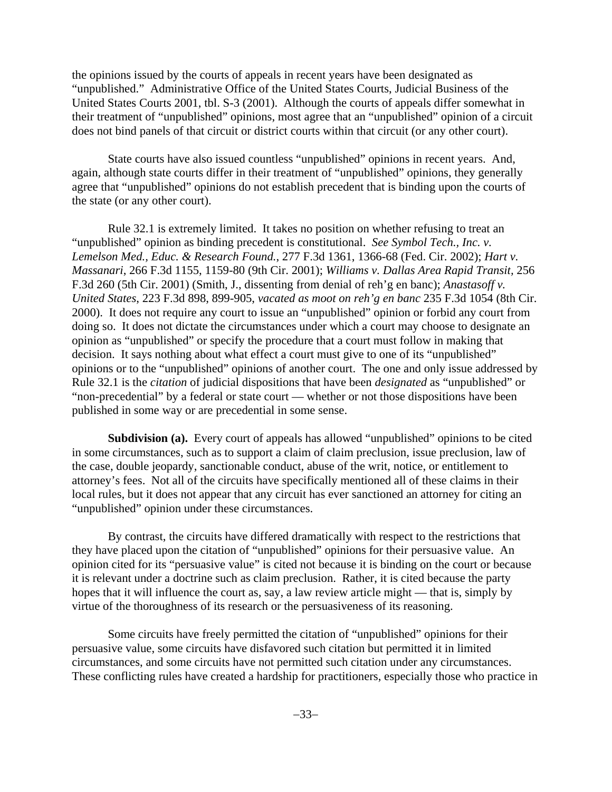the opinions issued by the courts of appeals in recent years have been designated as "unpublished." Administrative Office of the United States Courts, Judicial Business of the United States Courts 2001, tbl. S-3 (2001). Although the courts of appeals differ somewhat in their treatment of "unpublished" opinions, most agree that an "unpublished" opinion of a circuit does not bind panels of that circuit or district courts within that circuit (or any other court).

State courts have also issued countless "unpublished" opinions in recent years. And, again, although state courts differ in their treatment of "unpublished" opinions, they generally agree that "unpublished" opinions do not establish precedent that is binding upon the courts of the state (or any other court).

Rule 32.1 is extremely limited. It takes no position on whether refusing to treat an "unpublished" opinion as binding precedent is constitutional. *See Symbol Tech., Inc. v. Lemelson Med., Educ. & Research Found.*, 277 F.3d 1361, 1366-68 (Fed. Cir. 2002); *Hart v. Massanari*, 266 F.3d 1155, 1159-80 (9th Cir. 2001); *Williams v. Dallas Area Rapid Transit,* 256 F.3d 260 (5th Cir. 2001) (Smith, J., dissenting from denial of reh'g en banc); *Anastasoff v. United States*, 223 F.3d 898, 899-905, *vacated as moot on reh'g en banc* 235 F.3d 1054 (8th Cir. 2000). It does not require any court to issue an "unpublished" opinion or forbid any court from doing so. It does not dictate the circumstances under which a court may choose to designate an opinion as "unpublished" or specify the procedure that a court must follow in making that decision. It says nothing about what effect a court must give to one of its "unpublished" opinions or to the "unpublished" opinions of another court. The one and only issue addressed by Rule 32.1 is the *citation* of judicial dispositions that have been *designated* as "unpublished" or "non-precedential" by a federal or state court — whether or not those dispositions have been published in some way or are precedential in some sense.

**Subdivision (a).** Every court of appeals has allowed "unpublished" opinions to be cited in some circumstances, such as to support a claim of claim preclusion, issue preclusion, law of the case, double jeopardy, sanctionable conduct, abuse of the writ, notice, or entitlement to attorney's fees. Not all of the circuits have specifically mentioned all of these claims in their local rules, but it does not appear that any circuit has ever sanctioned an attorney for citing an "unpublished" opinion under these circumstances.

By contrast, the circuits have differed dramatically with respect to the restrictions that they have placed upon the citation of "unpublished" opinions for their persuasive value. An opinion cited for its "persuasive value" is cited not because it is binding on the court or because it is relevant under a doctrine such as claim preclusion. Rather, it is cited because the party hopes that it will influence the court as, say, a law review article might — that is, simply by virtue of the thoroughness of its research or the persuasiveness of its reasoning.

Some circuits have freely permitted the citation of "unpublished" opinions for their persuasive value, some circuits have disfavored such citation but permitted it in limited circumstances, and some circuits have not permitted such citation under any circumstances. These conflicting rules have created a hardship for practitioners, especially those who practice in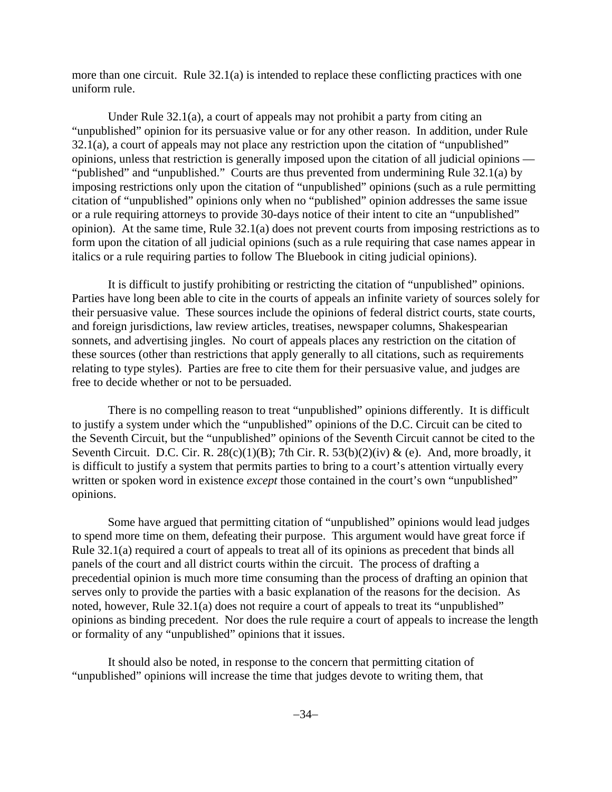more than one circuit. Rule 32.1(a) is intended to replace these conflicting practices with one uniform rule.

Under Rule 32.1(a), a court of appeals may not prohibit a party from citing an "unpublished" opinion for its persuasive value or for any other reason. In addition, under Rule 32.1(a), a court of appeals may not place any restriction upon the citation of "unpublished" opinions, unless that restriction is generally imposed upon the citation of all judicial opinions — "published" and "unpublished." Courts are thus prevented from undermining Rule 32.1(a) by imposing restrictions only upon the citation of "unpublished" opinions (such as a rule permitting citation of "unpublished" opinions only when no "published" opinion addresses the same issue or a rule requiring attorneys to provide 30-days notice of their intent to cite an "unpublished" opinion). At the same time, Rule 32.1(a) does not prevent courts from imposing restrictions as to form upon the citation of all judicial opinions (such as a rule requiring that case names appear in italics or a rule requiring parties to follow The Bluebook in citing judicial opinions).

It is difficult to justify prohibiting or restricting the citation of "unpublished" opinions. Parties have long been able to cite in the courts of appeals an infinite variety of sources solely for their persuasive value. These sources include the opinions of federal district courts, state courts, and foreign jurisdictions, law review articles, treatises, newspaper columns, Shakespearian sonnets, and advertising jingles. No court of appeals places any restriction on the citation of these sources (other than restrictions that apply generally to all citations, such as requirements relating to type styles). Parties are free to cite them for their persuasive value, and judges are free to decide whether or not to be persuaded.

There is no compelling reason to treat "unpublished" opinions differently. It is difficult to justify a system under which the "unpublished" opinions of the D.C. Circuit can be cited to the Seventh Circuit, but the "unpublished" opinions of the Seventh Circuit cannot be cited to the Seventh Circuit. D.C. Cir. R.  $28(c)(1)(B)$ ; 7th Cir. R.  $53(b)(2)(iv)$  & (e). And, more broadly, it is difficult to justify a system that permits parties to bring to a court's attention virtually every written or spoken word in existence *except* those contained in the court's own "unpublished" opinions.

Some have argued that permitting citation of "unpublished" opinions would lead judges to spend more time on them, defeating their purpose. This argument would have great force if Rule 32.1(a) required a court of appeals to treat all of its opinions as precedent that binds all panels of the court and all district courts within the circuit. The process of drafting a precedential opinion is much more time consuming than the process of drafting an opinion that serves only to provide the parties with a basic explanation of the reasons for the decision. As noted, however, Rule 32.1(a) does not require a court of appeals to treat its "unpublished" opinions as binding precedent. Nor does the rule require a court of appeals to increase the length or formality of any "unpublished" opinions that it issues.

It should also be noted, in response to the concern that permitting citation of "unpublished" opinions will increase the time that judges devote to writing them, that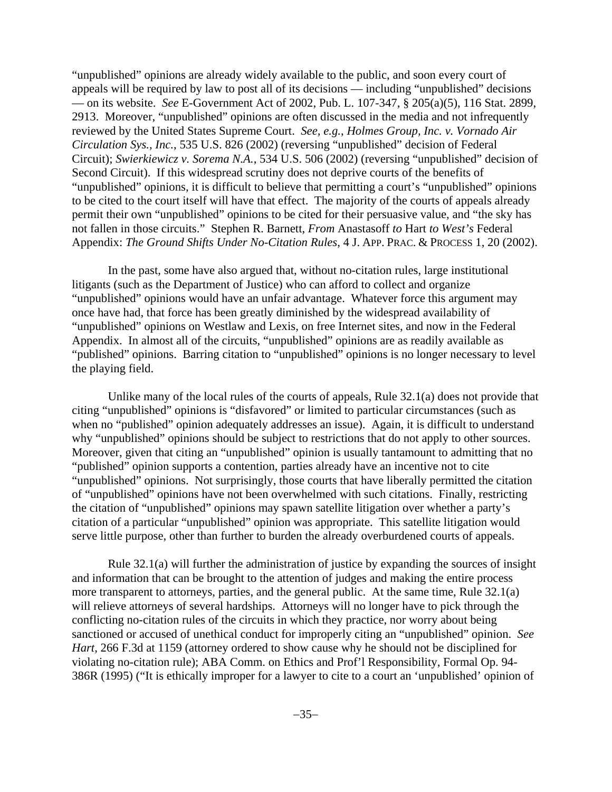"unpublished" opinions are already widely available to the public, and soon every court of appeals will be required by law to post all of its decisions — including "unpublished" decisions — on its website. *See* E-Government Act of 2002, Pub. L. 107-347, § 205(a)(5), 116 Stat. 2899, 2913. Moreover, "unpublished" opinions are often discussed in the media and not infrequently reviewed by the United States Supreme Court. *See, e.g.*, *Holmes Group, Inc. v. Vornado Air Circulation Sys., Inc.*, 535 U.S. 826 (2002) (reversing "unpublished" decision of Federal Circuit); *Swierkiewicz v. Sorema N.A.*, 534 U.S. 506 (2002) (reversing "unpublished" decision of Second Circuit). If this widespread scrutiny does not deprive courts of the benefits of "unpublished" opinions, it is difficult to believe that permitting a court's "unpublished" opinions to be cited to the court itself will have that effect. The majority of the courts of appeals already permit their own "unpublished" opinions to be cited for their persuasive value, and "the sky has not fallen in those circuits." Stephen R. Barnett, *From* Anastasoff *to* Hart *to West's* Federal Appendix: *The Ground Shifts Under No-Citation Rules*, 4 J. APP. PRAC. & PROCESS 1, 20 (2002).

In the past, some have also argued that, without no-citation rules, large institutional litigants (such as the Department of Justice) who can afford to collect and organize "unpublished" opinions would have an unfair advantage. Whatever force this argument may once have had, that force has been greatly diminished by the widespread availability of "unpublished" opinions on Westlaw and Lexis, on free Internet sites, and now in the Federal Appendix. In almost all of the circuits, "unpublished" opinions are as readily available as "published" opinions. Barring citation to "unpublished" opinions is no longer necessary to level the playing field.

Unlike many of the local rules of the courts of appeals, Rule 32.1(a) does not provide that citing "unpublished" opinions is "disfavored" or limited to particular circumstances (such as when no "published" opinion adequately addresses an issue). Again, it is difficult to understand why "unpublished" opinions should be subject to restrictions that do not apply to other sources. Moreover, given that citing an "unpublished" opinion is usually tantamount to admitting that no "published" opinion supports a contention, parties already have an incentive not to cite "unpublished" opinions. Not surprisingly, those courts that have liberally permitted the citation of "unpublished" opinions have not been overwhelmed with such citations. Finally, restricting the citation of "unpublished" opinions may spawn satellite litigation over whether a party's citation of a particular "unpublished" opinion was appropriate. This satellite litigation would serve little purpose, other than further to burden the already overburdened courts of appeals.

Rule 32.1(a) will further the administration of justice by expanding the sources of insight and information that can be brought to the attention of judges and making the entire process more transparent to attorneys, parties, and the general public. At the same time, Rule 32.1(a) will relieve attorneys of several hardships. Attorneys will no longer have to pick through the conflicting no-citation rules of the circuits in which they practice, nor worry about being sanctioned or accused of unethical conduct for improperly citing an "unpublished" opinion. *See Hart*, 266 F.3d at 1159 (attorney ordered to show cause why he should not be disciplined for violating no-citation rule); ABA Comm. on Ethics and Prof'l Responsibility, Formal Op. 94- 386R (1995) ("It is ethically improper for a lawyer to cite to a court an 'unpublished' opinion of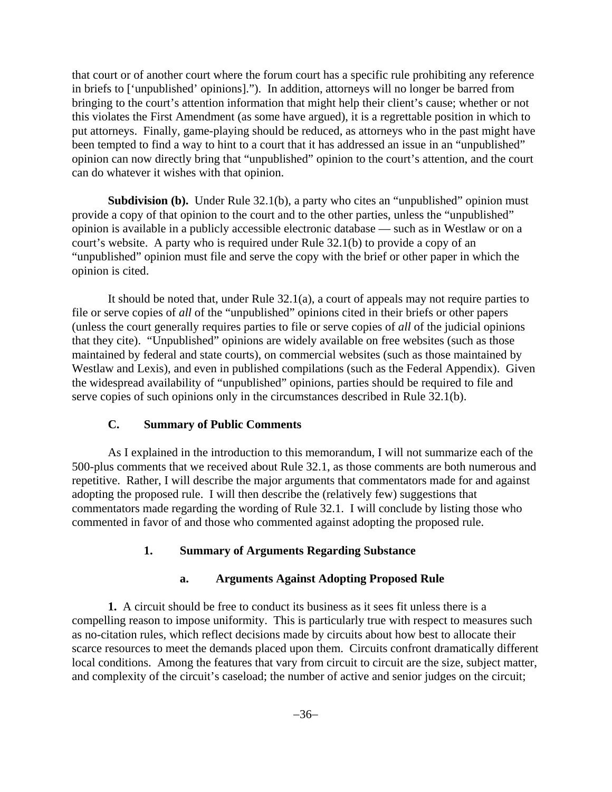that court or of another court where the forum court has a specific rule prohibiting any reference in briefs to ['unpublished' opinions]."). In addition, attorneys will no longer be barred from bringing to the court's attention information that might help their client's cause; whether or not this violates the First Amendment (as some have argued), it is a regrettable position in which to put attorneys. Finally, game-playing should be reduced, as attorneys who in the past might have been tempted to find a way to hint to a court that it has addressed an issue in an "unpublished" opinion can now directly bring that "unpublished" opinion to the court's attention, and the court can do whatever it wishes with that opinion.

**Subdivision (b).** Under Rule 32.1(b), a party who cites an "unpublished" opinion must provide a copy of that opinion to the court and to the other parties, unless the "unpublished" opinion is available in a publicly accessible electronic database — such as in Westlaw or on a court's website. A party who is required under Rule 32.1(b) to provide a copy of an "unpublished" opinion must file and serve the copy with the brief or other paper in which the opinion is cited.

It should be noted that, under Rule 32.1(a), a court of appeals may not require parties to file or serve copies of *all* of the "unpublished" opinions cited in their briefs or other papers (unless the court generally requires parties to file or serve copies of *all* of the judicial opinions that they cite). "Unpublished" opinions are widely available on free websites (such as those maintained by federal and state courts), on commercial websites (such as those maintained by Westlaw and Lexis), and even in published compilations (such as the Federal Appendix). Given the widespread availability of "unpublished" opinions, parties should be required to file and serve copies of such opinions only in the circumstances described in Rule 32.1(b).

### **C. Summary of Public Comments**

As I explained in the introduction to this memorandum, I will not summarize each of the 500-plus comments that we received about Rule 32.1, as those comments are both numerous and repetitive. Rather, I will describe the major arguments that commentators made for and against adopting the proposed rule. I will then describe the (relatively few) suggestions that commentators made regarding the wording of Rule 32.1. I will conclude by listing those who commented in favor of and those who commented against adopting the proposed rule.

# **1. Summary of Arguments Regarding Substance**

### **a. Arguments Against Adopting Proposed Rule**

**1.** A circuit should be free to conduct its business as it sees fit unless there is a compelling reason to impose uniformity. This is particularly true with respect to measures such as no-citation rules, which reflect decisions made by circuits about how best to allocate their scarce resources to meet the demands placed upon them. Circuits confront dramatically different local conditions. Among the features that vary from circuit to circuit are the size, subject matter, and complexity of the circuit's caseload; the number of active and senior judges on the circuit;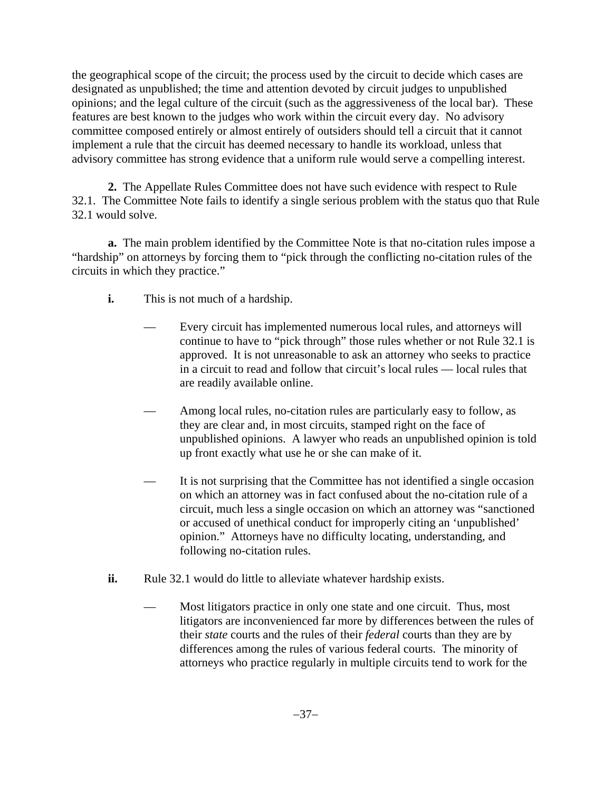the geographical scope of the circuit; the process used by the circuit to decide which cases are designated as unpublished; the time and attention devoted by circuit judges to unpublished opinions; and the legal culture of the circuit (such as the aggressiveness of the local bar). These features are best known to the judges who work within the circuit every day. No advisory committee composed entirely or almost entirely of outsiders should tell a circuit that it cannot implement a rule that the circuit has deemed necessary to handle its workload, unless that advisory committee has strong evidence that a uniform rule would serve a compelling interest.

**2.** The Appellate Rules Committee does not have such evidence with respect to Rule 32.1. The Committee Note fails to identify a single serious problem with the status quo that Rule 32.1 would solve.

**a.** The main problem identified by the Committee Note is that no-citation rules impose a "hardship" on attorneys by forcing them to "pick through the conflicting no-citation rules of the circuits in which they practice."

- **i.** This is not much of a hardship.
	- Every circuit has implemented numerous local rules, and attorneys will continue to have to "pick through" those rules whether or not Rule 32.1 is approved. It is not unreasonable to ask an attorney who seeks to practice in a circuit to read and follow that circuit's local rules — local rules that are readily available online.
	- Among local rules, no-citation rules are particularly easy to follow, as they are clear and, in most circuits, stamped right on the face of unpublished opinions. A lawyer who reads an unpublished opinion is told up front exactly what use he or she can make of it.
	- It is not surprising that the Committee has not identified a single occasion on which an attorney was in fact confused about the no-citation rule of a circuit, much less a single occasion on which an attorney was "sanctioned or accused of unethical conduct for improperly citing an 'unpublished' opinion." Attorneys have no difficulty locating, understanding, and following no-citation rules.
- **ii.** Rule 32.1 would do little to alleviate whatever hardship exists.
	- Most litigators practice in only one state and one circuit. Thus, most litigators are inconvenienced far more by differences between the rules of their *state* courts and the rules of their *federal* courts than they are by differences among the rules of various federal courts. The minority of attorneys who practice regularly in multiple circuits tend to work for the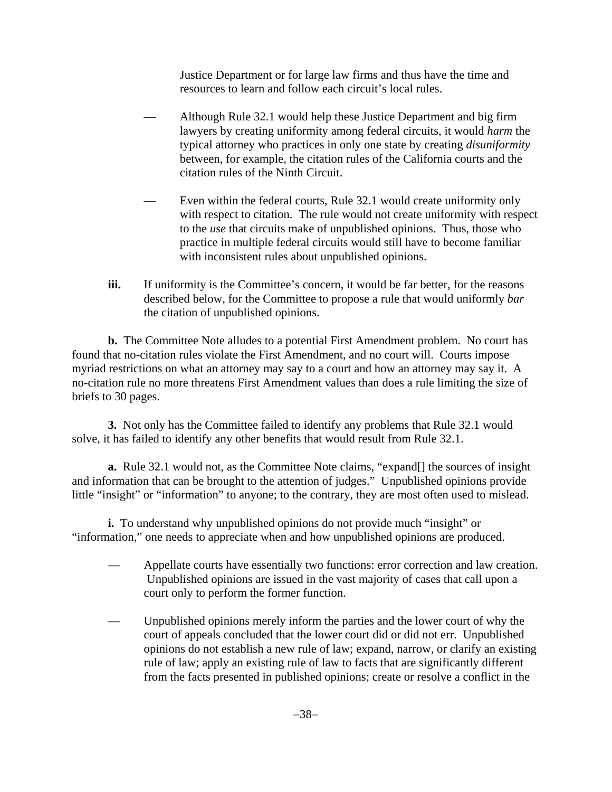Justice Department or for large law firms and thus have the time and resources to learn and follow each circuit's local rules.

- Although Rule 32.1 would help these Justice Department and big firm lawyers by creating uniformity among federal circuits, it would *harm* the typical attorney who practices in only one state by creating *disuniformity* between, for example, the citation rules of the California courts and the citation rules of the Ninth Circuit.
- Even within the federal courts, Rule 32.1 would create uniformity only with respect to citation. The rule would not create uniformity with respect to the *use* that circuits make of unpublished opinions. Thus, those who practice in multiple federal circuits would still have to become familiar with inconsistent rules about unpublished opinions.
- iii. If uniformity is the Committee's concern, it would be far better, for the reasons described below, for the Committee to propose a rule that would uniformly *bar* the citation of unpublished opinions.

**b.** The Committee Note alludes to a potential First Amendment problem. No court has found that no-citation rules violate the First Amendment, and no court will. Courts impose myriad restrictions on what an attorney may say to a court and how an attorney may say it. A no-citation rule no more threatens First Amendment values than does a rule limiting the size of briefs to 30 pages.

**3.** Not only has the Committee failed to identify any problems that Rule 32.1 would solve, it has failed to identify any other benefits that would result from Rule 32.1.

**a.** Rule 32.1 would not, as the Committee Note claims, "expand[] the sources of insight and information that can be brought to the attention of judges." Unpublished opinions provide little "insight" or "information" to anyone; to the contrary, they are most often used to mislead.

**i.** To understand why unpublished opinions do not provide much "insight" or "information," one needs to appreciate when and how unpublished opinions are produced.

- Appellate courts have essentially two functions: error correction and law creation. Unpublished opinions are issued in the vast majority of cases that call upon a court only to perform the former function.
- Unpublished opinions merely inform the parties and the lower court of why the court of appeals concluded that the lower court did or did not err. Unpublished opinions do not establish a new rule of law; expand, narrow, or clarify an existing rule of law; apply an existing rule of law to facts that are significantly different from the facts presented in published opinions; create or resolve a conflict in the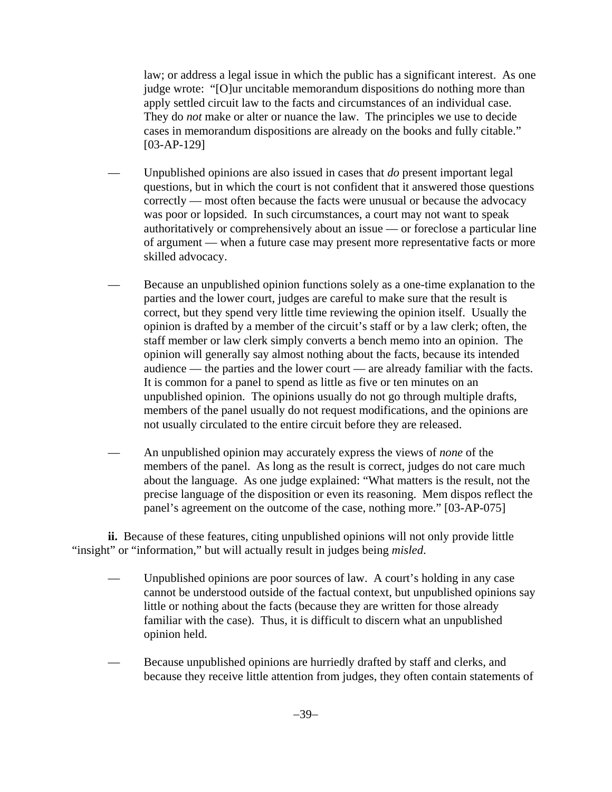law; or address a legal issue in which the public has a significant interest. As one judge wrote: "[O]ur uncitable memorandum dispositions do nothing more than apply settled circuit law to the facts and circumstances of an individual case. They do *not* make or alter or nuance the law. The principles we use to decide cases in memorandum dispositions are already on the books and fully citable." [03-AP-129]

- Unpublished opinions are also issued in cases that *do* present important legal questions, but in which the court is not confident that it answered those questions correctly — most often because the facts were unusual or because the advocacy was poor or lopsided. In such circumstances, a court may not want to speak authoritatively or comprehensively about an issue — or foreclose a particular line of argument — when a future case may present more representative facts or more skilled advocacy.
- Because an unpublished opinion functions solely as a one-time explanation to the parties and the lower court, judges are careful to make sure that the result is correct, but they spend very little time reviewing the opinion itself. Usually the opinion is drafted by a member of the circuit's staff or by a law clerk; often, the staff member or law clerk simply converts a bench memo into an opinion. The opinion will generally say almost nothing about the facts, because its intended audience — the parties and the lower court — are already familiar with the facts. It is common for a panel to spend as little as five or ten minutes on an unpublished opinion. The opinions usually do not go through multiple drafts, members of the panel usually do not request modifications, and the opinions are not usually circulated to the entire circuit before they are released.
- An unpublished opinion may accurately express the views of *none* of the members of the panel. As long as the result is correct, judges do not care much about the language. As one judge explained: "What matters is the result, not the precise language of the disposition or even its reasoning. Mem dispos reflect the panel's agreement on the outcome of the case, nothing more." [03-AP-075]

**ii.** Because of these features, citing unpublished opinions will not only provide little "insight" or "information," but will actually result in judges being *misled*.

- Unpublished opinions are poor sources of law. A court's holding in any case cannot be understood outside of the factual context, but unpublished opinions say little or nothing about the facts (because they are written for those already familiar with the case). Thus, it is difficult to discern what an unpublished opinion held.
- Because unpublished opinions are hurriedly drafted by staff and clerks, and because they receive little attention from judges, they often contain statements of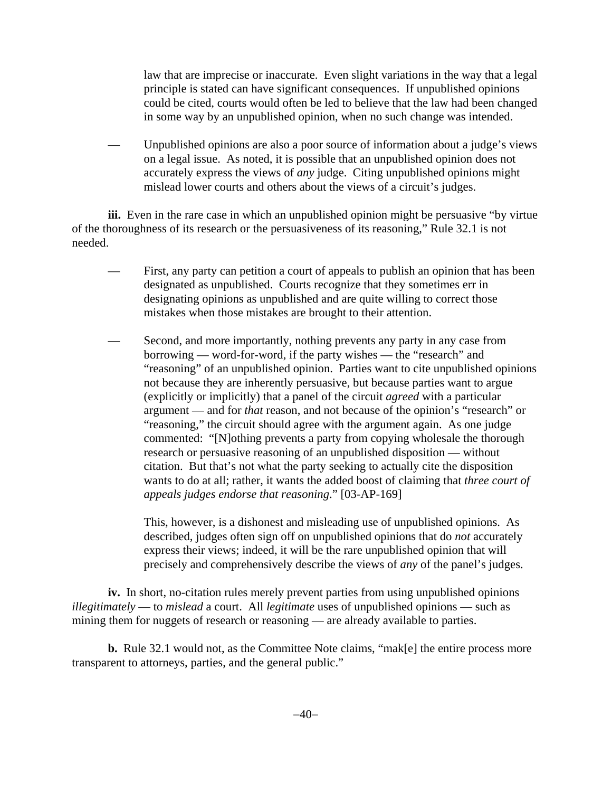law that are imprecise or inaccurate. Even slight variations in the way that a legal principle is stated can have significant consequences. If unpublished opinions could be cited, courts would often be led to believe that the law had been changed in some way by an unpublished opinion, when no such change was intended.

— Unpublished opinions are also a poor source of information about a judge's views on a legal issue. As noted, it is possible that an unpublished opinion does not accurately express the views of *any* judge. Citing unpublished opinions might mislead lower courts and others about the views of a circuit's judges.

**iii.** Even in the rare case in which an unpublished opinion might be persuasive "by virtue" of the thoroughness of its research or the persuasiveness of its reasoning," Rule 32.1 is not needed.

- First, any party can petition a court of appeals to publish an opinion that has been designated as unpublished. Courts recognize that they sometimes err in designating opinions as unpublished and are quite willing to correct those mistakes when those mistakes are brought to their attention.
- Second, and more importantly, nothing prevents any party in any case from borrowing — word-for-word, if the party wishes — the "research" and "reasoning" of an unpublished opinion. Parties want to cite unpublished opinions not because they are inherently persuasive, but because parties want to argue (explicitly or implicitly) that a panel of the circuit *agreed* with a particular argument — and for *that* reason, and not because of the opinion's "research" or "reasoning," the circuit should agree with the argument again. As one judge commented: "[N]othing prevents a party from copying wholesale the thorough research or persuasive reasoning of an unpublished disposition — without citation. But that's not what the party seeking to actually cite the disposition wants to do at all; rather, it wants the added boost of claiming that *three court of appeals judges endorse that reasoning*." [03-AP-169]

This, however, is a dishonest and misleading use of unpublished opinions. As described, judges often sign off on unpublished opinions that do *not* accurately express their views; indeed, it will be the rare unpublished opinion that will precisely and comprehensively describe the views of *any* of the panel's judges.

**iv.** In short, no-citation rules merely prevent parties from using unpublished opinions *illegitimately* — to *mislead* a court. All *legitimate* uses of unpublished opinions — such as mining them for nuggets of research or reasoning — are already available to parties.

**b.** Rule 32.1 would not, as the Committee Note claims, "mak[e] the entire process more transparent to attorneys, parties, and the general public."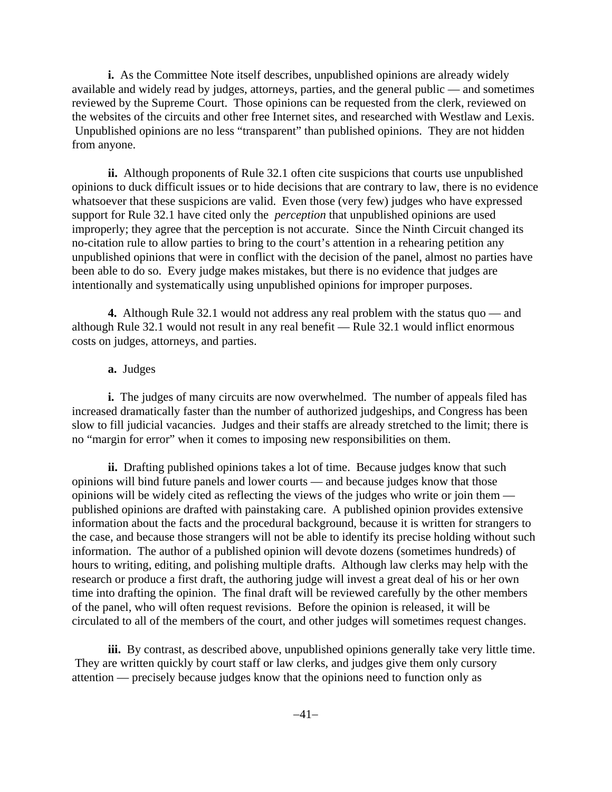**i.** As the Committee Note itself describes, unpublished opinions are already widely available and widely read by judges, attorneys, parties, and the general public — and sometimes reviewed by the Supreme Court. Those opinions can be requested from the clerk, reviewed on the websites of the circuits and other free Internet sites, and researched with Westlaw and Lexis. Unpublished opinions are no less "transparent" than published opinions. They are not hidden from anyone.

**ii.** Although proponents of Rule 32.1 often cite suspicions that courts use unpublished opinions to duck difficult issues or to hide decisions that are contrary to law, there is no evidence whatsoever that these suspicions are valid. Even those (very few) judges who have expressed support for Rule 32.1 have cited only the *perception* that unpublished opinions are used improperly; they agree that the perception is not accurate. Since the Ninth Circuit changed its no-citation rule to allow parties to bring to the court's attention in a rehearing petition any unpublished opinions that were in conflict with the decision of the panel, almost no parties have been able to do so. Every judge makes mistakes, but there is no evidence that judges are intentionally and systematically using unpublished opinions for improper purposes.

**4.** Although Rule 32.1 would not address any real problem with the status quo — and although Rule 32.1 would not result in any real benefit — Rule 32.1 would inflict enormous costs on judges, attorneys, and parties.

### **a.** Judges

**i.** The judges of many circuits are now overwhelmed. The number of appeals filed has increased dramatically faster than the number of authorized judgeships, and Congress has been slow to fill judicial vacancies. Judges and their staffs are already stretched to the limit; there is no "margin for error" when it comes to imposing new responsibilities on them.

**ii.** Drafting published opinions takes a lot of time. Because judges know that such opinions will bind future panels and lower courts — and because judges know that those opinions will be widely cited as reflecting the views of the judges who write or join them published opinions are drafted with painstaking care. A published opinion provides extensive information about the facts and the procedural background, because it is written for strangers to the case, and because those strangers will not be able to identify its precise holding without such information. The author of a published opinion will devote dozens (sometimes hundreds) of hours to writing, editing, and polishing multiple drafts. Although law clerks may help with the research or produce a first draft, the authoring judge will invest a great deal of his or her own time into drafting the opinion. The final draft will be reviewed carefully by the other members of the panel, who will often request revisions. Before the opinion is released, it will be circulated to all of the members of the court, and other judges will sometimes request changes.

**iii.** By contrast, as described above, unpublished opinions generally take very little time. They are written quickly by court staff or law clerks, and judges give them only cursory attention — precisely because judges know that the opinions need to function only as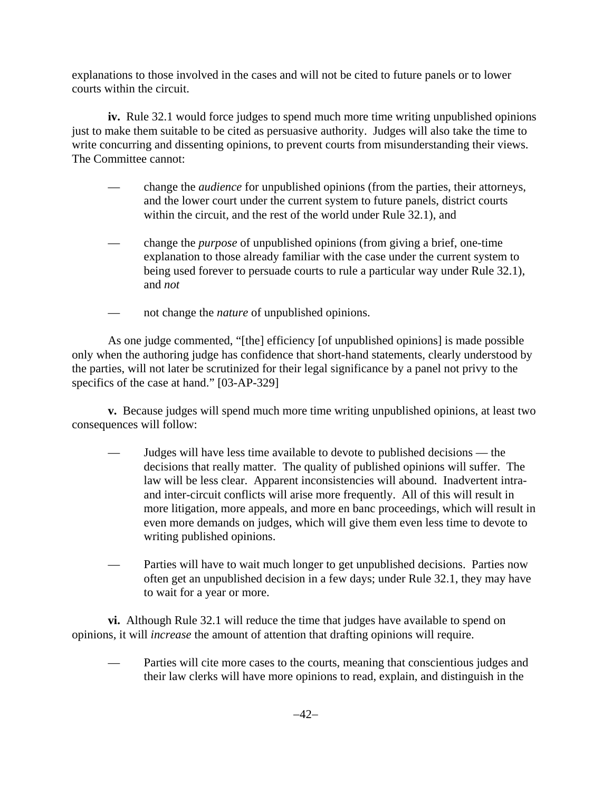explanations to those involved in the cases and will not be cited to future panels or to lower courts within the circuit.

**iv.** Rule 32.1 would force judges to spend much more time writing unpublished opinions just to make them suitable to be cited as persuasive authority. Judges will also take the time to write concurring and dissenting opinions, to prevent courts from misunderstanding their views. The Committee cannot:

- change the *audience* for unpublished opinions (from the parties, their attorneys, and the lower court under the current system to future panels, district courts within the circuit, and the rest of the world under Rule 32.1), and
- change the *purpose* of unpublished opinions (from giving a brief, one-time explanation to those already familiar with the case under the current system to being used forever to persuade courts to rule a particular way under Rule 32.1), and *not*
- not change the *nature* of unpublished opinions.

As one judge commented, "[the] efficiency [of unpublished opinions] is made possible only when the authoring judge has confidence that short-hand statements, clearly understood by the parties, will not later be scrutinized for their legal significance by a panel not privy to the specifics of the case at hand." [03-AP-329]

**v.** Because judges will spend much more time writing unpublished opinions, at least two consequences will follow:

- Judges will have less time available to devote to published decisions the decisions that really matter. The quality of published opinions will suffer. The law will be less clear. Apparent inconsistencies will abound. Inadvertent intraand inter-circuit conflicts will arise more frequently. All of this will result in more litigation, more appeals, and more en banc proceedings, which will result in even more demands on judges, which will give them even less time to devote to writing published opinions.
- Parties will have to wait much longer to get unpublished decisions. Parties now often get an unpublished decision in a few days; under Rule 32.1, they may have to wait for a year or more.

**vi.** Although Rule 32.1 will reduce the time that judges have available to spend on opinions, it will *increase* the amount of attention that drafting opinions will require.

Parties will cite more cases to the courts, meaning that conscientious judges and their law clerks will have more opinions to read, explain, and distinguish in the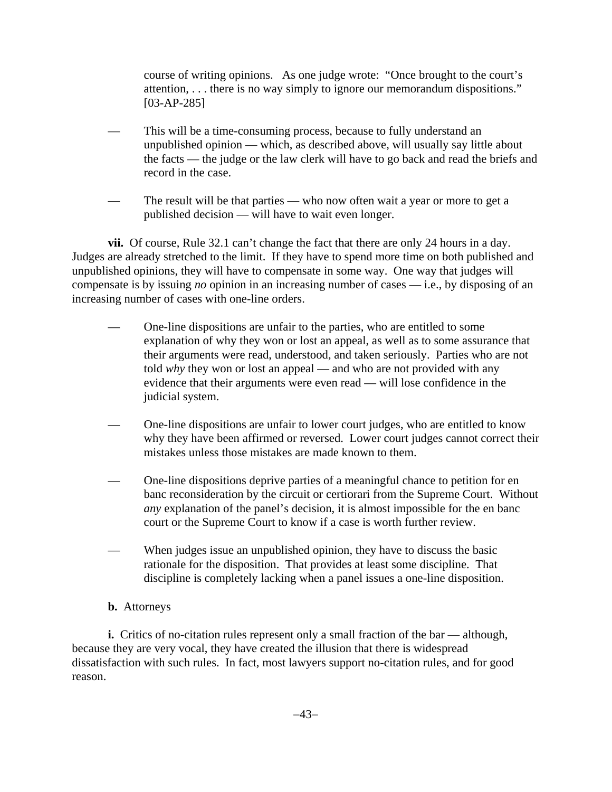course of writing opinions. As one judge wrote: "Once brought to the court's attention, . . . there is no way simply to ignore our memorandum dispositions." [03-AP-285]

- This will be a time-consuming process, because to fully understand an unpublished opinion — which, as described above, will usually say little about the facts — the judge or the law clerk will have to go back and read the briefs and record in the case.
- The result will be that parties who now often wait a year or more to get a published decision — will have to wait even longer.

**vii.** Of course, Rule 32.1 can't change the fact that there are only 24 hours in a day. Judges are already stretched to the limit. If they have to spend more time on both published and unpublished opinions, they will have to compensate in some way. One way that judges will compensate is by issuing *no* opinion in an increasing number of cases — i.e., by disposing of an increasing number of cases with one-line orders.

- One-line dispositions are unfair to the parties, who are entitled to some explanation of why they won or lost an appeal, as well as to some assurance that their arguments were read, understood, and taken seriously. Parties who are not told *why* they won or lost an appeal — and who are not provided with any evidence that their arguments were even read — will lose confidence in the judicial system.
- One-line dispositions are unfair to lower court judges, who are entitled to know why they have been affirmed or reversed. Lower court judges cannot correct their mistakes unless those mistakes are made known to them.
- One-line dispositions deprive parties of a meaningful chance to petition for en banc reconsideration by the circuit or certiorari from the Supreme Court. Without *any* explanation of the panel's decision, it is almost impossible for the en banc court or the Supreme Court to know if a case is worth further review.
- When judges issue an unpublished opinion, they have to discuss the basic rationale for the disposition. That provides at least some discipline. That discipline is completely lacking when a panel issues a one-line disposition.

# **b.** Attorneys

**i.** Critics of no-citation rules represent only a small fraction of the bar — although, because they are very vocal, they have created the illusion that there is widespread dissatisfaction with such rules. In fact, most lawyers support no-citation rules, and for good reason.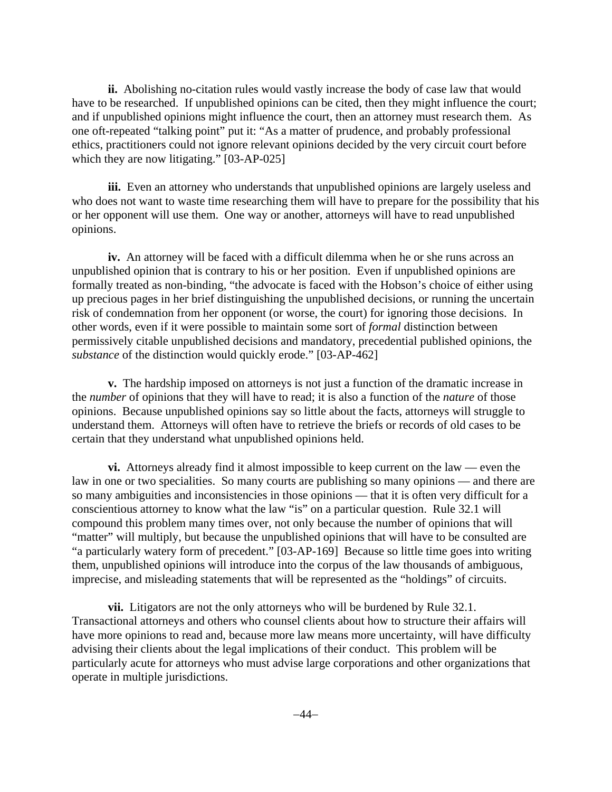**ii.** Abolishing no-citation rules would vastly increase the body of case law that would have to be researched. If unpublished opinions can be cited, then they might influence the court; and if unpublished opinions might influence the court, then an attorney must research them. As one oft-repeated "talking point" put it: "As a matter of prudence, and probably professional ethics, practitioners could not ignore relevant opinions decided by the very circuit court before which they are now litigating." [03-AP-025]

**iii.** Even an attorney who understands that unpublished opinions are largely useless and who does not want to waste time researching them will have to prepare for the possibility that his or her opponent will use them. One way or another, attorneys will have to read unpublished opinions.

**iv.** An attorney will be faced with a difficult dilemma when he or she runs across an unpublished opinion that is contrary to his or her position. Even if unpublished opinions are formally treated as non-binding, "the advocate is faced with the Hobson's choice of either using up precious pages in her brief distinguishing the unpublished decisions, or running the uncertain risk of condemnation from her opponent (or worse, the court) for ignoring those decisions. In other words, even if it were possible to maintain some sort of *formal* distinction between permissively citable unpublished decisions and mandatory, precedential published opinions, the *substance* of the distinction would quickly erode." [03-AP-462]

**v.** The hardship imposed on attorneys is not just a function of the dramatic increase in the *number* of opinions that they will have to read; it is also a function of the *nature* of those opinions. Because unpublished opinions say so little about the facts, attorneys will struggle to understand them. Attorneys will often have to retrieve the briefs or records of old cases to be certain that they understand what unpublished opinions held.

**vi.** Attorneys already find it almost impossible to keep current on the law — even the law in one or two specialities. So many courts are publishing so many opinions — and there are so many ambiguities and inconsistencies in those opinions — that it is often very difficult for a conscientious attorney to know what the law "is" on a particular question. Rule 32.1 will compound this problem many times over, not only because the number of opinions that will "matter" will multiply, but because the unpublished opinions that will have to be consulted are "a particularly watery form of precedent." [03-AP-169] Because so little time goes into writing them, unpublished opinions will introduce into the corpus of the law thousands of ambiguous, imprecise, and misleading statements that will be represented as the "holdings" of circuits.

**vii.** Litigators are not the only attorneys who will be burdened by Rule 32.1. Transactional attorneys and others who counsel clients about how to structure their affairs will have more opinions to read and, because more law means more uncertainty, will have difficulty advising their clients about the legal implications of their conduct. This problem will be particularly acute for attorneys who must advise large corporations and other organizations that operate in multiple jurisdictions.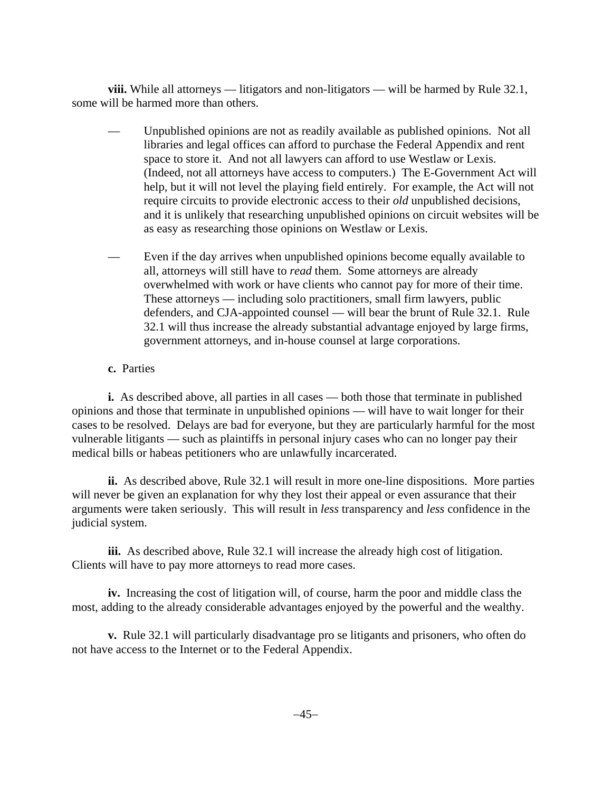**viii.** While all attorneys — litigators and non-litigators — will be harmed by Rule 32.1, some will be harmed more than others.

- Unpublished opinions are not as readily available as published opinions. Not all libraries and legal offices can afford to purchase the Federal Appendix and rent space to store it. And not all lawyers can afford to use Westlaw or Lexis. (Indeed, not all attorneys have access to computers.) The E-Government Act will help, but it will not level the playing field entirely. For example, the Act will not require circuits to provide electronic access to their *old* unpublished decisions, and it is unlikely that researching unpublished opinions on circuit websites will be as easy as researching those opinions on Westlaw or Lexis.
- Even if the day arrives when unpublished opinions become equally available to all, attorneys will still have to *read* them. Some attorneys are already overwhelmed with work or have clients who cannot pay for more of their time. These attorneys — including solo practitioners, small firm lawyers, public defenders, and CJA-appointed counsel — will bear the brunt of Rule 32.1. Rule 32.1 will thus increase the already substantial advantage enjoyed by large firms, government attorneys, and in-house counsel at large corporations.

# **c.** Parties

**i.** As described above, all parties in all cases — both those that terminate in published opinions and those that terminate in unpublished opinions — will have to wait longer for their cases to be resolved. Delays are bad for everyone, but they are particularly harmful for the most vulnerable litigants — such as plaintiffs in personal injury cases who can no longer pay their medical bills or habeas petitioners who are unlawfully incarcerated.

**ii.** As described above, Rule 32.1 will result in more one-line dispositions. More parties will never be given an explanation for why they lost their appeal or even assurance that their arguments were taken seriously. This will result in *less* transparency and *less* confidence in the judicial system.

**iii.** As described above, Rule 32.1 will increase the already high cost of litigation. Clients will have to pay more attorneys to read more cases.

**iv.** Increasing the cost of litigation will, of course, harm the poor and middle class the most, adding to the already considerable advantages enjoyed by the powerful and the wealthy.

**v.** Rule 32.1 will particularly disadvantage pro se litigants and prisoners, who often do not have access to the Internet or to the Federal Appendix.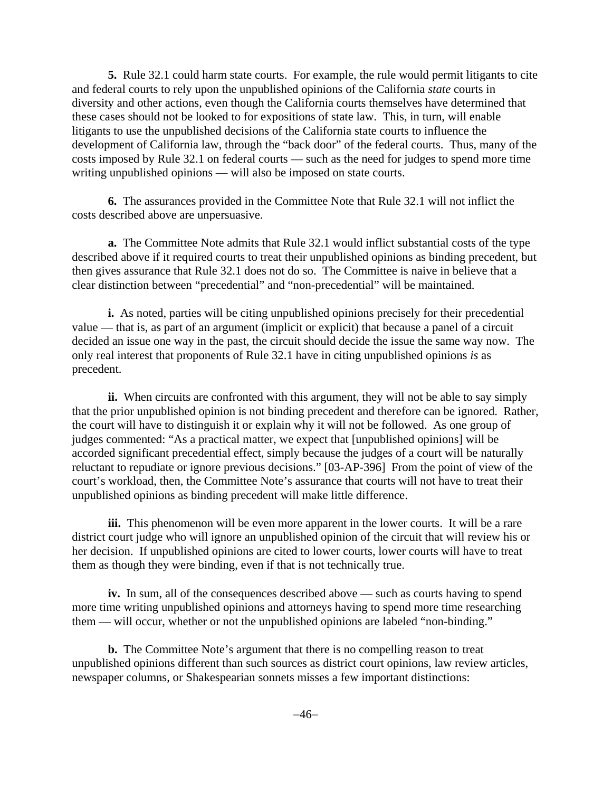**5.** Rule 32.1 could harm state courts. For example, the rule would permit litigants to cite and federal courts to rely upon the unpublished opinions of the California *state* courts in diversity and other actions, even though the California courts themselves have determined that these cases should not be looked to for expositions of state law. This, in turn, will enable litigants to use the unpublished decisions of the California state courts to influence the development of California law, through the "back door" of the federal courts. Thus, many of the costs imposed by Rule 32.1 on federal courts — such as the need for judges to spend more time writing unpublished opinions — will also be imposed on state courts.

**6.** The assurances provided in the Committee Note that Rule 32.1 will not inflict the costs described above are unpersuasive.

**a.** The Committee Note admits that Rule 32.1 would inflict substantial costs of the type described above if it required courts to treat their unpublished opinions as binding precedent, but then gives assurance that Rule 32.1 does not do so. The Committee is naive in believe that a clear distinction between "precedential" and "non-precedential" will be maintained.

**i.** As noted, parties will be citing unpublished opinions precisely for their precedential value — that is, as part of an argument (implicit or explicit) that because a panel of a circuit decided an issue one way in the past, the circuit should decide the issue the same way now. The only real interest that proponents of Rule 32.1 have in citing unpublished opinions *is* as precedent.

**ii.** When circuits are confronted with this argument, they will not be able to say simply that the prior unpublished opinion is not binding precedent and therefore can be ignored. Rather, the court will have to distinguish it or explain why it will not be followed. As one group of judges commented: "As a practical matter, we expect that [unpublished opinions] will be accorded significant precedential effect, simply because the judges of a court will be naturally reluctant to repudiate or ignore previous decisions." [03-AP-396] From the point of view of the court's workload, then, the Committee Note's assurance that courts will not have to treat their unpublished opinions as binding precedent will make little difference.

**iii.** This phenomenon will be even more apparent in the lower courts. It will be a rare district court judge who will ignore an unpublished opinion of the circuit that will review his or her decision. If unpublished opinions are cited to lower courts, lower courts will have to treat them as though they were binding, even if that is not technically true.

**iv.** In sum, all of the consequences described above — such as courts having to spend more time writing unpublished opinions and attorneys having to spend more time researching them — will occur, whether or not the unpublished opinions are labeled "non-binding."

**b.** The Committee Note's argument that there is no compelling reason to treat unpublished opinions different than such sources as district court opinions, law review articles, newspaper columns, or Shakespearian sonnets misses a few important distinctions: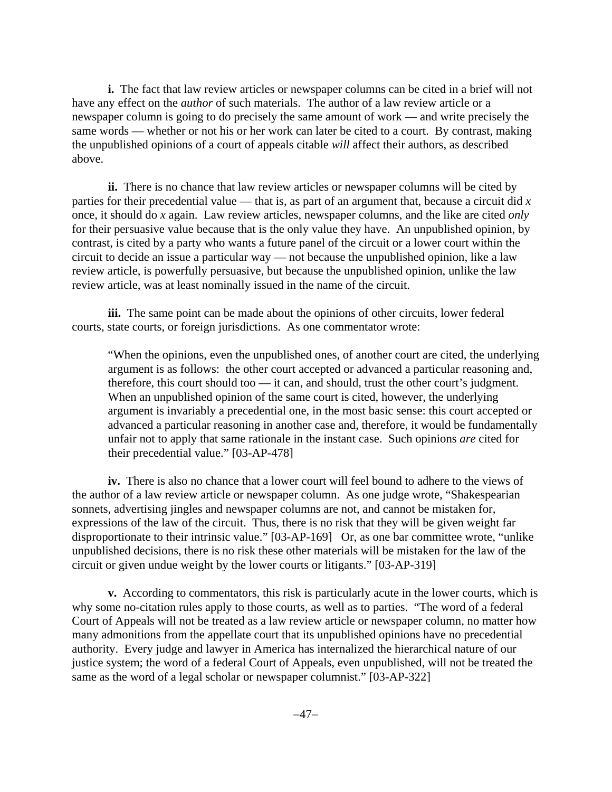**i.** The fact that law review articles or newspaper columns can be cited in a brief will not have any effect on the *author* of such materials. The author of a law review article or a newspaper column is going to do precisely the same amount of work — and write precisely the same words — whether or not his or her work can later be cited to a court. By contrast, making the unpublished opinions of a court of appeals citable *will* affect their authors, as described above.

**ii.** There is no chance that law review articles or newspaper columns will be cited by parties for their precedential value — that is, as part of an argument that, because a circuit did *x* once, it should do *x* again. Law review articles, newspaper columns, and the like are cited *only* for their persuasive value because that is the only value they have. An unpublished opinion, by contrast, is cited by a party who wants a future panel of the circuit or a lower court within the circuit to decide an issue a particular way — not because the unpublished opinion, like a law review article, is powerfully persuasive, but because the unpublished opinion, unlike the law review article, was at least nominally issued in the name of the circuit.

**iii.** The same point can be made about the opinions of other circuits, lower federal courts, state courts, or foreign jurisdictions. As one commentator wrote:

 "When the opinions, even the unpublished ones, of another court are cited, the underlying argument is as follows: the other court accepted or advanced a particular reasoning and, therefore, this court should too — it can, and should, trust the other court's judgment. When an unpublished opinion of the same court is cited, however, the underlying argument is invariably a precedential one, in the most basic sense: this court accepted or advanced a particular reasoning in another case and, therefore, it would be fundamentally unfair not to apply that same rationale in the instant case. Such opinions *are* cited for their precedential value." [03-AP-478]

**iv.** There is also no chance that a lower court will feel bound to adhere to the views of the author of a law review article or newspaper column. As one judge wrote, "Shakespearian sonnets, advertising jingles and newspaper columns are not, and cannot be mistaken for, expressions of the law of the circuit. Thus, there is no risk that they will be given weight far disproportionate to their intrinsic value." [03-AP-169] Or, as one bar committee wrote, "unlike unpublished decisions, there is no risk these other materials will be mistaken for the law of the circuit or given undue weight by the lower courts or litigants." [03-AP-319]

**v.** According to commentators, this risk is particularly acute in the lower courts, which is why some no-citation rules apply to those courts, as well as to parties. "The word of a federal Court of Appeals will not be treated as a law review article or newspaper column, no matter how many admonitions from the appellate court that its unpublished opinions have no precedential authority. Every judge and lawyer in America has internalized the hierarchical nature of our justice system; the word of a federal Court of Appeals, even unpublished, will not be treated the same as the word of a legal scholar or newspaper columnist." [03-AP-322]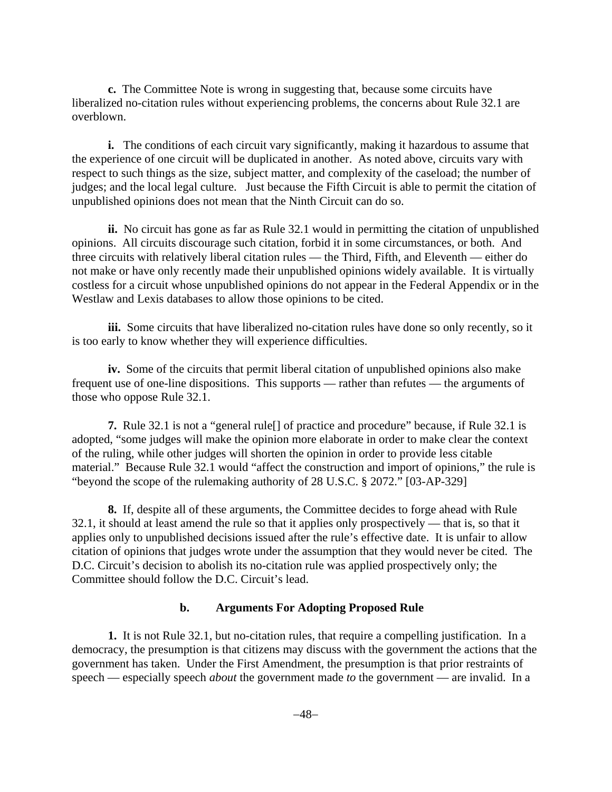**c.** The Committee Note is wrong in suggesting that, because some circuits have liberalized no-citation rules without experiencing problems, the concerns about Rule 32.1 are overblown.

**i.** The conditions of each circuit vary significantly, making it hazardous to assume that the experience of one circuit will be duplicated in another. As noted above, circuits vary with respect to such things as the size, subject matter, and complexity of the caseload; the number of judges; and the local legal culture. Just because the Fifth Circuit is able to permit the citation of unpublished opinions does not mean that the Ninth Circuit can do so.

**ii.** No circuit has gone as far as Rule 32.1 would in permitting the citation of unpublished opinions. All circuits discourage such citation, forbid it in some circumstances, or both. And three circuits with relatively liberal citation rules — the Third, Fifth, and Eleventh — either do not make or have only recently made their unpublished opinions widely available. It is virtually costless for a circuit whose unpublished opinions do not appear in the Federal Appendix or in the Westlaw and Lexis databases to allow those opinions to be cited.

**iii.** Some circuits that have liberalized no-citation rules have done so only recently, so it is too early to know whether they will experience difficulties.

**iv.** Some of the circuits that permit liberal citation of unpublished opinions also make frequent use of one-line dispositions. This supports — rather than refutes — the arguments of those who oppose Rule 32.1.

**7.** Rule 32.1 is not a "general rule[] of practice and procedure" because, if Rule 32.1 is adopted, "some judges will make the opinion more elaborate in order to make clear the context of the ruling, while other judges will shorten the opinion in order to provide less citable material." Because Rule 32.1 would "affect the construction and import of opinions," the rule is "beyond the scope of the rulemaking authority of 28 U.S.C. § 2072." [03-AP-329]

**8.** If, despite all of these arguments, the Committee decides to forge ahead with Rule 32.1, it should at least amend the rule so that it applies only prospectively — that is, so that it applies only to unpublished decisions issued after the rule's effective date. It is unfair to allow citation of opinions that judges wrote under the assumption that they would never be cited. The D.C. Circuit's decision to abolish its no-citation rule was applied prospectively only; the Committee should follow the D.C. Circuit's lead.

### **b. Arguments For Adopting Proposed Rule**

**1.** It is not Rule 32.1, but no-citation rules, that require a compelling justification. In a democracy, the presumption is that citizens may discuss with the government the actions that the government has taken. Under the First Amendment, the presumption is that prior restraints of speech — especially speech *about* the government made *to* the government — are invalid. In a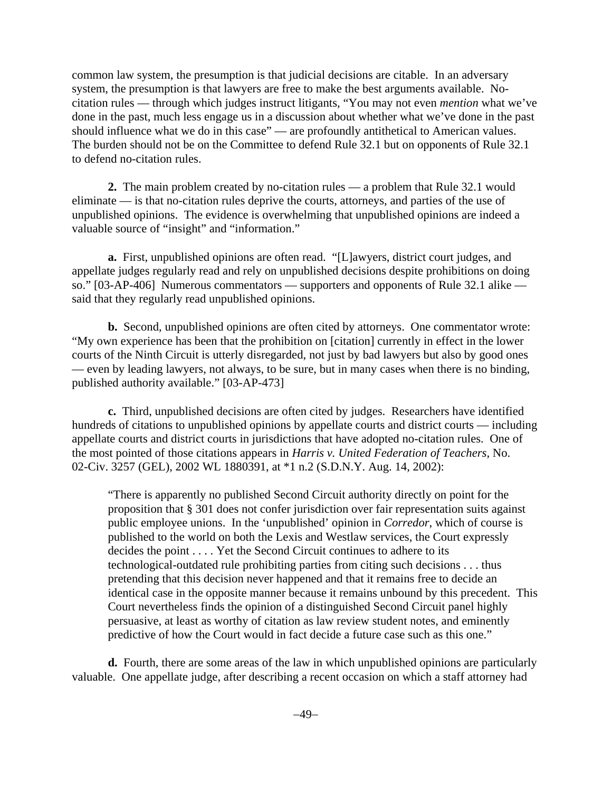common law system, the presumption is that judicial decisions are citable. In an adversary system, the presumption is that lawyers are free to make the best arguments available. Nocitation rules — through which judges instruct litigants, "You may not even *mention* what we've done in the past, much less engage us in a discussion about whether what we've done in the past should influence what we do in this case" — are profoundly antithetical to American values. The burden should not be on the Committee to defend Rule 32.1 but on opponents of Rule 32.1 to defend no-citation rules.

**2.** The main problem created by no-citation rules — a problem that Rule 32.1 would eliminate — is that no-citation rules deprive the courts, attorneys, and parties of the use of unpublished opinions. The evidence is overwhelming that unpublished opinions are indeed a valuable source of "insight" and "information."

**a.** First, unpublished opinions are often read. "[L]awyers, district court judges, and appellate judges regularly read and rely on unpublished decisions despite prohibitions on doing so." [03-AP-406] Numerous commentators — supporters and opponents of Rule 32.1 alike said that they regularly read unpublished opinions.

**b.** Second, unpublished opinions are often cited by attorneys. One commentator wrote: "My own experience has been that the prohibition on [citation] currently in effect in the lower courts of the Ninth Circuit is utterly disregarded, not just by bad lawyers but also by good ones — even by leading lawyers, not always, to be sure, but in many cases when there is no binding, published authority available." [03-AP-473]

**c.** Third, unpublished decisions are often cited by judges. Researchers have identified hundreds of citations to unpublished opinions by appellate courts and district courts — including appellate courts and district courts in jurisdictions that have adopted no-citation rules. One of the most pointed of those citations appears in *Harris v. United Federation of Teachers*, No. 02-Civ. 3257 (GEL), 2002 WL 1880391, at \*1 n.2 (S.D.N.Y. Aug. 14, 2002):

"There is apparently no published Second Circuit authority directly on point for the proposition that § 301 does not confer jurisdiction over fair representation suits against public employee unions. In the 'unpublished' opinion in *Corredor*, which of course is published to the world on both the Lexis and Westlaw services, the Court expressly decides the point . . . . Yet the Second Circuit continues to adhere to its technological-outdated rule prohibiting parties from citing such decisions . . . thus pretending that this decision never happened and that it remains free to decide an identical case in the opposite manner because it remains unbound by this precedent. This Court nevertheless finds the opinion of a distinguished Second Circuit panel highly persuasive, at least as worthy of citation as law review student notes, and eminently predictive of how the Court would in fact decide a future case such as this one."

**d.** Fourth, there are some areas of the law in which unpublished opinions are particularly valuable. One appellate judge, after describing a recent occasion on which a staff attorney had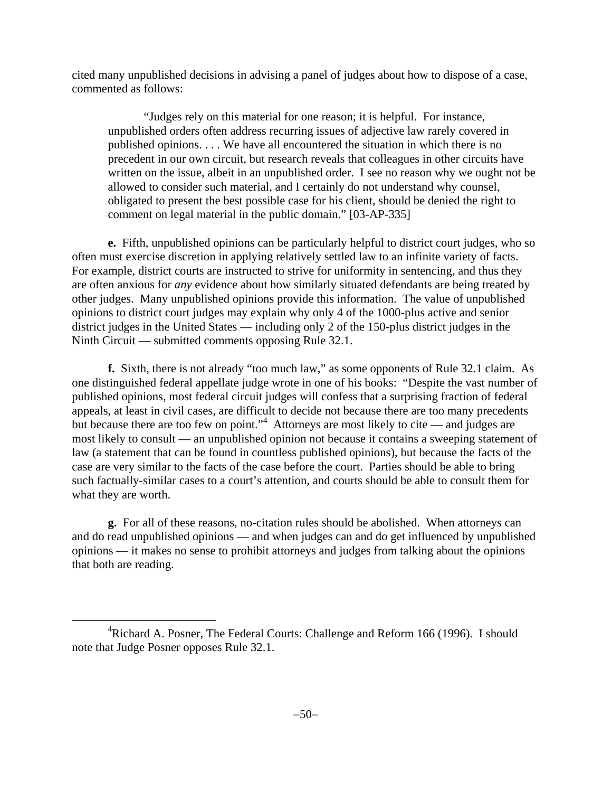cited many unpublished decisions in advising a panel of judges about how to dispose of a case, commented as follows:

"Judges rely on this material for one reason; it is helpful. For instance, unpublished orders often address recurring issues of adjective law rarely covered in published opinions. . . . We have all encountered the situation in which there is no precedent in our own circuit, but research reveals that colleagues in other circuits have written on the issue, albeit in an unpublished order. I see no reason why we ought not be allowed to consider such material, and I certainly do not understand why counsel, obligated to present the best possible case for his client, should be denied the right to comment on legal material in the public domain." [03-AP-335]

**e.** Fifth, unpublished opinions can be particularly helpful to district court judges, who so often must exercise discretion in applying relatively settled law to an infinite variety of facts. For example, district courts are instructed to strive for uniformity in sentencing, and thus they are often anxious for *any* evidence about how similarly situated defendants are being treated by other judges. Many unpublished opinions provide this information. The value of unpublished opinions to district court judges may explain why only 4 of the 1000-plus active and senior district judges in the United States — including only 2 of the 150-plus district judges in the Ninth Circuit — submitted comments opposing Rule 32.1.

**f.** Sixth, there is not already "too much law," as some opponents of Rule 32.1 claim. As one distinguished federal appellate judge wrote in one of his books: "Despite the vast number of published opinions, most federal circuit judges will confess that a surprising fraction of federal appeals, at least in civil cases, are difficult to decide not because there are too many precedents but because there are too few on point."<sup>4</sup> Attorneys are most likely to cite — and judges are most likely to consult — an unpublished opinion not because it contains a sweeping statement of law (a statement that can be found in countless published opinions), but because the facts of the case are very similar to the facts of the case before the court. Parties should be able to bring such factually-similar cases to a court's attention, and courts should be able to consult them for what they are worth.

**g.** For all of these reasons, no-citation rules should be abolished. When attorneys can and do read unpublished opinions — and when judges can and do get influenced by unpublished opinions — it makes no sense to prohibit attorneys and judges from talking about the opinions that both are reading.

 $\overline{4}$ <sup>4</sup>Richard A. Posner, The Federal Courts: Challenge and Reform 166 (1996). I should note that Judge Posner opposes Rule 32.1.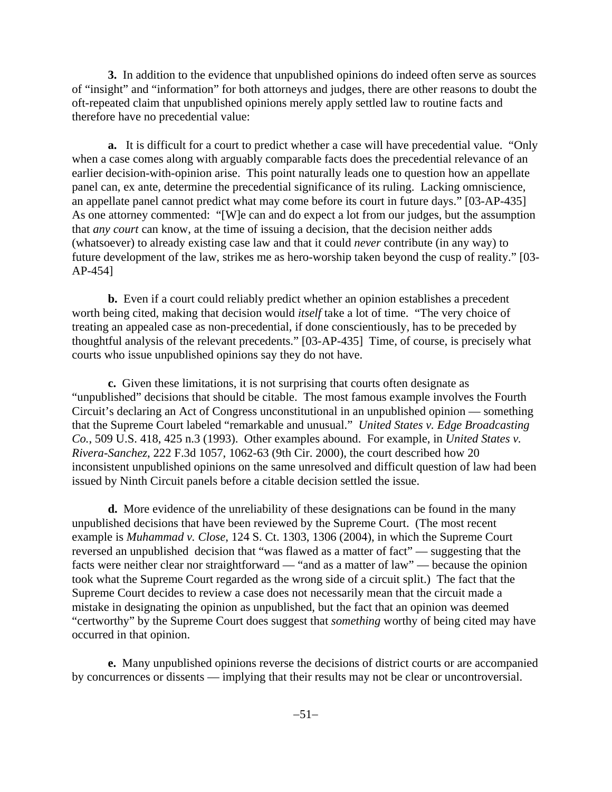**3.** In addition to the evidence that unpublished opinions do indeed often serve as sources of "insight" and "information" for both attorneys and judges, there are other reasons to doubt the oft-repeated claim that unpublished opinions merely apply settled law to routine facts and therefore have no precedential value:

**a.** It is difficult for a court to predict whether a case will have precedential value. "Only when a case comes along with arguably comparable facts does the precedential relevance of an earlier decision-with-opinion arise. This point naturally leads one to question how an appellate panel can, ex ante, determine the precedential significance of its ruling. Lacking omniscience, an appellate panel cannot predict what may come before its court in future days." [03-AP-435] As one attorney commented: "[W]e can and do expect a lot from our judges, but the assumption that *any court* can know, at the time of issuing a decision, that the decision neither adds (whatsoever) to already existing case law and that it could *never* contribute (in any way) to future development of the law, strikes me as hero-worship taken beyond the cusp of reality." [03- AP-454]

**b.** Even if a court could reliably predict whether an opinion establishes a precedent worth being cited, making that decision would *itself* take a lot of time. "The very choice of treating an appealed case as non-precedential, if done conscientiously, has to be preceded by thoughtful analysis of the relevant precedents." [03-AP-435] Time, of course, is precisely what courts who issue unpublished opinions say they do not have.

**c.** Given these limitations, it is not surprising that courts often designate as "unpublished" decisions that should be citable. The most famous example involves the Fourth Circuit's declaring an Act of Congress unconstitutional in an unpublished opinion — something that the Supreme Court labeled "remarkable and unusual." *United States v. Edge Broadcasting Co.*, 509 U.S. 418, 425 n.3 (1993). Other examples abound. For example, in *United States v. Rivera-Sanchez*, 222 F.3d 1057, 1062-63 (9th Cir. 2000), the court described how 20 inconsistent unpublished opinions on the same unresolved and difficult question of law had been issued by Ninth Circuit panels before a citable decision settled the issue.

**d.** More evidence of the unreliability of these designations can be found in the many unpublished decisions that have been reviewed by the Supreme Court. (The most recent example is *Muhammad v. Close*, 124 S. Ct. 1303, 1306 (2004), in which the Supreme Court reversed an unpublished decision that "was flawed as a matter of fact" — suggesting that the facts were neither clear nor straightforward — "and as a matter of law" — because the opinion took what the Supreme Court regarded as the wrong side of a circuit split.) The fact that the Supreme Court decides to review a case does not necessarily mean that the circuit made a mistake in designating the opinion as unpublished, but the fact that an opinion was deemed "certworthy" by the Supreme Court does suggest that *something* worthy of being cited may have occurred in that opinion.

**e.** Many unpublished opinions reverse the decisions of district courts or are accompanied by concurrences or dissents — implying that their results may not be clear or uncontroversial.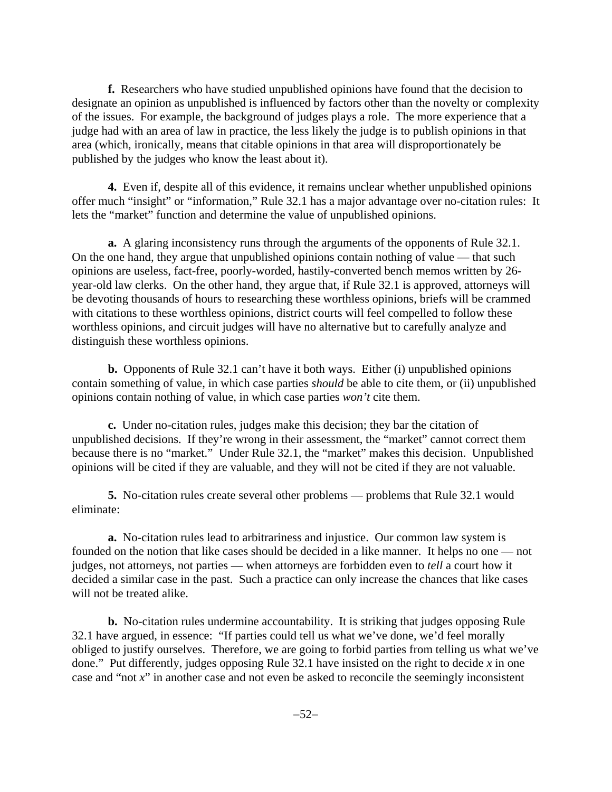**f.** Researchers who have studied unpublished opinions have found that the decision to designate an opinion as unpublished is influenced by factors other than the novelty or complexity of the issues. For example, the background of judges plays a role. The more experience that a judge had with an area of law in practice, the less likely the judge is to publish opinions in that area (which, ironically, means that citable opinions in that area will disproportionately be published by the judges who know the least about it).

**4.** Even if, despite all of this evidence, it remains unclear whether unpublished opinions offer much "insight" or "information," Rule 32.1 has a major advantage over no-citation rules: It lets the "market" function and determine the value of unpublished opinions.

**a.** A glaring inconsistency runs through the arguments of the opponents of Rule 32.1. On the one hand, they argue that unpublished opinions contain nothing of value — that such opinions are useless, fact-free, poorly-worded, hastily-converted bench memos written by 26 year-old law clerks. On the other hand, they argue that, if Rule 32.1 is approved, attorneys will be devoting thousands of hours to researching these worthless opinions, briefs will be crammed with citations to these worthless opinions, district courts will feel compelled to follow these worthless opinions, and circuit judges will have no alternative but to carefully analyze and distinguish these worthless opinions.

**b.** Opponents of Rule 32.1 can't have it both ways. Either (i) unpublished opinions contain something of value, in which case parties *should* be able to cite them, or (ii) unpublished opinions contain nothing of value, in which case parties *won't* cite them.

**c.** Under no-citation rules, judges make this decision; they bar the citation of unpublished decisions. If they're wrong in their assessment, the "market" cannot correct them because there is no "market." Under Rule 32.1, the "market" makes this decision. Unpublished opinions will be cited if they are valuable, and they will not be cited if they are not valuable.

**5.** No-citation rules create several other problems — problems that Rule 32.1 would eliminate:

**a.** No-citation rules lead to arbitrariness and injustice. Our common law system is founded on the notion that like cases should be decided in a like manner. It helps no one — not judges, not attorneys, not parties — when attorneys are forbidden even to *tell* a court how it decided a similar case in the past. Such a practice can only increase the chances that like cases will not be treated alike.

**b.** No-citation rules undermine accountability. It is striking that judges opposing Rule 32.1 have argued, in essence: "If parties could tell us what we've done, we'd feel morally obliged to justify ourselves. Therefore, we are going to forbid parties from telling us what we've done." Put differently, judges opposing Rule 32.1 have insisted on the right to decide *x* in one case and "not *x*" in another case and not even be asked to reconcile the seemingly inconsistent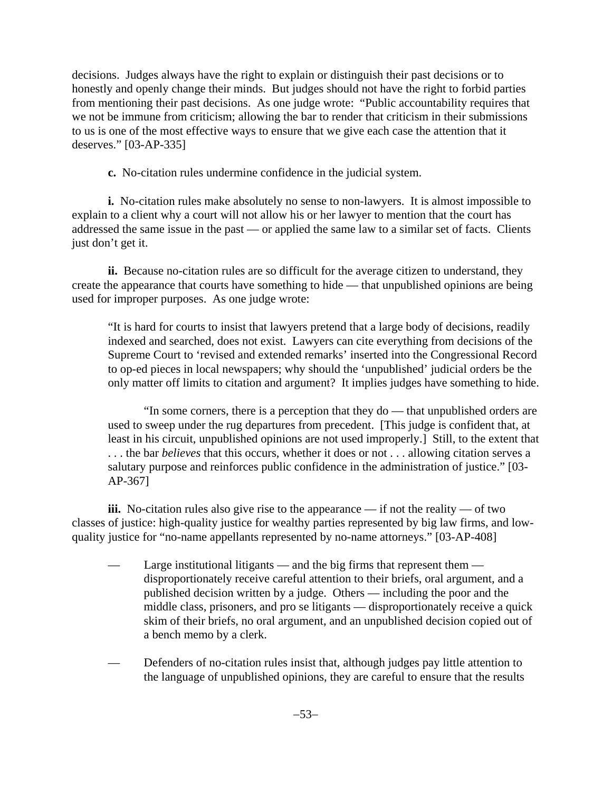decisions. Judges always have the right to explain or distinguish their past decisions or to honestly and openly change their minds. But judges should not have the right to forbid parties from mentioning their past decisions. As one judge wrote: "Public accountability requires that we not be immune from criticism; allowing the bar to render that criticism in their submissions to us is one of the most effective ways to ensure that we give each case the attention that it deserves." [03-AP-335]

**c.** No-citation rules undermine confidence in the judicial system.

**i.** No-citation rules make absolutely no sense to non-lawyers. It is almost impossible to explain to a client why a court will not allow his or her lawyer to mention that the court has addressed the same issue in the past — or applied the same law to a similar set of facts. Clients just don't get it.

**ii.** Because no-citation rules are so difficult for the average citizen to understand, they create the appearance that courts have something to hide — that unpublished opinions are being used for improper purposes. As one judge wrote:

"It is hard for courts to insist that lawyers pretend that a large body of decisions, readily indexed and searched, does not exist. Lawyers can cite everything from decisions of the Supreme Court to 'revised and extended remarks' inserted into the Congressional Record to op-ed pieces in local newspapers; why should the 'unpublished' judicial orders be the only matter off limits to citation and argument? It implies judges have something to hide.

"In some corners, there is a perception that they do — that unpublished orders are used to sweep under the rug departures from precedent. [This judge is confident that, at least in his circuit, unpublished opinions are not used improperly.] Still, to the extent that . . . the bar *believes* that this occurs, whether it does or not . . . allowing citation serves a salutary purpose and reinforces public confidence in the administration of justice." [03- AP-367]

**iii.** No-citation rules also give rise to the appearance — if not the reality — of two classes of justice: high-quality justice for wealthy parties represented by big law firms, and lowquality justice for "no-name appellants represented by no-name attorneys." [03-AP-408]

- Large institutional litigants and the big firms that represent them disproportionately receive careful attention to their briefs, oral argument, and a published decision written by a judge. Others — including the poor and the middle class, prisoners, and pro se litigants — disproportionately receive a quick skim of their briefs, no oral argument, and an unpublished decision copied out of a bench memo by a clerk.
- Defenders of no-citation rules insist that, although judges pay little attention to the language of unpublished opinions, they are careful to ensure that the results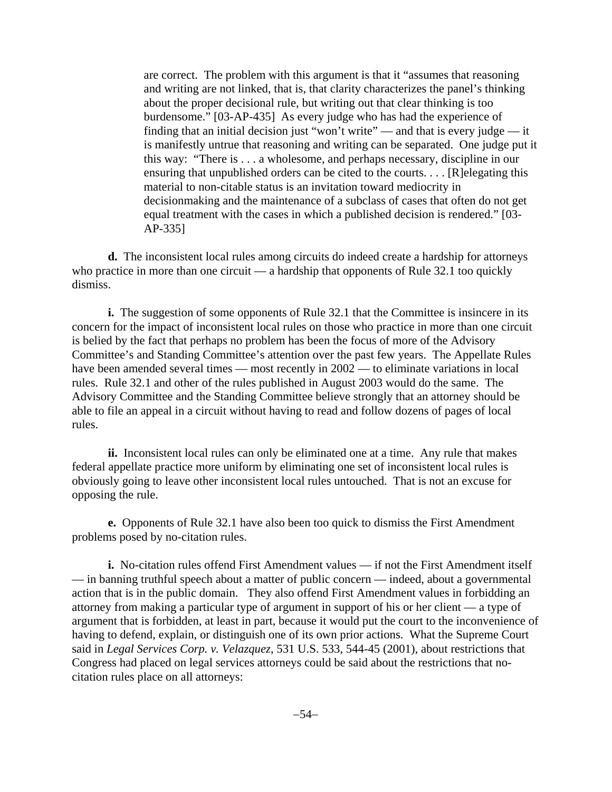are correct. The problem with this argument is that it "assumes that reasoning and writing are not linked, that is, that clarity characterizes the panel's thinking about the proper decisional rule, but writing out that clear thinking is too burdensome." [03-AP-435] As every judge who has had the experience of finding that an initial decision just "won't write" — and that is every judge — it is manifestly untrue that reasoning and writing can be separated. One judge put it this way: "There is . . . a wholesome, and perhaps necessary, discipline in our ensuring that unpublished orders can be cited to the courts. . . . [R]elegating this material to non-citable status is an invitation toward mediocrity in decisionmaking and the maintenance of a subclass of cases that often do not get equal treatment with the cases in which a published decision is rendered." [03- AP-335]

**d.** The inconsistent local rules among circuits do indeed create a hardship for attorneys who practice in more than one circuit — a hardship that opponents of Rule 32.1 too quickly dismiss.

**i.** The suggestion of some opponents of Rule 32.1 that the Committee is insincere in its concern for the impact of inconsistent local rules on those who practice in more than one circuit is belied by the fact that perhaps no problem has been the focus of more of the Advisory Committee's and Standing Committee's attention over the past few years. The Appellate Rules have been amended several times — most recently in  $2002$  — to eliminate variations in local rules. Rule 32.1 and other of the rules published in August 2003 would do the same. The Advisory Committee and the Standing Committee believe strongly that an attorney should be able to file an appeal in a circuit without having to read and follow dozens of pages of local rules.

**ii.** Inconsistent local rules can only be eliminated one at a time. Any rule that makes federal appellate practice more uniform by eliminating one set of inconsistent local rules is obviously going to leave other inconsistent local rules untouched. That is not an excuse for opposing the rule.

**e.** Opponents of Rule 32.1 have also been too quick to dismiss the First Amendment problems posed by no-citation rules.

**i.** No-citation rules offend First Amendment values — if not the First Amendment itself — in banning truthful speech about a matter of public concern — indeed, about a governmental action that is in the public domain. They also offend First Amendment values in forbidding an attorney from making a particular type of argument in support of his or her client — a type of argument that is forbidden, at least in part, because it would put the court to the inconvenience of having to defend, explain, or distinguish one of its own prior actions. What the Supreme Court said in *Legal Services Corp. v. Velazquez*, 531 U.S. 533, 544-45 (2001), about restrictions that Congress had placed on legal services attorneys could be said about the restrictions that nocitation rules place on all attorneys: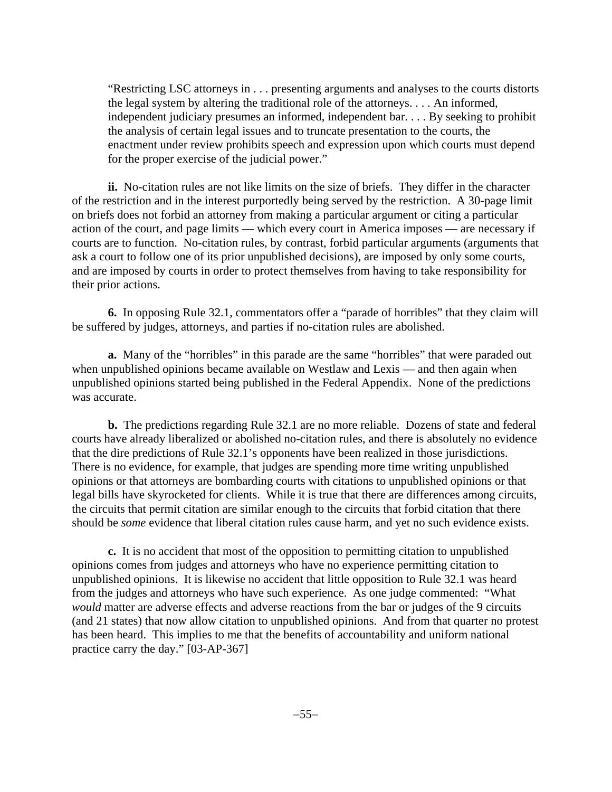"Restricting LSC attorneys in . . . presenting arguments and analyses to the courts distorts the legal system by altering the traditional role of the attorneys. . . . An informed, independent judiciary presumes an informed, independent bar. . . . By seeking to prohibit the analysis of certain legal issues and to truncate presentation to the courts, the enactment under review prohibits speech and expression upon which courts must depend for the proper exercise of the judicial power."

**ii.** No-citation rules are not like limits on the size of briefs. They differ in the character of the restriction and in the interest purportedly being served by the restriction. A 30-page limit on briefs does not forbid an attorney from making a particular argument or citing a particular action of the court, and page limits — which every court in America imposes — are necessary if courts are to function. No-citation rules, by contrast, forbid particular arguments (arguments that ask a court to follow one of its prior unpublished decisions), are imposed by only some courts, and are imposed by courts in order to protect themselves from having to take responsibility for their prior actions.

**6.** In opposing Rule 32.1, commentators offer a "parade of horribles" that they claim will be suffered by judges, attorneys, and parties if no-citation rules are abolished.

**a.** Many of the "horribles" in this parade are the same "horribles" that were paraded out when unpublished opinions became available on Westlaw and Lexis — and then again when unpublished opinions started being published in the Federal Appendix. None of the predictions was accurate.

**b.** The predictions regarding Rule 32.1 are no more reliable. Dozens of state and federal courts have already liberalized or abolished no-citation rules, and there is absolutely no evidence that the dire predictions of Rule 32.1's opponents have been realized in those jurisdictions. There is no evidence, for example, that judges are spending more time writing unpublished opinions or that attorneys are bombarding courts with citations to unpublished opinions or that legal bills have skyrocketed for clients. While it is true that there are differences among circuits, the circuits that permit citation are similar enough to the circuits that forbid citation that there should be *some* evidence that liberal citation rules cause harm, and yet no such evidence exists.

**c.** It is no accident that most of the opposition to permitting citation to unpublished opinions comes from judges and attorneys who have no experience permitting citation to unpublished opinions. It is likewise no accident that little opposition to Rule 32.1 was heard from the judges and attorneys who have such experience. As one judge commented: "What *would* matter are adverse effects and adverse reactions from the bar or judges of the 9 circuits (and 21 states) that now allow citation to unpublished opinions. And from that quarter no protest has been heard. This implies to me that the benefits of accountability and uniform national practice carry the day." [03-AP-367]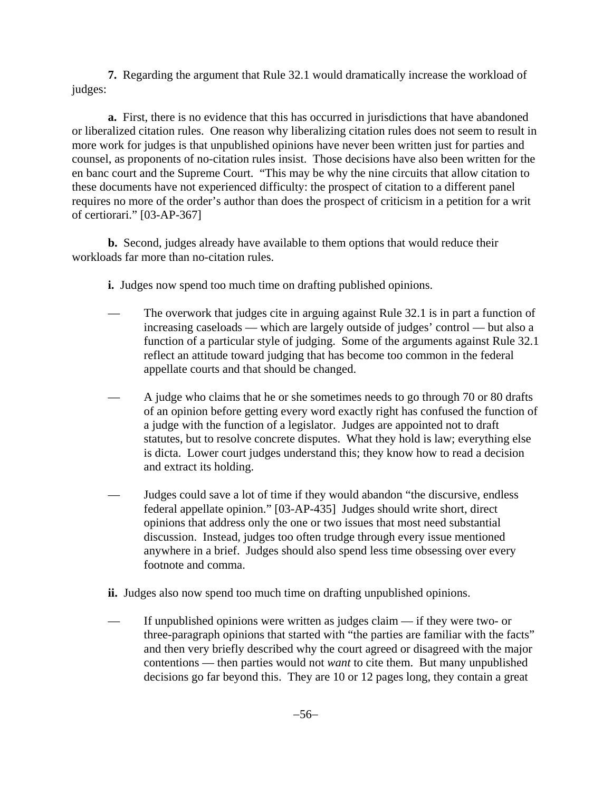**7.** Regarding the argument that Rule 32.1 would dramatically increase the workload of judges:

**a.** First, there is no evidence that this has occurred in jurisdictions that have abandoned or liberalized citation rules. One reason why liberalizing citation rules does not seem to result in more work for judges is that unpublished opinions have never been written just for parties and counsel, as proponents of no-citation rules insist. Those decisions have also been written for the en banc court and the Supreme Court. "This may be why the nine circuits that allow citation to these documents have not experienced difficulty: the prospect of citation to a different panel requires no more of the order's author than does the prospect of criticism in a petition for a writ of certiorari." [03-AP-367]

**b.** Second, judges already have available to them options that would reduce their workloads far more than no-citation rules.

- **i.** Judges now spend too much time on drafting published opinions.
- The overwork that judges cite in arguing against Rule 32.1 is in part a function of increasing caseloads — which are largely outside of judges' control — but also a function of a particular style of judging. Some of the arguments against Rule 32.1 reflect an attitude toward judging that has become too common in the federal appellate courts and that should be changed.
- A judge who claims that he or she sometimes needs to go through 70 or 80 drafts of an opinion before getting every word exactly right has confused the function of a judge with the function of a legislator. Judges are appointed not to draft statutes, but to resolve concrete disputes. What they hold is law; everything else is dicta. Lower court judges understand this; they know how to read a decision and extract its holding.
- Judges could save a lot of time if they would abandon "the discursive, endless federal appellate opinion." [03-AP-435] Judges should write short, direct opinions that address only the one or two issues that most need substantial discussion. Instead, judges too often trudge through every issue mentioned anywhere in a brief. Judges should also spend less time obsessing over every footnote and comma.
- **ii.** Judges also now spend too much time on drafting unpublished opinions.
- If unpublished opinions were written as judges claim  $-$  if they were two- or three-paragraph opinions that started with "the parties are familiar with the facts" and then very briefly described why the court agreed or disagreed with the major contentions — then parties would not *want* to cite them. But many unpublished decisions go far beyond this. They are 10 or 12 pages long, they contain a great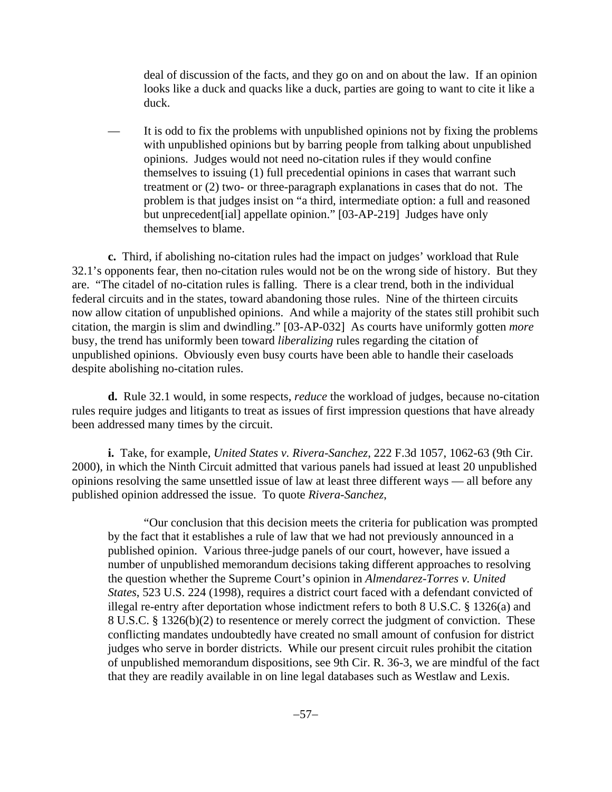deal of discussion of the facts, and they go on and on about the law. If an opinion looks like a duck and quacks like a duck, parties are going to want to cite it like a duck.

It is odd to fix the problems with unpublished opinions not by fixing the problems with unpublished opinions but by barring people from talking about unpublished opinions. Judges would not need no-citation rules if they would confine themselves to issuing (1) full precedential opinions in cases that warrant such treatment or (2) two- or three-paragraph explanations in cases that do not. The problem is that judges insist on "a third, intermediate option: a full and reasoned but unprecedent[ial] appellate opinion." [03-AP-219] Judges have only themselves to blame.

**c.** Third, if abolishing no-citation rules had the impact on judges' workload that Rule 32.1's opponents fear, then no-citation rules would not be on the wrong side of history. But they are. "The citadel of no-citation rules is falling. There is a clear trend, both in the individual federal circuits and in the states, toward abandoning those rules. Nine of the thirteen circuits now allow citation of unpublished opinions. And while a majority of the states still prohibit such citation, the margin is slim and dwindling." [03-AP-032] As courts have uniformly gotten *more* busy, the trend has uniformly been toward *liberalizing* rules regarding the citation of unpublished opinions. Obviously even busy courts have been able to handle their caseloads despite abolishing no-citation rules.

**d.** Rule 32.1 would, in some respects, *reduce* the workload of judges, because no-citation rules require judges and litigants to treat as issues of first impression questions that have already been addressed many times by the circuit.

**i.** Take, for example, *United States v. Rivera-Sanchez*, 222 F.3d 1057, 1062-63 (9th Cir. 2000), in which the Ninth Circuit admitted that various panels had issued at least 20 unpublished opinions resolving the same unsettled issue of law at least three different ways — all before any published opinion addressed the issue. To quote *Rivera-Sanchez*,

"Our conclusion that this decision meets the criteria for publication was prompted by the fact that it establishes a rule of law that we had not previously announced in a published opinion. Various three-judge panels of our court, however, have issued a number of unpublished memorandum decisions taking different approaches to resolving the question whether the Supreme Court's opinion in *Almendarez-Torres v. United States*, 523 U.S. 224 (1998), requires a district court faced with a defendant convicted of illegal re-entry after deportation whose indictment refers to both 8 U.S.C. § 1326(a) and 8 U.S.C. § 1326(b)(2) to resentence or merely correct the judgment of conviction. These conflicting mandates undoubtedly have created no small amount of confusion for district judges who serve in border districts. While our present circuit rules prohibit the citation of unpublished memorandum dispositions, see 9th Cir. R. 36-3, we are mindful of the fact that they are readily available in on line legal databases such as Westlaw and Lexis.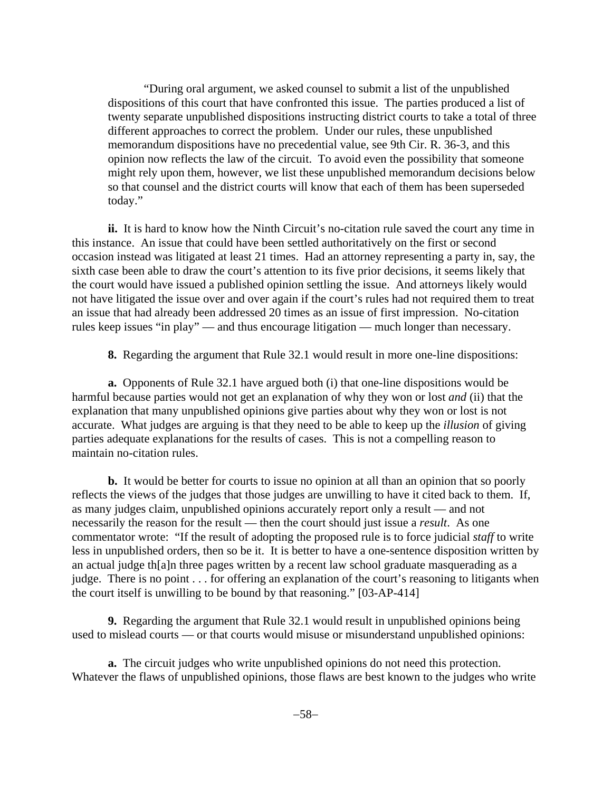"During oral argument, we asked counsel to submit a list of the unpublished dispositions of this court that have confronted this issue. The parties produced a list of twenty separate unpublished dispositions instructing district courts to take a total of three different approaches to correct the problem. Under our rules, these unpublished memorandum dispositions have no precedential value, see 9th Cir. R. 36-3, and this opinion now reflects the law of the circuit. To avoid even the possibility that someone might rely upon them, however, we list these unpublished memorandum decisions below so that counsel and the district courts will know that each of them has been superseded today."

**ii.** It is hard to know how the Ninth Circuit's no-citation rule saved the court any time in this instance. An issue that could have been settled authoritatively on the first or second occasion instead was litigated at least 21 times. Had an attorney representing a party in, say, the sixth case been able to draw the court's attention to its five prior decisions, it seems likely that the court would have issued a published opinion settling the issue. And attorneys likely would not have litigated the issue over and over again if the court's rules had not required them to treat an issue that had already been addressed 20 times as an issue of first impression. No-citation rules keep issues "in play" — and thus encourage litigation — much longer than necessary.

**8.** Regarding the argument that Rule 32.1 would result in more one-line dispositions:

**a.** Opponents of Rule 32.1 have argued both (i) that one-line dispositions would be harmful because parties would not get an explanation of why they won or lost *and* (ii) that the explanation that many unpublished opinions give parties about why they won or lost is not accurate. What judges are arguing is that they need to be able to keep up the *illusion* of giving parties adequate explanations for the results of cases. This is not a compelling reason to maintain no-citation rules.

**b.** It would be better for courts to issue no opinion at all than an opinion that so poorly reflects the views of the judges that those judges are unwilling to have it cited back to them. If, as many judges claim, unpublished opinions accurately report only a result — and not necessarily the reason for the result — then the court should just issue a *result*. As one commentator wrote: "If the result of adopting the proposed rule is to force judicial *staff* to write less in unpublished orders, then so be it. It is better to have a one-sentence disposition written by an actual judge th[a]n three pages written by a recent law school graduate masquerading as a judge. There is no point . . . for offering an explanation of the court's reasoning to litigants when the court itself is unwilling to be bound by that reasoning." [03-AP-414]

**9.** Regarding the argument that Rule 32.1 would result in unpublished opinions being used to mislead courts — or that courts would misuse or misunderstand unpublished opinions:

**a.** The circuit judges who write unpublished opinions do not need this protection. Whatever the flaws of unpublished opinions, those flaws are best known to the judges who write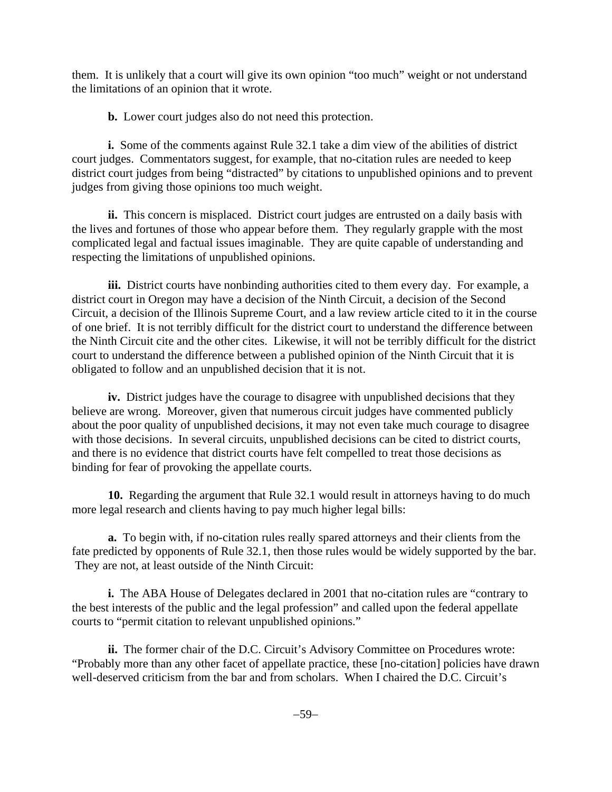them. It is unlikely that a court will give its own opinion "too much" weight or not understand the limitations of an opinion that it wrote.

**b.** Lower court judges also do not need this protection.

**i.** Some of the comments against Rule 32.1 take a dim view of the abilities of district court judges. Commentators suggest, for example, that no-citation rules are needed to keep district court judges from being "distracted" by citations to unpublished opinions and to prevent judges from giving those opinions too much weight.

**ii.** This concern is misplaced. District court judges are entrusted on a daily basis with the lives and fortunes of those who appear before them. They regularly grapple with the most complicated legal and factual issues imaginable. They are quite capable of understanding and respecting the limitations of unpublished opinions.

iii. District courts have nonbinding authorities cited to them every day. For example, a district court in Oregon may have a decision of the Ninth Circuit, a decision of the Second Circuit, a decision of the Illinois Supreme Court, and a law review article cited to it in the course of one brief. It is not terribly difficult for the district court to understand the difference between the Ninth Circuit cite and the other cites. Likewise, it will not be terribly difficult for the district court to understand the difference between a published opinion of the Ninth Circuit that it is obligated to follow and an unpublished decision that it is not.

**iv.** District judges have the courage to disagree with unpublished decisions that they believe are wrong. Moreover, given that numerous circuit judges have commented publicly about the poor quality of unpublished decisions, it may not even take much courage to disagree with those decisions. In several circuits, unpublished decisions can be cited to district courts, and there is no evidence that district courts have felt compelled to treat those decisions as binding for fear of provoking the appellate courts.

**10.** Regarding the argument that Rule 32.1 would result in attorneys having to do much more legal research and clients having to pay much higher legal bills:

**a.** To begin with, if no-citation rules really spared attorneys and their clients from the fate predicted by opponents of Rule 32.1, then those rules would be widely supported by the bar. They are not, at least outside of the Ninth Circuit:

**i.** The ABA House of Delegates declared in 2001 that no-citation rules are "contrary to the best interests of the public and the legal profession" and called upon the federal appellate courts to "permit citation to relevant unpublished opinions."

**ii.** The former chair of the D.C. Circuit's Advisory Committee on Procedures wrote: "Probably more than any other facet of appellate practice, these [no-citation] policies have drawn well-deserved criticism from the bar and from scholars. When I chaired the D.C. Circuit's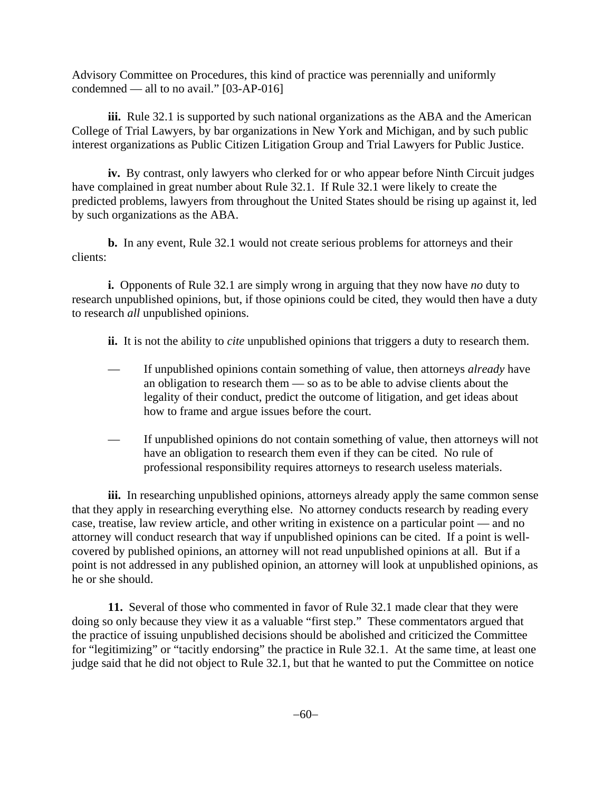Advisory Committee on Procedures, this kind of practice was perennially and uniformly condemned — all to no avail." [03-AP-016]

**iii.** Rule 32.1 is supported by such national organizations as the ABA and the American College of Trial Lawyers, by bar organizations in New York and Michigan, and by such public interest organizations as Public Citizen Litigation Group and Trial Lawyers for Public Justice.

**iv.** By contrast, only lawyers who clerked for or who appear before Ninth Circuit judges have complained in great number about Rule 32.1. If Rule 32.1 were likely to create the predicted problems, lawyers from throughout the United States should be rising up against it, led by such organizations as the ABA.

**b.** In any event, Rule 32.1 would not create serious problems for attorneys and their clients:

**i.** Opponents of Rule 32.1 are simply wrong in arguing that they now have *no* duty to research unpublished opinions, but, if those opinions could be cited, they would then have a duty to research *all* unpublished opinions.

**ii.** It is not the ability to *cite* unpublished opinions that triggers a duty to research them.

- If unpublished opinions contain something of value, then attorneys *already* have an obligation to research them — so as to be able to advise clients about the legality of their conduct, predict the outcome of litigation, and get ideas about how to frame and argue issues before the court.
- If unpublished opinions do not contain something of value, then attorneys will not have an obligation to research them even if they can be cited. No rule of professional responsibility requires attorneys to research useless materials.

**iii.** In researching unpublished opinions, attorneys already apply the same common sense that they apply in researching everything else. No attorney conducts research by reading every case, treatise, law review article, and other writing in existence on a particular point — and no attorney will conduct research that way if unpublished opinions can be cited. If a point is wellcovered by published opinions, an attorney will not read unpublished opinions at all. But if a point is not addressed in any published opinion, an attorney will look at unpublished opinions, as he or she should.

**11.** Several of those who commented in favor of Rule 32.1 made clear that they were doing so only because they view it as a valuable "first step." These commentators argued that the practice of issuing unpublished decisions should be abolished and criticized the Committee for "legitimizing" or "tacitly endorsing" the practice in Rule 32.1. At the same time, at least one judge said that he did not object to Rule 32.1, but that he wanted to put the Committee on notice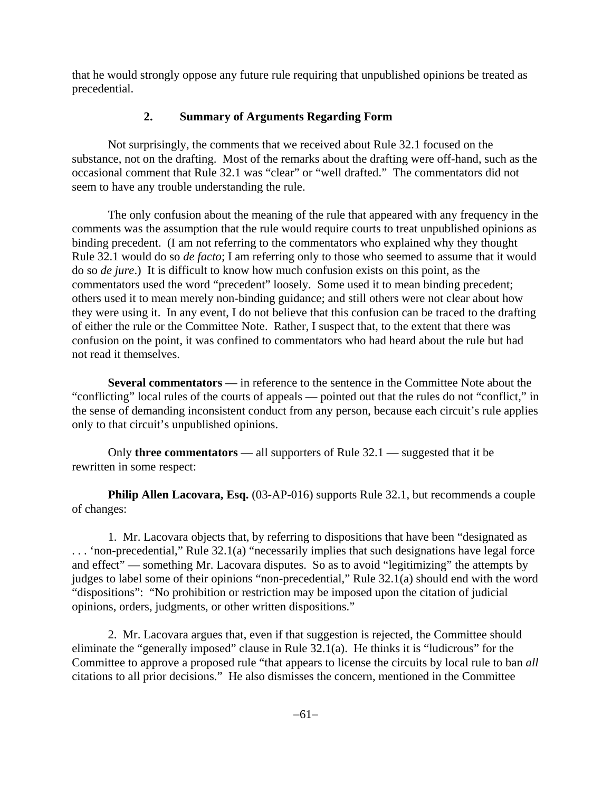that he would strongly oppose any future rule requiring that unpublished opinions be treated as precedential.

# **2. Summary of Arguments Regarding Form**

Not surprisingly, the comments that we received about Rule 32.1 focused on the substance, not on the drafting. Most of the remarks about the drafting were off-hand, such as the occasional comment that Rule 32.1 was "clear" or "well drafted." The commentators did not seem to have any trouble understanding the rule.

The only confusion about the meaning of the rule that appeared with any frequency in the comments was the assumption that the rule would require courts to treat unpublished opinions as binding precedent. (I am not referring to the commentators who explained why they thought Rule 32.1 would do so *de facto*; I am referring only to those who seemed to assume that it would do so *de jure*.) It is difficult to know how much confusion exists on this point, as the commentators used the word "precedent" loosely. Some used it to mean binding precedent; others used it to mean merely non-binding guidance; and still others were not clear about how they were using it. In any event, I do not believe that this confusion can be traced to the drafting of either the rule or the Committee Note. Rather, I suspect that, to the extent that there was confusion on the point, it was confined to commentators who had heard about the rule but had not read it themselves.

**Several commentators** — in reference to the sentence in the Committee Note about the "conflicting" local rules of the courts of appeals — pointed out that the rules do not "conflict," in the sense of demanding inconsistent conduct from any person, because each circuit's rule applies only to that circuit's unpublished opinions.

Only **three commentators** — all supporters of Rule 32.1 — suggested that it be rewritten in some respect:

**Philip Allen Lacovara, Esq.** (03-AP-016) supports Rule 32.1, but recommends a couple of changes:

1. Mr. Lacovara objects that, by referring to dispositions that have been "designated as . . . 'non-precedential," Rule 32.1(a) "necessarily implies that such designations have legal force and effect" — something Mr. Lacovara disputes. So as to avoid "legitimizing" the attempts by judges to label some of their opinions "non-precedential," Rule 32.1(a) should end with the word "dispositions": "No prohibition or restriction may be imposed upon the citation of judicial opinions, orders, judgments, or other written dispositions."

2. Mr. Lacovara argues that, even if that suggestion is rejected, the Committee should eliminate the "generally imposed" clause in Rule 32.1(a). He thinks it is "ludicrous" for the Committee to approve a proposed rule "that appears to license the circuits by local rule to ban *all* citations to all prior decisions." He also dismisses the concern, mentioned in the Committee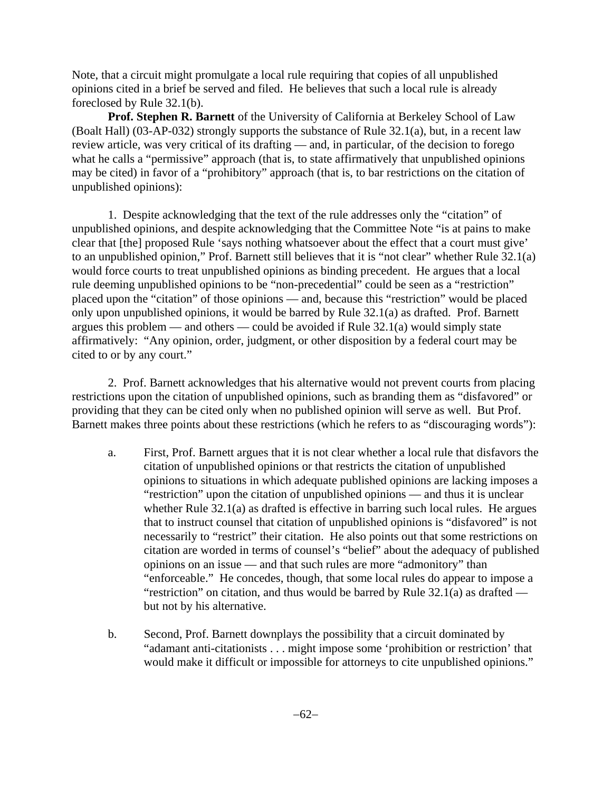Note, that a circuit might promulgate a local rule requiring that copies of all unpublished opinions cited in a brief be served and filed. He believes that such a local rule is already foreclosed by Rule 32.1(b).

**Prof. Stephen R. Barnett** of the University of California at Berkeley School of Law (Boalt Hall) (03-AP-032) strongly supports the substance of Rule 32.1(a), but, in a recent law review article, was very critical of its drafting — and, in particular, of the decision to forego what he calls a "permissive" approach (that is, to state affirmatively that unpublished opinions may be cited) in favor of a "prohibitory" approach (that is, to bar restrictions on the citation of unpublished opinions):

1. Despite acknowledging that the text of the rule addresses only the "citation" of unpublished opinions, and despite acknowledging that the Committee Note "is at pains to make clear that [the] proposed Rule 'says nothing whatsoever about the effect that a court must give' to an unpublished opinion," Prof. Barnett still believes that it is "not clear" whether Rule 32.1(a) would force courts to treat unpublished opinions as binding precedent. He argues that a local rule deeming unpublished opinions to be "non-precedential" could be seen as a "restriction" placed upon the "citation" of those opinions — and, because this "restriction" would be placed only upon unpublished opinions, it would be barred by Rule 32.1(a) as drafted. Prof. Barnett argues this problem — and others — could be avoided if Rule 32.1(a) would simply state affirmatively: "Any opinion, order, judgment, or other disposition by a federal court may be cited to or by any court."

2. Prof. Barnett acknowledges that his alternative would not prevent courts from placing restrictions upon the citation of unpublished opinions, such as branding them as "disfavored" or providing that they can be cited only when no published opinion will serve as well. But Prof. Barnett makes three points about these restrictions (which he refers to as "discouraging words"):

- a. First, Prof. Barnett argues that it is not clear whether a local rule that disfavors the citation of unpublished opinions or that restricts the citation of unpublished opinions to situations in which adequate published opinions are lacking imposes a "restriction" upon the citation of unpublished opinions — and thus it is unclear whether Rule 32.1(a) as drafted is effective in barring such local rules. He argues that to instruct counsel that citation of unpublished opinions is "disfavored" is not necessarily to "restrict" their citation. He also points out that some restrictions on citation are worded in terms of counsel's "belief" about the adequacy of published opinions on an issue — and that such rules are more "admonitory" than "enforceable." He concedes, though, that some local rules do appear to impose a "restriction" on citation, and thus would be barred by Rule  $32.1(a)$  as drafted but not by his alternative.
- b. Second, Prof. Barnett downplays the possibility that a circuit dominated by "adamant anti-citationists . . . might impose some 'prohibition or restriction' that would make it difficult or impossible for attorneys to cite unpublished opinions."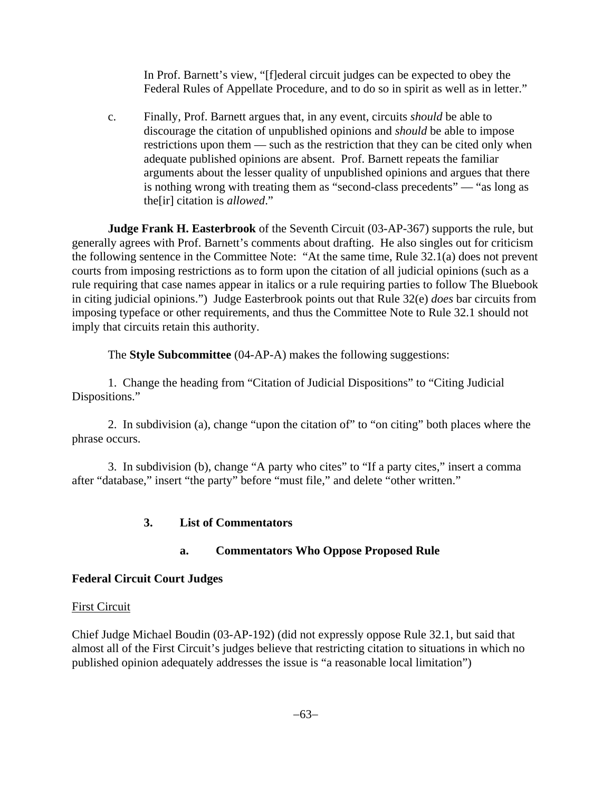In Prof. Barnett's view, "[f]ederal circuit judges can be expected to obey the Federal Rules of Appellate Procedure, and to do so in spirit as well as in letter."

c. Finally, Prof. Barnett argues that, in any event, circuits *should* be able to discourage the citation of unpublished opinions and *should* be able to impose restrictions upon them — such as the restriction that they can be cited only when adequate published opinions are absent. Prof. Barnett repeats the familiar arguments about the lesser quality of unpublished opinions and argues that there is nothing wrong with treating them as "second-class precedents" — "as long as the[ir] citation is *allowed*."

**Judge Frank H. Easterbrook** of the Seventh Circuit (03-AP-367) supports the rule, but generally agrees with Prof. Barnett's comments about drafting. He also singles out for criticism the following sentence in the Committee Note: "At the same time, Rule 32.1(a) does not prevent courts from imposing restrictions as to form upon the citation of all judicial opinions (such as a rule requiring that case names appear in italics or a rule requiring parties to follow The Bluebook in citing judicial opinions.") Judge Easterbrook points out that Rule 32(e) *does* bar circuits from imposing typeface or other requirements, and thus the Committee Note to Rule 32.1 should not imply that circuits retain this authority.

The **Style Subcommittee** (04-AP-A) makes the following suggestions:

1. Change the heading from "Citation of Judicial Dispositions" to "Citing Judicial Dispositions."

2. In subdivision (a), change "upon the citation of" to "on citing" both places where the phrase occurs.

3. In subdivision (b), change "A party who cites" to "If a party cites," insert a comma after "database," insert "the party" before "must file," and delete "other written."

# **3. List of Commentators**

# **a. Commentators Who Oppose Proposed Rule**

# **Federal Circuit Court Judges**

### First Circuit

Chief Judge Michael Boudin (03-AP-192) (did not expressly oppose Rule 32.1, but said that almost all of the First Circuit's judges believe that restricting citation to situations in which no published opinion adequately addresses the issue is "a reasonable local limitation")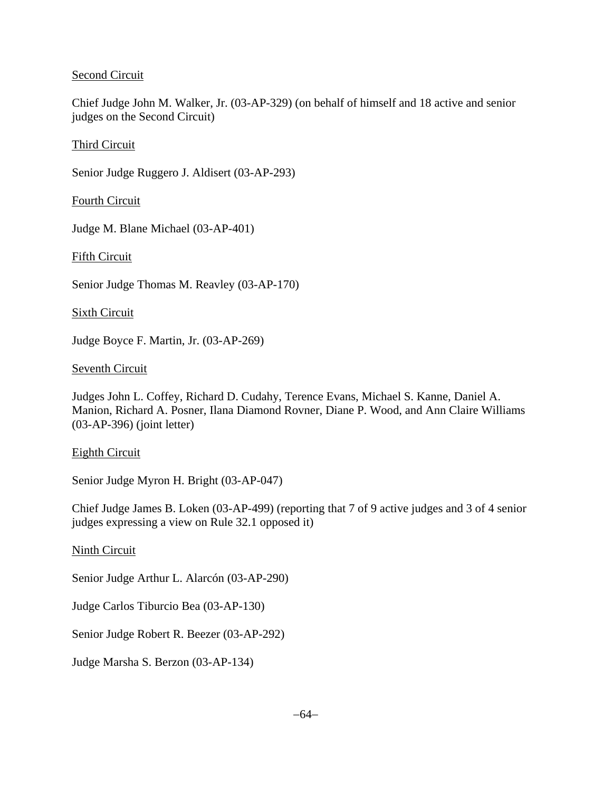## Second Circuit

Chief Judge John M. Walker, Jr. (03-AP-329) (on behalf of himself and 18 active and senior judges on the Second Circuit)

## Third Circuit

Senior Judge Ruggero J. Aldisert (03-AP-293)

Fourth Circuit

Judge M. Blane Michael (03-AP-401)

Fifth Circuit

Senior Judge Thomas M. Reavley (03-AP-170)

Sixth Circuit

Judge Boyce F. Martin, Jr. (03-AP-269)

### Seventh Circuit

Judges John L. Coffey, Richard D. Cudahy, Terence Evans, Michael S. Kanne, Daniel A. Manion, Richard A. Posner, Ilana Diamond Rovner, Diane P. Wood, and Ann Claire Williams (03-AP-396) (joint letter)

### Eighth Circuit

Senior Judge Myron H. Bright (03-AP-047)

Chief Judge James B. Loken (03-AP-499) (reporting that 7 of 9 active judges and 3 of 4 senior judges expressing a view on Rule 32.1 opposed it)

Ninth Circuit

Senior Judge Arthur L. Alarcón (03-AP-290)

Judge Carlos Tiburcio Bea (03-AP-130)

Senior Judge Robert R. Beezer (03-AP-292)

Judge Marsha S. Berzon (03-AP-134)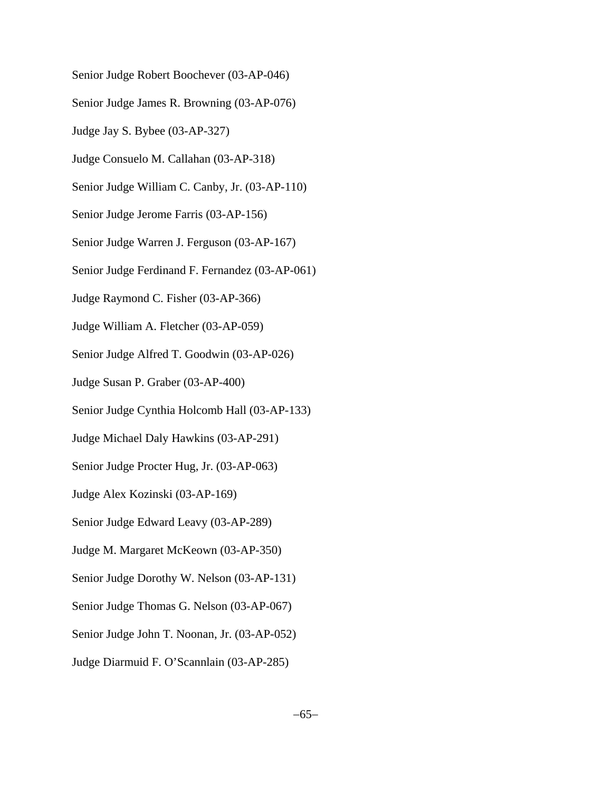- Senior Judge Robert Boochever (03-AP-046)
- Senior Judge James R. Browning (03-AP-076)
- Judge Jay S. Bybee (03-AP-327)
- Judge Consuelo M. Callahan (03-AP-318)
- Senior Judge William C. Canby, Jr. (03-AP-110)
- Senior Judge Jerome Farris (03-AP-156)
- Senior Judge Warren J. Ferguson (03-AP-167)
- Senior Judge Ferdinand F. Fernandez (03-AP-061)
- Judge Raymond C. Fisher (03-AP-366)
- Judge William A. Fletcher (03-AP-059)
- Senior Judge Alfred T. Goodwin (03-AP-026)
- Judge Susan P. Graber (03-AP-400)
- Senior Judge Cynthia Holcomb Hall (03-AP-133)
- Judge Michael Daly Hawkins (03-AP-291)
- Senior Judge Procter Hug, Jr. (03-AP-063)
- Judge Alex Kozinski (03-AP-169)
- Senior Judge Edward Leavy (03-AP-289)
- Judge M. Margaret McKeown (03-AP-350)
- Senior Judge Dorothy W. Nelson (03-AP-131)
- Senior Judge Thomas G. Nelson (03-AP-067)
- Senior Judge John T. Noonan, Jr. (03-AP-052)
- Judge Diarmuid F. O'Scannlain (03-AP-285)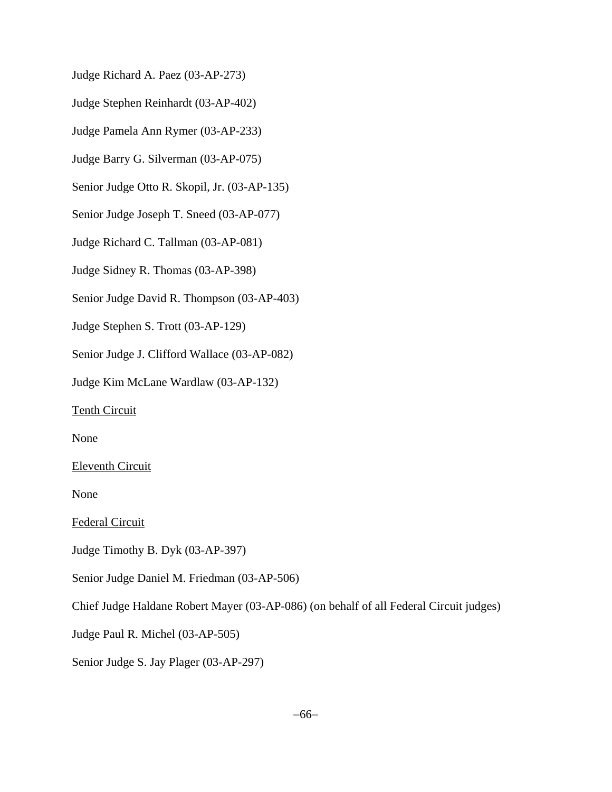Judge Richard A. Paez (03-AP-273)

Judge Stephen Reinhardt (03-AP-402)

Judge Pamela Ann Rymer (03-AP-233)

Judge Barry G. Silverman (03-AP-075)

Senior Judge Otto R. Skopil, Jr. (03-AP-135)

Senior Judge Joseph T. Sneed (03-AP-077)

Judge Richard C. Tallman (03-AP-081)

Judge Sidney R. Thomas (03-AP-398)

Senior Judge David R. Thompson (03-AP-403)

Judge Stephen S. Trott (03-AP-129)

Senior Judge J. Clifford Wallace (03-AP-082)

Judge Kim McLane Wardlaw (03-AP-132)

Tenth Circuit

None

Eleventh Circuit

None

Federal Circuit

Judge Timothy B. Dyk (03-AP-397)

Senior Judge Daniel M. Friedman (03-AP-506)

Chief Judge Haldane Robert Mayer (03-AP-086) (on behalf of all Federal Circuit judges)

Judge Paul R. Michel (03-AP-505)

Senior Judge S. Jay Plager (03-AP-297)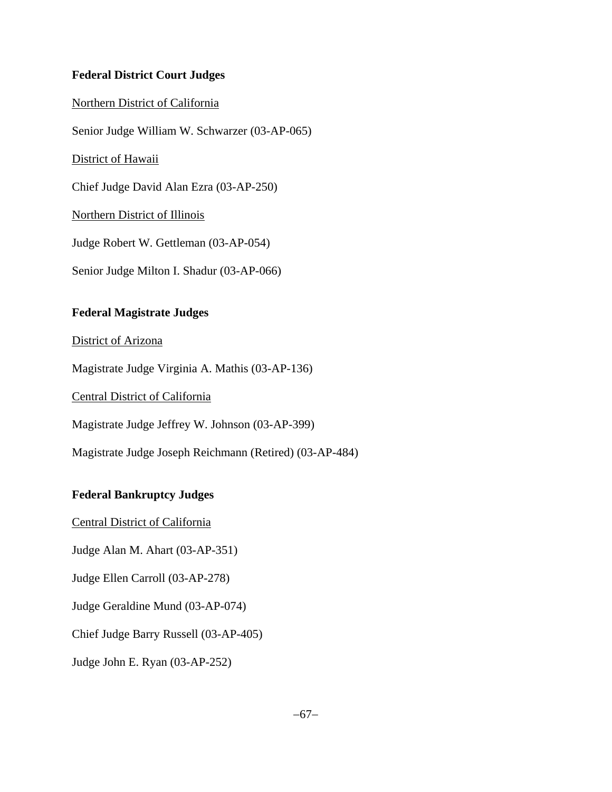# **Federal District Court Judges**

## Northern District of California

Senior Judge William W. Schwarzer (03-AP-065)

## District of Hawaii

Chief Judge David Alan Ezra (03-AP-250)

Northern District of Illinois

Judge Robert W. Gettleman (03-AP-054)

Senior Judge Milton I. Shadur (03-AP-066)

# **Federal Magistrate Judges**

District of Arizona

Magistrate Judge Virginia A. Mathis (03-AP-136)

Central District of California

Magistrate Judge Jeffrey W. Johnson (03-AP-399)

Magistrate Judge Joseph Reichmann (Retired) (03-AP-484)

# **Federal Bankruptcy Judges**

Central District of California

Judge Alan M. Ahart (03-AP-351)

Judge Ellen Carroll (03-AP-278)

Judge Geraldine Mund (03-AP-074)

Chief Judge Barry Russell (03-AP-405)

Judge John E. Ryan (03-AP-252)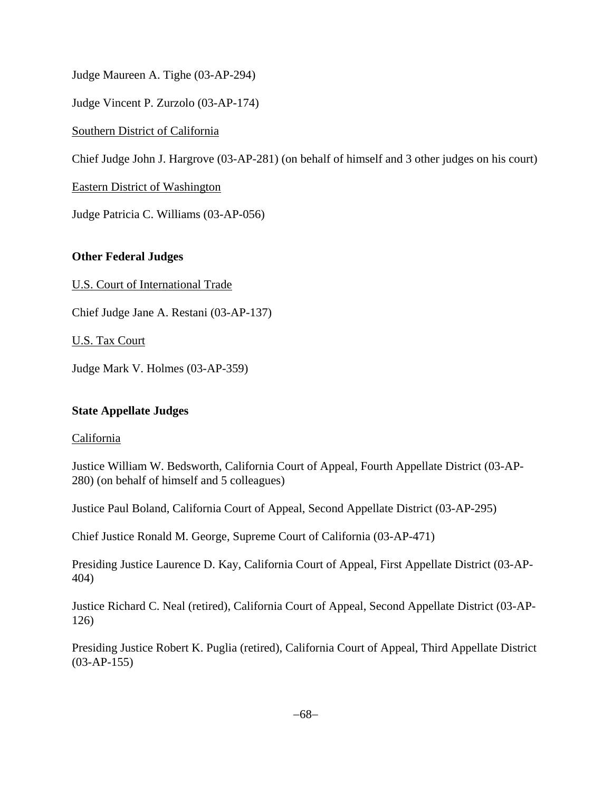Judge Maureen A. Tighe (03-AP-294)

Judge Vincent P. Zurzolo (03-AP-174)

Southern District of California

Chief Judge John J. Hargrove (03-AP-281) (on behalf of himself and 3 other judges on his court)

Eastern District of Washington

Judge Patricia C. Williams (03-AP-056)

# **Other Federal Judges**

U.S. Court of International Trade

Chief Judge Jane A. Restani (03-AP-137)

U.S. Tax Court

Judge Mark V. Holmes (03-AP-359)

# **State Appellate Judges**

# California

Justice William W. Bedsworth, California Court of Appeal, Fourth Appellate District (03-AP-280) (on behalf of himself and 5 colleagues)

Justice Paul Boland, California Court of Appeal, Second Appellate District (03-AP-295)

Chief Justice Ronald M. George, Supreme Court of California (03-AP-471)

Presiding Justice Laurence D. Kay, California Court of Appeal, First Appellate District (03-AP-404)

Justice Richard C. Neal (retired), California Court of Appeal, Second Appellate District (03-AP-126)

Presiding Justice Robert K. Puglia (retired), California Court of Appeal, Third Appellate District (03-AP-155)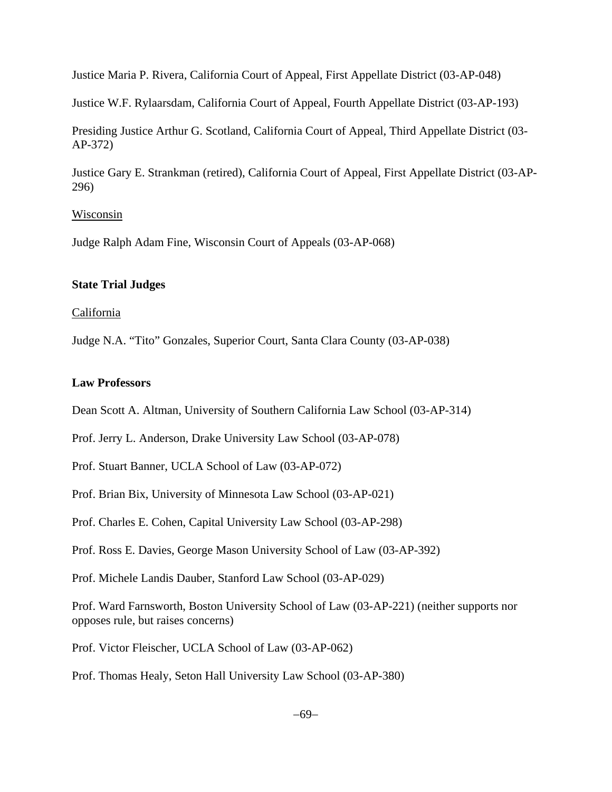Justice Maria P. Rivera, California Court of Appeal, First Appellate District (03-AP-048)

Justice W.F. Rylaarsdam, California Court of Appeal, Fourth Appellate District (03-AP-193)

Presiding Justice Arthur G. Scotland, California Court of Appeal, Third Appellate District (03- AP-372)

Justice Gary E. Strankman (retired), California Court of Appeal, First Appellate District (03-AP-296)

### Wisconsin

Judge Ralph Adam Fine, Wisconsin Court of Appeals (03-AP-068)

### **State Trial Judges**

### California

Judge N.A. "Tito" Gonzales, Superior Court, Santa Clara County (03-AP-038)

### **Law Professors**

Dean Scott A. Altman, University of Southern California Law School (03-AP-314)

Prof. Jerry L. Anderson, Drake University Law School (03-AP-078)

Prof. Stuart Banner, UCLA School of Law (03-AP-072)

Prof. Brian Bix, University of Minnesota Law School (03-AP-021)

Prof. Charles E. Cohen, Capital University Law School (03-AP-298)

Prof. Ross E. Davies, George Mason University School of Law (03-AP-392)

Prof. Michele Landis Dauber, Stanford Law School (03-AP-029)

Prof. Ward Farnsworth, Boston University School of Law (03-AP-221) (neither supports nor opposes rule, but raises concerns)

Prof. Victor Fleischer, UCLA School of Law (03-AP-062)

Prof. Thomas Healy, Seton Hall University Law School (03-AP-380)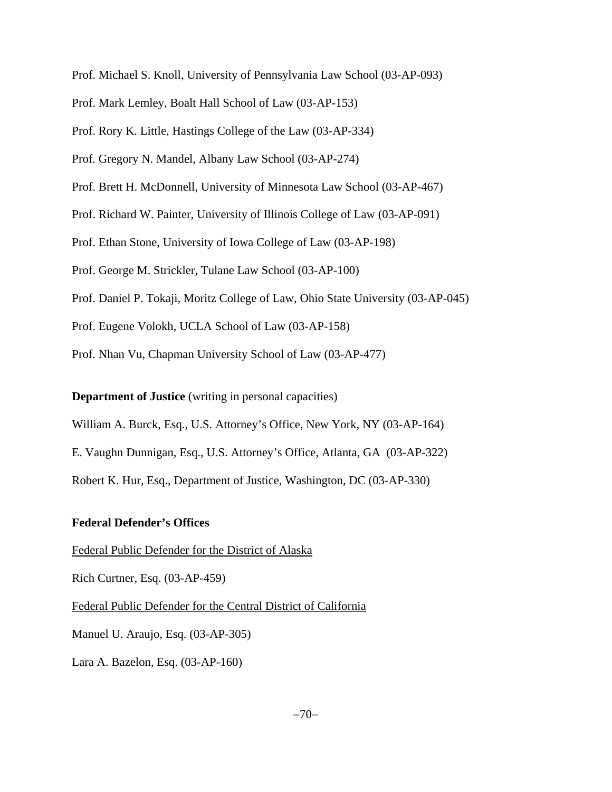Prof. Michael S. Knoll, University of Pennsylvania Law School (03-AP-093)

Prof. Mark Lemley, Boalt Hall School of Law (03-AP-153)

Prof. Rory K. Little, Hastings College of the Law (03-AP-334)

Prof. Gregory N. Mandel, Albany Law School (03-AP-274)

Prof. Brett H. McDonnell, University of Minnesota Law School (03-AP-467)

Prof. Richard W. Painter, University of Illinois College of Law (03-AP-091)

Prof. Ethan Stone, University of Iowa College of Law (03-AP-198)

Prof. George M. Strickler, Tulane Law School (03-AP-100)

Prof. Daniel P. Tokaji, Moritz College of Law, Ohio State University (03-AP-045)

Prof. Eugene Volokh, UCLA School of Law (03-AP-158)

Prof. Nhan Vu, Chapman University School of Law (03-AP-477)

**Department of Justice** (writing in personal capacities)

William A. Burck, Esq., U.S. Attorney's Office, New York, NY (03-AP-164)

E. Vaughn Dunnigan, Esq., U.S. Attorney's Office, Atlanta, GA (03-AP-322)

Robert K. Hur, Esq., Department of Justice, Washington, DC (03-AP-330)

### **Federal Defender's Offices**

Federal Public Defender for the District of Alaska

Rich Curtner, Esq. (03-AP-459)

Federal Public Defender for the Central District of California

Manuel U. Araujo, Esq. (03-AP-305)

Lara A. Bazelon, Esq. (03-AP-160)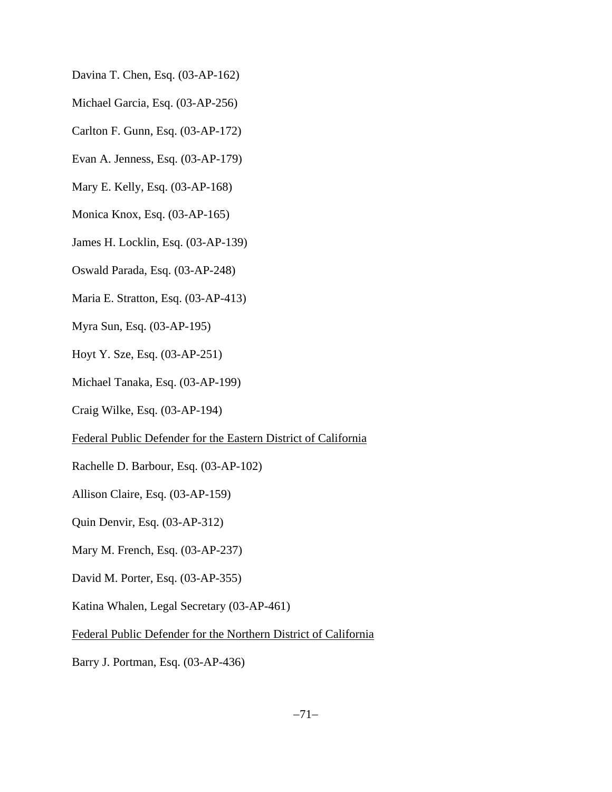- Davina T. Chen, Esq. (03-AP-162)
- Michael Garcia, Esq. (03-AP-256)
- Carlton F. Gunn, Esq. (03-AP-172)
- Evan A. Jenness, Esq. (03-AP-179)
- Mary E. Kelly, Esq. (03-AP-168)
- Monica Knox, Esq. (03-AP-165)
- James H. Locklin, Esq. (03-AP-139)
- Oswald Parada, Esq. (03-AP-248)
- Maria E. Stratton, Esq. (03-AP-413)
- Myra Sun, Esq. (03-AP-195)
- Hoyt Y. Sze, Esq. (03-AP-251)
- Michael Tanaka, Esq. (03-AP-199)
- Craig Wilke, Esq. (03-AP-194)
- Federal Public Defender for the Eastern District of California
- Rachelle D. Barbour, Esq. (03-AP-102)
- Allison Claire, Esq. (03-AP-159)
- Quin Denvir, Esq. (03-AP-312)
- Mary M. French, Esq. (03-AP-237)
- David M. Porter, Esq. (03-AP-355)
- Katina Whalen, Legal Secretary (03-AP-461)
- Federal Public Defender for the Northern District of California
- Barry J. Portman, Esq. (03-AP-436)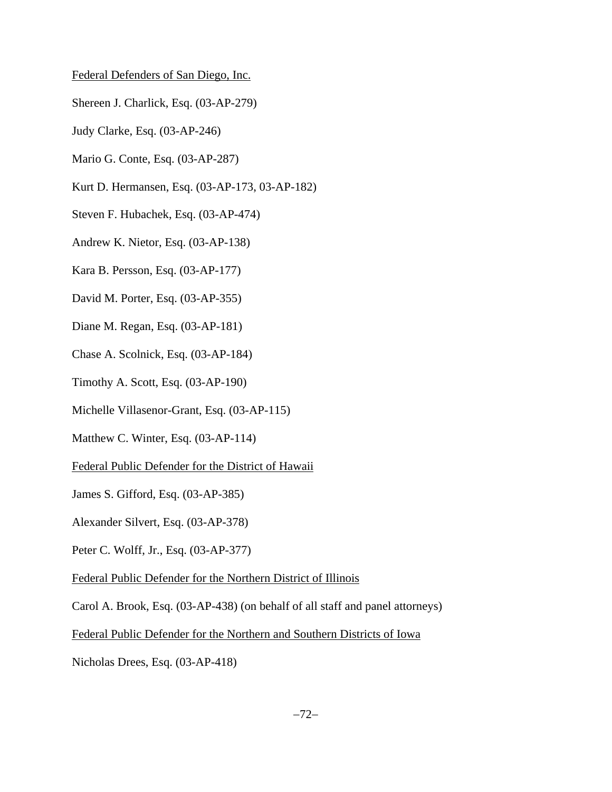### Federal Defenders of San Diego, Inc.

- Shereen J. Charlick, Esq. (03-AP-279)
- Judy Clarke, Esq. (03-AP-246)
- Mario G. Conte, Esq. (03-AP-287)
- Kurt D. Hermansen, Esq. (03-AP-173, 03-AP-182)
- Steven F. Hubachek, Esq. (03-AP-474)
- Andrew K. Nietor, Esq. (03-AP-138)
- Kara B. Persson, Esq. (03-AP-177)
- David M. Porter, Esq. (03-AP-355)
- Diane M. Regan, Esq. (03-AP-181)
- Chase A. Scolnick, Esq. (03-AP-184)
- Timothy A. Scott, Esq. (03-AP-190)
- Michelle Villasenor-Grant, Esq. (03-AP-115)
- Matthew C. Winter, Esq. (03-AP-114)
- Federal Public Defender for the District of Hawaii
- James S. Gifford, Esq. (03-AP-385)
- Alexander Silvert, Esq. (03-AP-378)
- Peter C. Wolff, Jr., Esq. (03-AP-377)
- Federal Public Defender for the Northern District of Illinois
- Carol A. Brook, Esq. (03-AP-438) (on behalf of all staff and panel attorneys)
- Federal Public Defender for the Northern and Southern Districts of Iowa
- Nicholas Drees, Esq. (03-AP-418)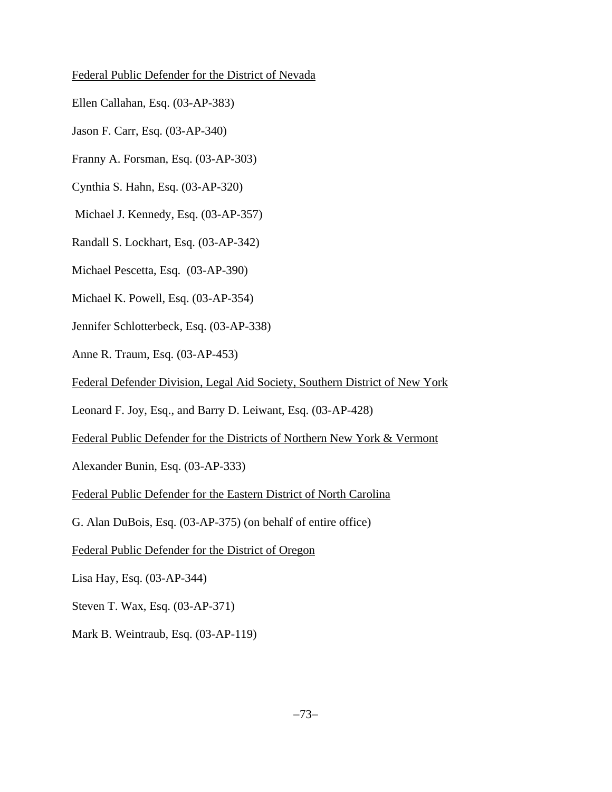### Federal Public Defender for the District of Nevada

- Ellen Callahan, Esq. (03-AP-383)
- Jason F. Carr, Esq. (03-AP-340)
- Franny A. Forsman, Esq. (03-AP-303)
- Cynthia S. Hahn, Esq. (03-AP-320)
- Michael J. Kennedy, Esq. (03-AP-357)
- Randall S. Lockhart, Esq. (03-AP-342)
- Michael Pescetta, Esq. (03-AP-390)
- Michael K. Powell, Esq. (03-AP-354)
- Jennifer Schlotterbeck, Esq. (03-AP-338)
- Anne R. Traum, Esq. (03-AP-453)
- Federal Defender Division, Legal Aid Society, Southern District of New York
- Leonard F. Joy, Esq., and Barry D. Leiwant, Esq. (03-AP-428)
- Federal Public Defender for the Districts of Northern New York & Vermont
- Alexander Bunin, Esq. (03-AP-333)
- Federal Public Defender for the Eastern District of North Carolina
- G. Alan DuBois, Esq. (03-AP-375) (on behalf of entire office)
- Federal Public Defender for the District of Oregon
- Lisa Hay, Esq. (03-AP-344)
- Steven T. Wax, Esq. (03-AP-371)
- Mark B. Weintraub, Esq. (03-AP-119)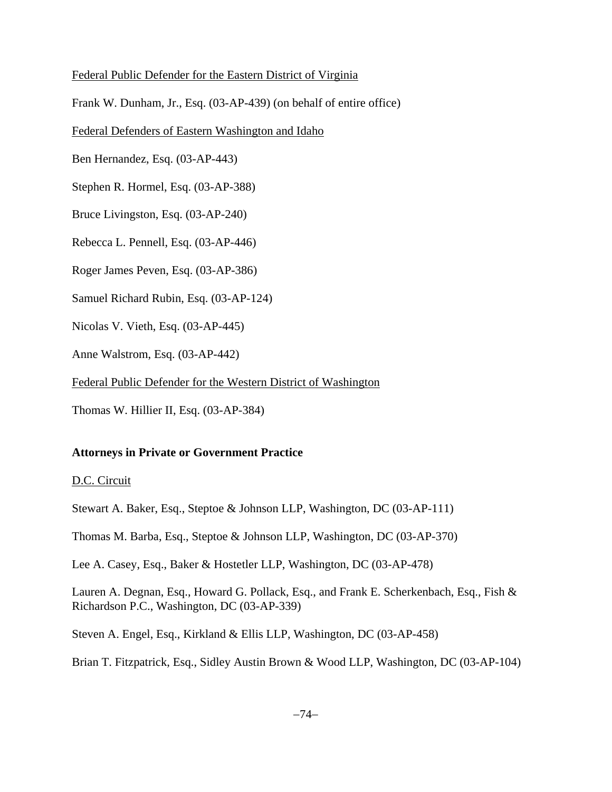### Federal Public Defender for the Eastern District of Virginia

Frank W. Dunham, Jr., Esq. (03-AP-439) (on behalf of entire office)

Federal Defenders of Eastern Washington and Idaho

Ben Hernandez, Esq. (03-AP-443)

Stephen R. Hormel, Esq. (03-AP-388)

Bruce Livingston, Esq. (03-AP-240)

Rebecca L. Pennell, Esq. (03-AP-446)

Roger James Peven, Esq. (03-AP-386)

Samuel Richard Rubin, Esq. (03-AP-124)

Nicolas V. Vieth, Esq. (03-AP-445)

Anne Walstrom, Esq. (03-AP-442)

Federal Public Defender for the Western District of Washington

Thomas W. Hillier II, Esq. (03-AP-384)

### **Attorneys in Private or Government Practice**

D.C. Circuit

Stewart A. Baker, Esq., Steptoe & Johnson LLP, Washington, DC (03-AP-111)

Thomas M. Barba, Esq., Steptoe & Johnson LLP, Washington, DC (03-AP-370)

Lee A. Casey, Esq., Baker & Hostetler LLP, Washington, DC (03-AP-478)

Lauren A. Degnan, Esq., Howard G. Pollack, Esq., and Frank E. Scherkenbach, Esq., Fish & Richardson P.C., Washington, DC (03-AP-339)

Steven A. Engel, Esq., Kirkland & Ellis LLP, Washington, DC (03-AP-458)

Brian T. Fitzpatrick, Esq., Sidley Austin Brown & Wood LLP, Washington, DC (03-AP-104)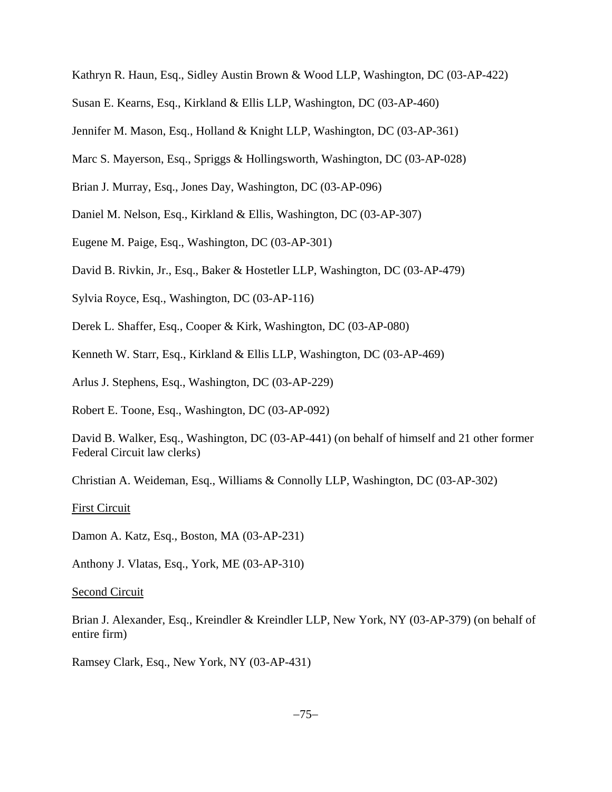Kathryn R. Haun, Esq., Sidley Austin Brown & Wood LLP, Washington, DC (03-AP-422)

Susan E. Kearns, Esq., Kirkland & Ellis LLP, Washington, DC (03-AP-460)

Jennifer M. Mason, Esq., Holland & Knight LLP, Washington, DC (03-AP-361)

Marc S. Mayerson, Esq., Spriggs & Hollingsworth, Washington, DC (03-AP-028)

Brian J. Murray, Esq., Jones Day, Washington, DC (03-AP-096)

Daniel M. Nelson, Esq., Kirkland & Ellis, Washington, DC (03-AP-307)

Eugene M. Paige, Esq., Washington, DC (03-AP-301)

David B. Rivkin, Jr., Esq., Baker & Hostetler LLP, Washington, DC (03-AP-479)

Sylvia Royce, Esq., Washington, DC (03-AP-116)

Derek L. Shaffer, Esq., Cooper & Kirk, Washington, DC (03-AP-080)

Kenneth W. Starr, Esq., Kirkland & Ellis LLP, Washington, DC (03-AP-469)

Arlus J. Stephens, Esq., Washington, DC (03-AP-229)

Robert E. Toone, Esq., Washington, DC (03-AP-092)

David B. Walker, Esq., Washington, DC (03-AP-441) (on behalf of himself and 21 other former Federal Circuit law clerks)

Christian A. Weideman, Esq., Williams & Connolly LLP, Washington, DC (03-AP-302)

#### First Circuit

Damon A. Katz, Esq., Boston, MA (03-AP-231)

Anthony J. Vlatas, Esq., York, ME (03-AP-310)

Second Circuit

Brian J. Alexander, Esq., Kreindler & Kreindler LLP, New York, NY (03-AP-379) (on behalf of entire firm)

Ramsey Clark, Esq., New York, NY (03-AP-431)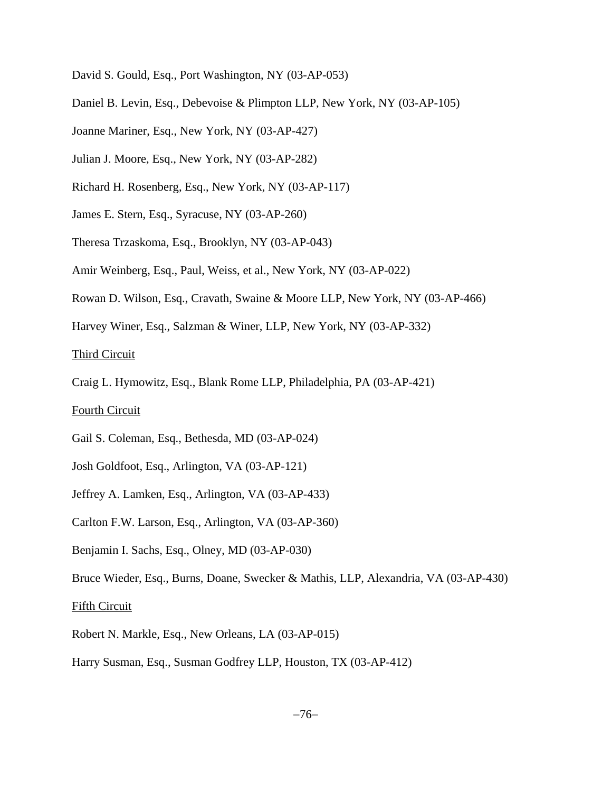- David S. Gould, Esq., Port Washington, NY (03-AP-053)
- Daniel B. Levin, Esq., Debevoise & Plimpton LLP, New York, NY (03-AP-105)
- Joanne Mariner, Esq., New York, NY (03-AP-427)
- Julian J. Moore, Esq., New York, NY (03-AP-282)
- Richard H. Rosenberg, Esq., New York, NY (03-AP-117)
- James E. Stern, Esq., Syracuse, NY (03-AP-260)
- Theresa Trzaskoma, Esq., Brooklyn, NY (03-AP-043)
- Amir Weinberg, Esq., Paul, Weiss, et al., New York, NY (03-AP-022)
- Rowan D. Wilson, Esq., Cravath, Swaine & Moore LLP, New York, NY (03-AP-466)
- Harvey Winer, Esq., Salzman & Winer, LLP, New York, NY (03-AP-332)

Third Circuit

Craig L. Hymowitz, Esq., Blank Rome LLP, Philadelphia, PA (03-AP-421)

### Fourth Circuit

- Gail S. Coleman, Esq., Bethesda, MD (03-AP-024)
- Josh Goldfoot, Esq., Arlington, VA (03-AP-121)
- Jeffrey A. Lamken, Esq., Arlington, VA (03-AP-433)
- Carlton F.W. Larson, Esq., Arlington, VA (03-AP-360)
- Benjamin I. Sachs, Esq., Olney, MD (03-AP-030)
- Bruce Wieder, Esq., Burns, Doane, Swecker & Mathis, LLP, Alexandria, VA (03-AP-430)

#### Fifth Circuit

- Robert N. Markle, Esq., New Orleans, LA (03-AP-015)
- Harry Susman, Esq., Susman Godfrey LLP, Houston, TX (03-AP-412)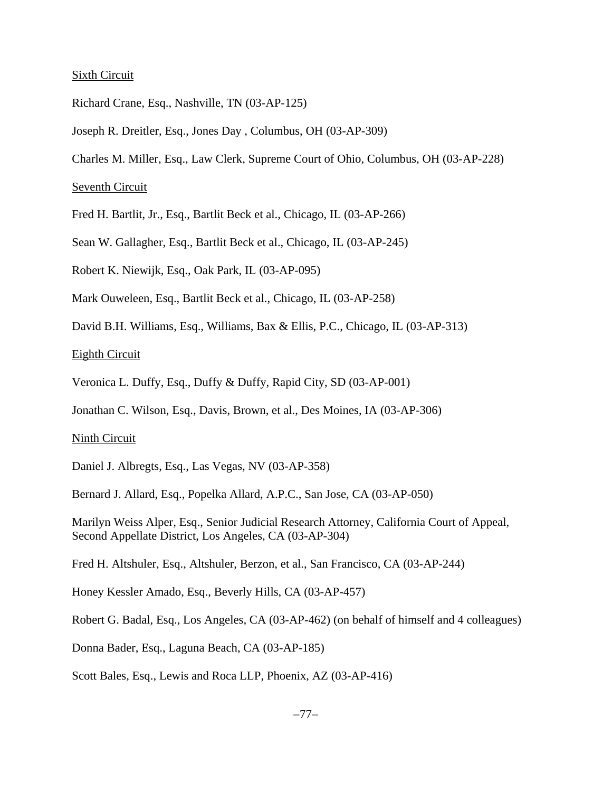#### Sixth Circuit

- Richard Crane, Esq., Nashville, TN (03-AP-125)
- Joseph R. Dreitler, Esq., Jones Day , Columbus, OH (03-AP-309)
- Charles M. Miller, Esq., Law Clerk, Supreme Court of Ohio, Columbus, OH (03-AP-228)

### Seventh Circuit

- Fred H. Bartlit, Jr., Esq., Bartlit Beck et al., Chicago, IL (03-AP-266)
- Sean W. Gallagher, Esq., Bartlit Beck et al., Chicago, IL (03-AP-245)
- Robert K. Niewijk, Esq., Oak Park, IL (03-AP-095)
- Mark Ouweleen, Esq., Bartlit Beck et al., Chicago, IL (03-AP-258)
- David B.H. Williams, Esq., Williams, Bax & Ellis, P.C., Chicago, IL (03-AP-313)

Eighth Circuit

- Veronica L. Duffy, Esq., Duffy & Duffy, Rapid City, SD (03-AP-001)
- Jonathan C. Wilson, Esq., Davis, Brown, et al., Des Moines, IA (03-AP-306)

#### Ninth Circuit

- Daniel J. Albregts, Esq., Las Vegas, NV (03-AP-358)
- Bernard J. Allard, Esq., Popelka Allard, A.P.C., San Jose, CA (03-AP-050)

Marilyn Weiss Alper, Esq., Senior Judicial Research Attorney, California Court of Appeal, Second Appellate District, Los Angeles, CA (03-AP-304)

Fred H. Altshuler, Esq., Altshuler, Berzon, et al., San Francisco, CA (03-AP-244)

Honey Kessler Amado, Esq., Beverly Hills, CA (03-AP-457)

Robert G. Badal, Esq., Los Angeles, CA (03-AP-462) (on behalf of himself and 4 colleagues)

Donna Bader, Esq., Laguna Beach, CA (03-AP-185)

Scott Bales, Esq., Lewis and Roca LLP, Phoenix, AZ (03-AP-416)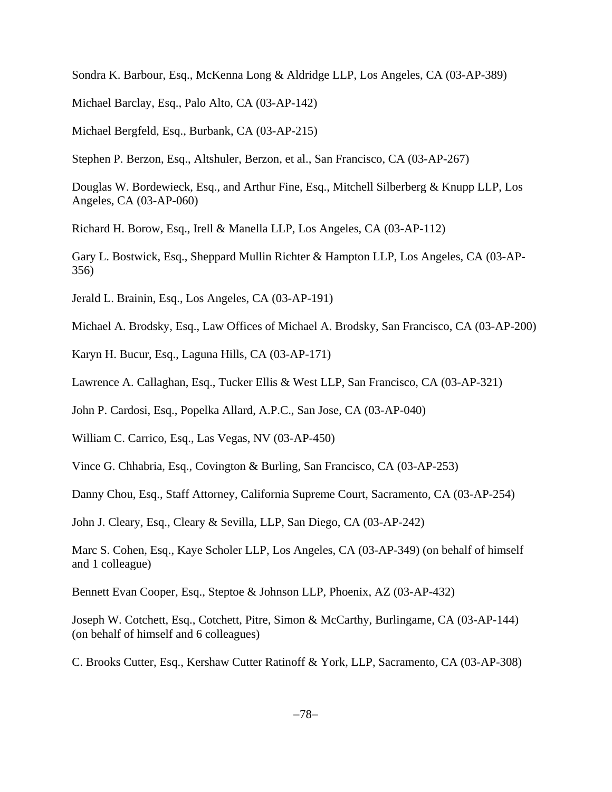Sondra K. Barbour, Esq., McKenna Long & Aldridge LLP, Los Angeles, CA (03-AP-389)

Michael Barclay, Esq., Palo Alto, CA (03-AP-142)

Michael Bergfeld, Esq., Burbank, CA (03-AP-215)

Stephen P. Berzon, Esq., Altshuler, Berzon, et al., San Francisco, CA (03-AP-267)

Douglas W. Bordewieck, Esq., and Arthur Fine, Esq., Mitchell Silberberg & Knupp LLP, Los Angeles, CA (03-AP-060)

Richard H. Borow, Esq., Irell & Manella LLP, Los Angeles, CA (03-AP-112)

Gary L. Bostwick, Esq., Sheppard Mullin Richter & Hampton LLP, Los Angeles, CA (03-AP-356)

Jerald L. Brainin, Esq., Los Angeles, CA (03-AP-191)

Michael A. Brodsky, Esq., Law Offices of Michael A. Brodsky, San Francisco, CA (03-AP-200)

Karyn H. Bucur, Esq., Laguna Hills, CA (03-AP-171)

Lawrence A. Callaghan, Esq., Tucker Ellis & West LLP, San Francisco, CA (03-AP-321)

John P. Cardosi, Esq., Popelka Allard, A.P.C., San Jose, CA (03-AP-040)

William C. Carrico, Esq., Las Vegas, NV (03-AP-450)

Vince G. Chhabria, Esq., Covington & Burling, San Francisco, CA (03-AP-253)

Danny Chou, Esq., Staff Attorney, California Supreme Court, Sacramento, CA (03-AP-254)

John J. Cleary, Esq., Cleary & Sevilla, LLP, San Diego, CA (03-AP-242)

Marc S. Cohen, Esq., Kaye Scholer LLP, Los Angeles, CA (03-AP-349) (on behalf of himself and 1 colleague)

Bennett Evan Cooper, Esq., Steptoe & Johnson LLP, Phoenix, AZ (03-AP-432)

Joseph W. Cotchett, Esq., Cotchett, Pitre, Simon & McCarthy, Burlingame, CA (03-AP-144) (on behalf of himself and 6 colleagues)

C. Brooks Cutter, Esq., Kershaw Cutter Ratinoff & York, LLP, Sacramento, CA (03-AP-308)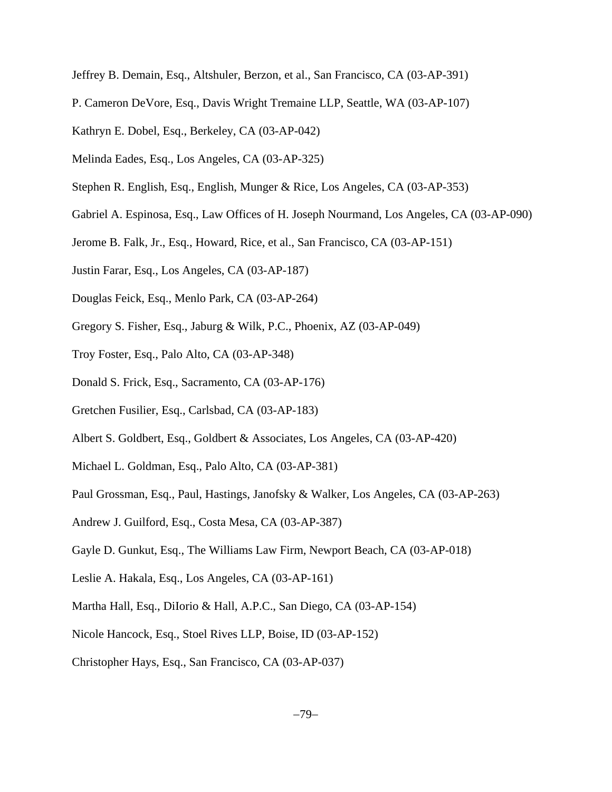Jeffrey B. Demain, Esq., Altshuler, Berzon, et al., San Francisco, CA (03-AP-391)

- P. Cameron DeVore, Esq., Davis Wright Tremaine LLP, Seattle, WA (03-AP-107)
- Kathryn E. Dobel, Esq., Berkeley, CA (03-AP-042)
- Melinda Eades, Esq., Los Angeles, CA (03-AP-325)
- Stephen R. English, Esq., English, Munger & Rice, Los Angeles, CA (03-AP-353)
- Gabriel A. Espinosa, Esq., Law Offices of H. Joseph Nourmand, Los Angeles, CA (03-AP-090)
- Jerome B. Falk, Jr., Esq., Howard, Rice, et al., San Francisco, CA (03-AP-151)
- Justin Farar, Esq., Los Angeles, CA (03-AP-187)
- Douglas Feick, Esq., Menlo Park, CA (03-AP-264)
- Gregory S. Fisher, Esq., Jaburg & Wilk, P.C., Phoenix, AZ (03-AP-049)
- Troy Foster, Esq., Palo Alto, CA (03-AP-348)
- Donald S. Frick, Esq., Sacramento, CA (03-AP-176)
- Gretchen Fusilier, Esq., Carlsbad, CA (03-AP-183)
- Albert S. Goldbert, Esq., Goldbert & Associates, Los Angeles, CA (03-AP-420)
- Michael L. Goldman, Esq., Palo Alto, CA (03-AP-381)
- Paul Grossman, Esq., Paul, Hastings, Janofsky & Walker, Los Angeles, CA (03-AP-263)
- Andrew J. Guilford, Esq., Costa Mesa, CA (03-AP-387)
- Gayle D. Gunkut, Esq., The Williams Law Firm, Newport Beach, CA (03-AP-018)
- Leslie A. Hakala, Esq., Los Angeles, CA (03-AP-161)
- Martha Hall, Esq., DiIorio & Hall, A.P.C., San Diego, CA (03-AP-154)
- Nicole Hancock, Esq., Stoel Rives LLP, Boise, ID (03-AP-152)
- Christopher Hays, Esq., San Francisco, CA (03-AP-037)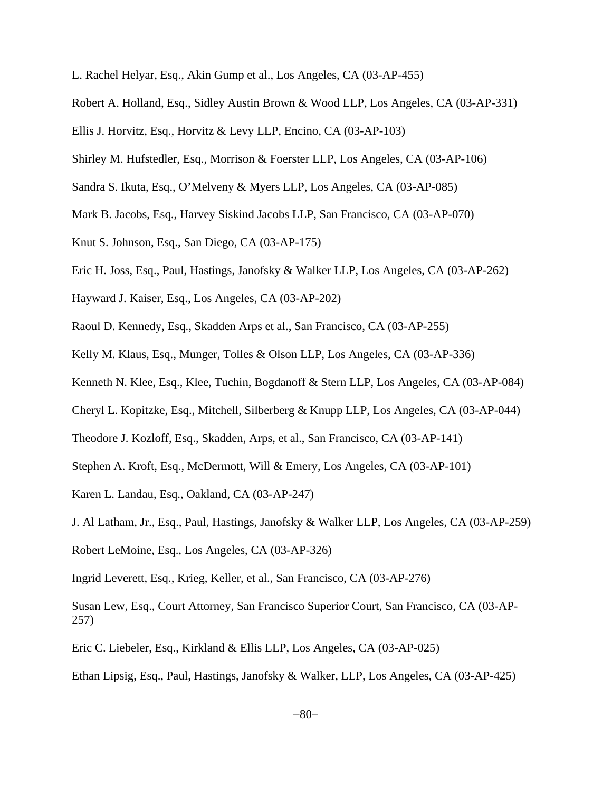- L. Rachel Helyar, Esq., Akin Gump et al., Los Angeles, CA (03-AP-455)
- Robert A. Holland, Esq., Sidley Austin Brown & Wood LLP, Los Angeles, CA (03-AP-331)
- Ellis J. Horvitz, Esq., Horvitz & Levy LLP, Encino, CA (03-AP-103)
- Shirley M. Hufstedler, Esq., Morrison & Foerster LLP, Los Angeles, CA (03-AP-106)
- Sandra S. Ikuta, Esq., O'Melveny & Myers LLP, Los Angeles, CA (03-AP-085)
- Mark B. Jacobs, Esq., Harvey Siskind Jacobs LLP, San Francisco, CA (03-AP-070)
- Knut S. Johnson, Esq., San Diego, CA (03-AP-175)
- Eric H. Joss, Esq., Paul, Hastings, Janofsky & Walker LLP, Los Angeles, CA (03-AP-262)
- Hayward J. Kaiser, Esq., Los Angeles, CA (03-AP-202)
- Raoul D. Kennedy, Esq., Skadden Arps et al., San Francisco, CA (03-AP-255)
- Kelly M. Klaus, Esq., Munger, Tolles & Olson LLP, Los Angeles, CA (03-AP-336)
- Kenneth N. Klee, Esq., Klee, Tuchin, Bogdanoff & Stern LLP, Los Angeles, CA (03-AP-084)
- Cheryl L. Kopitzke, Esq., Mitchell, Silberberg & Knupp LLP, Los Angeles, CA (03-AP-044)
- Theodore J. Kozloff, Esq., Skadden, Arps, et al., San Francisco, CA (03-AP-141)
- Stephen A. Kroft, Esq., McDermott, Will & Emery, Los Angeles, CA (03-AP-101)

Karen L. Landau, Esq., Oakland, CA (03-AP-247)

J. Al Latham, Jr., Esq., Paul, Hastings, Janofsky & Walker LLP, Los Angeles, CA (03-AP-259)

Robert LeMoine, Esq., Los Angeles, CA (03-AP-326)

Ingrid Leverett, Esq., Krieg, Keller, et al., San Francisco, CA (03-AP-276)

Susan Lew, Esq., Court Attorney, San Francisco Superior Court, San Francisco, CA (03-AP-257)

Eric C. Liebeler, Esq., Kirkland & Ellis LLP, Los Angeles, CA (03-AP-025)

Ethan Lipsig, Esq., Paul, Hastings, Janofsky & Walker, LLP, Los Angeles, CA (03-AP-425)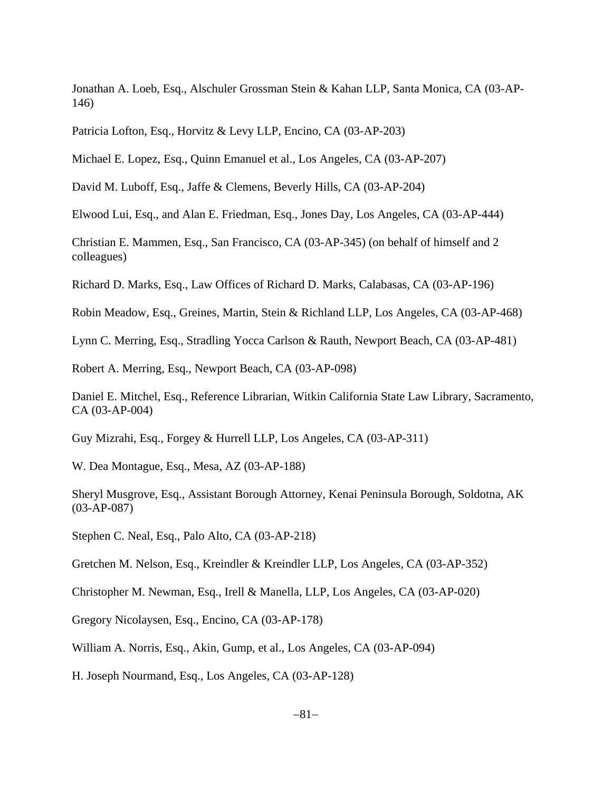Jonathan A. Loeb, Esq., Alschuler Grossman Stein & Kahan LLP, Santa Monica, CA (03-AP-146)

Patricia Lofton, Esq., Horvitz & Levy LLP, Encino, CA (03-AP-203)

Michael E. Lopez, Esq., Quinn Emanuel et al., Los Angeles, CA (03-AP-207)

David M. Luboff, Esq., Jaffe & Clemens, Beverly Hills, CA (03-AP-204)

Elwood Lui, Esq., and Alan E. Friedman, Esq., Jones Day, Los Angeles, CA (03-AP-444)

Christian E. Mammen, Esq., San Francisco, CA (03-AP-345) (on behalf of himself and 2 colleagues)

Richard D. Marks, Esq., Law Offices of Richard D. Marks, Calabasas, CA (03-AP-196)

Robin Meadow, Esq., Greines, Martin, Stein & Richland LLP, Los Angeles, CA (03-AP-468)

Lynn C. Merring, Esq., Stradling Yocca Carlson & Rauth, Newport Beach, CA (03-AP-481)

Robert A. Merring, Esq., Newport Beach, CA (03-AP-098)

Daniel E. Mitchel, Esq., Reference Librarian, Witkin California State Law Library, Sacramento, CA (03-AP-004)

Guy Mizrahi, Esq., Forgey & Hurrell LLP, Los Angeles, CA (03-AP-311)

W. Dea Montague, Esq., Mesa, AZ (03-AP-188)

Sheryl Musgrove, Esq., Assistant Borough Attorney, Kenai Peninsula Borough, Soldotna, AK (03-AP-087)

Stephen C. Neal, Esq., Palo Alto, CA (03-AP-218)

Gretchen M. Nelson, Esq., Kreindler & Kreindler LLP, Los Angeles, CA (03-AP-352)

Christopher M. Newman, Esq., Irell & Manella, LLP, Los Angeles, CA (03-AP-020)

Gregory Nicolaysen, Esq., Encino, CA (03-AP-178)

William A. Norris, Esq., Akin, Gump, et al., Los Angeles, CA (03-AP-094)

H. Joseph Nourmand, Esq., Los Angeles, CA (03-AP-128)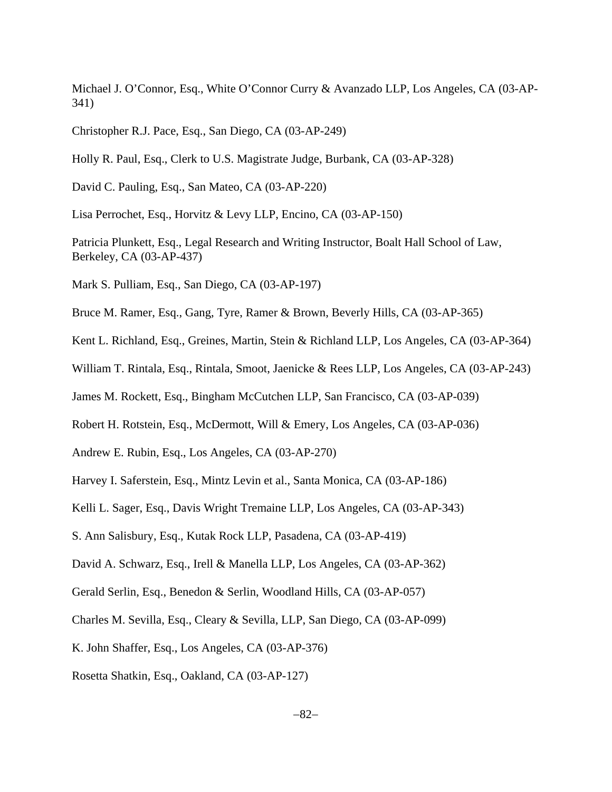Michael J. O'Connor, Esq., White O'Connor Curry & Avanzado LLP, Los Angeles, CA (03-AP-341)

Christopher R.J. Pace, Esq., San Diego, CA (03-AP-249)

Holly R. Paul, Esq., Clerk to U.S. Magistrate Judge, Burbank, CA (03-AP-328)

David C. Pauling, Esq., San Mateo, CA (03-AP-220)

Lisa Perrochet, Esq., Horvitz & Levy LLP, Encino, CA (03-AP-150)

Patricia Plunkett, Esq., Legal Research and Writing Instructor, Boalt Hall School of Law, Berkeley, CA (03-AP-437)

Mark S. Pulliam, Esq., San Diego, CA (03-AP-197)

Bruce M. Ramer, Esq., Gang, Tyre, Ramer & Brown, Beverly Hills, CA (03-AP-365)

Kent L. Richland, Esq., Greines, Martin, Stein & Richland LLP, Los Angeles, CA (03-AP-364)

William T. Rintala, Esq., Rintala, Smoot, Jaenicke & Rees LLP, Los Angeles, CA (03-AP-243)

James M. Rockett, Esq., Bingham McCutchen LLP, San Francisco, CA (03-AP-039)

Robert H. Rotstein, Esq., McDermott, Will & Emery, Los Angeles, CA (03-AP-036)

Andrew E. Rubin, Esq., Los Angeles, CA (03-AP-270)

Harvey I. Saferstein, Esq., Mintz Levin et al., Santa Monica, CA (03-AP-186)

Kelli L. Sager, Esq., Davis Wright Tremaine LLP, Los Angeles, CA (03-AP-343)

S. Ann Salisbury, Esq., Kutak Rock LLP, Pasadena, CA (03-AP-419)

David A. Schwarz, Esq., Irell & Manella LLP, Los Angeles, CA (03-AP-362)

Gerald Serlin, Esq., Benedon & Serlin, Woodland Hills, CA (03-AP-057)

Charles M. Sevilla, Esq., Cleary & Sevilla, LLP, San Diego, CA (03-AP-099)

K. John Shaffer, Esq., Los Angeles, CA (03-AP-376)

Rosetta Shatkin, Esq., Oakland, CA (03-AP-127)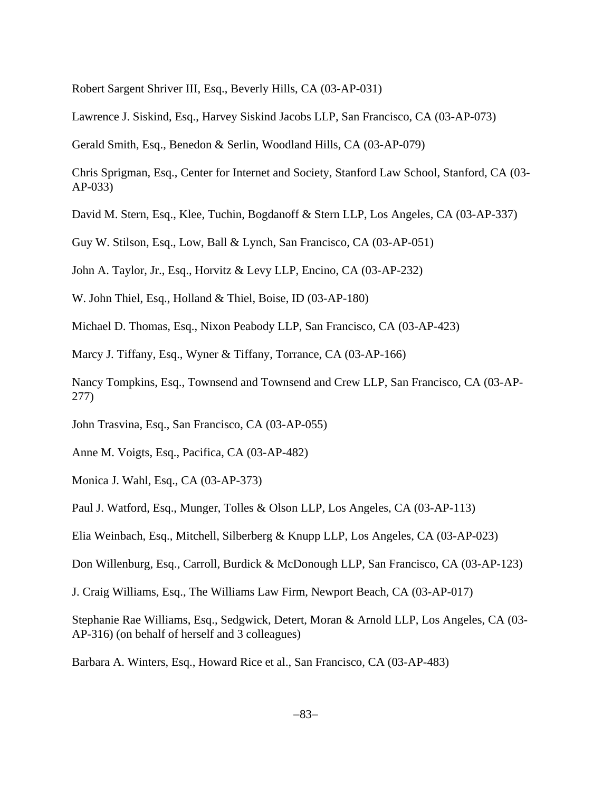Robert Sargent Shriver III, Esq., Beverly Hills, CA (03-AP-031)

Lawrence J. Siskind, Esq., Harvey Siskind Jacobs LLP, San Francisco, CA (03-AP-073)

Gerald Smith, Esq., Benedon & Serlin, Woodland Hills, CA (03-AP-079)

Chris Sprigman, Esq., Center for Internet and Society, Stanford Law School, Stanford, CA (03- AP-033)

David M. Stern, Esq., Klee, Tuchin, Bogdanoff & Stern LLP, Los Angeles, CA (03-AP-337)

Guy W. Stilson, Esq., Low, Ball & Lynch, San Francisco, CA (03-AP-051)

John A. Taylor, Jr., Esq., Horvitz & Levy LLP, Encino, CA (03-AP-232)

W. John Thiel, Esq., Holland & Thiel, Boise, ID (03-AP-180)

Michael D. Thomas, Esq., Nixon Peabody LLP, San Francisco, CA (03-AP-423)

Marcy J. Tiffany, Esq., Wyner & Tiffany, Torrance, CA (03-AP-166)

Nancy Tompkins, Esq., Townsend and Townsend and Crew LLP, San Francisco, CA (03-AP-277)

John Trasvina, Esq., San Francisco, CA (03-AP-055)

Anne M. Voigts, Esq., Pacifica, CA (03-AP-482)

Monica J. Wahl, Esq., CA (03-AP-373)

Paul J. Watford, Esq., Munger, Tolles & Olson LLP, Los Angeles, CA (03-AP-113)

Elia Weinbach, Esq., Mitchell, Silberberg & Knupp LLP, Los Angeles, CA (03-AP-023)

Don Willenburg, Esq., Carroll, Burdick & McDonough LLP, San Francisco, CA (03-AP-123)

J. Craig Williams, Esq., The Williams Law Firm, Newport Beach, CA (03-AP-017)

Stephanie Rae Williams, Esq., Sedgwick, Detert, Moran & Arnold LLP, Los Angeles, CA (03- AP-316) (on behalf of herself and 3 colleagues)

Barbara A. Winters, Esq., Howard Rice et al., San Francisco, CA (03-AP-483)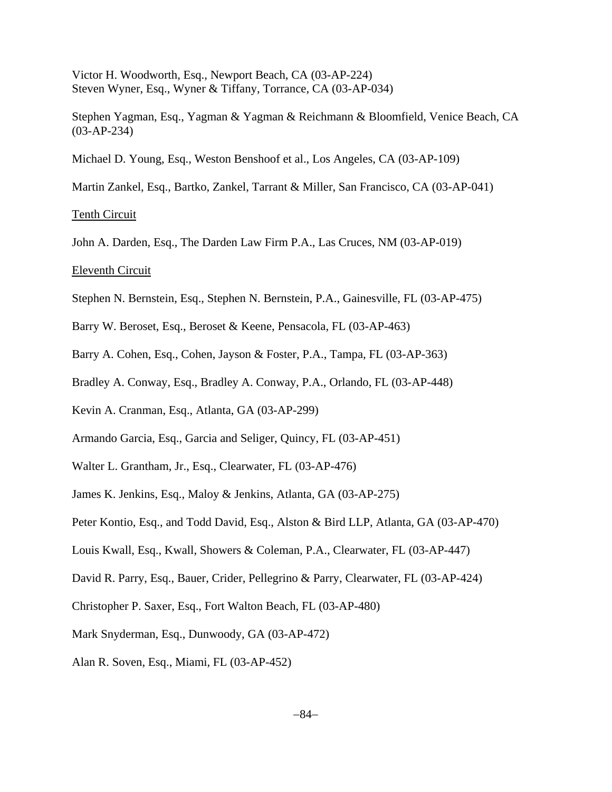Victor H. Woodworth, Esq., Newport Beach, CA (03-AP-224) Steven Wyner, Esq., Wyner & Tiffany, Torrance, CA (03-AP-034)

Stephen Yagman, Esq., Yagman & Yagman & Reichmann & Bloomfield, Venice Beach, CA (03-AP-234)

Michael D. Young, Esq., Weston Benshoof et al., Los Angeles, CA (03-AP-109)

Martin Zankel, Esq., Bartko, Zankel, Tarrant & Miller, San Francisco, CA (03-AP-041)

Tenth Circuit

John A. Darden, Esq., The Darden Law Firm P.A., Las Cruces, NM (03-AP-019)

Eleventh Circuit

- Stephen N. Bernstein, Esq., Stephen N. Bernstein, P.A., Gainesville, FL (03-AP-475)
- Barry W. Beroset, Esq., Beroset & Keene, Pensacola, FL (03-AP-463)
- Barry A. Cohen, Esq., Cohen, Jayson & Foster, P.A., Tampa, FL (03-AP-363)
- Bradley A. Conway, Esq., Bradley A. Conway, P.A., Orlando, FL (03-AP-448)
- Kevin A. Cranman, Esq., Atlanta, GA (03-AP-299)
- Armando Garcia, Esq., Garcia and Seliger, Quincy, FL (03-AP-451)
- Walter L. Grantham, Jr., Esq., Clearwater, FL (03-AP-476)
- James K. Jenkins, Esq., Maloy & Jenkins, Atlanta, GA (03-AP-275)
- Peter Kontio, Esq., and Todd David, Esq., Alston & Bird LLP, Atlanta, GA (03-AP-470)
- Louis Kwall, Esq., Kwall, Showers & Coleman, P.A., Clearwater, FL (03-AP-447)
- David R. Parry, Esq., Bauer, Crider, Pellegrino & Parry, Clearwater, FL (03-AP-424)
- Christopher P. Saxer, Esq., Fort Walton Beach, FL (03-AP-480)
- Mark Snyderman, Esq., Dunwoody, GA (03-AP-472)
- Alan R. Soven, Esq., Miami, FL (03-AP-452)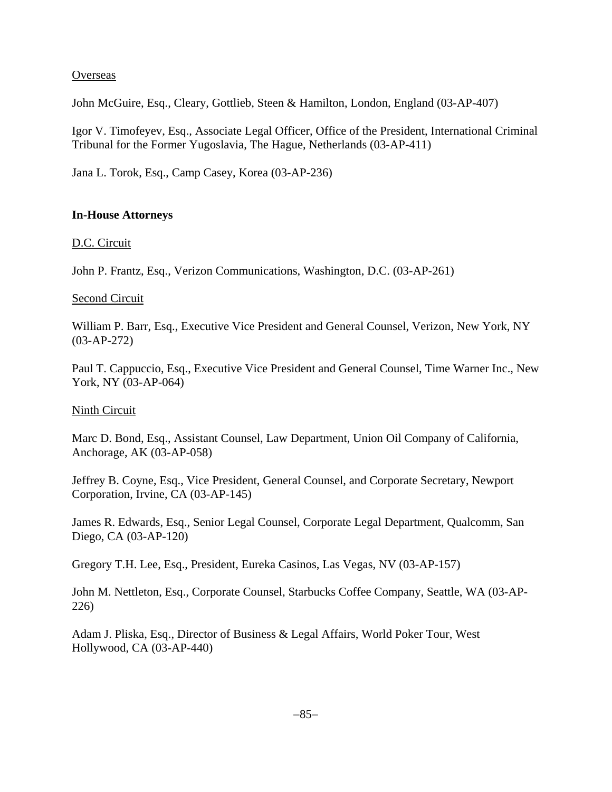### **Overseas**

John McGuire, Esq., Cleary, Gottlieb, Steen & Hamilton, London, England (03-AP-407)

Igor V. Timofeyev, Esq., Associate Legal Officer, Office of the President, International Criminal Tribunal for the Former Yugoslavia, The Hague, Netherlands (03-AP-411)

Jana L. Torok, Esq., Camp Casey, Korea (03-AP-236)

## **In-House Attorneys**

D.C. Circuit

John P. Frantz, Esq., Verizon Communications, Washington, D.C. (03-AP-261)

### Second Circuit

William P. Barr, Esq., Executive Vice President and General Counsel, Verizon, New York, NY (03-AP-272)

Paul T. Cappuccio, Esq., Executive Vice President and General Counsel, Time Warner Inc., New York, NY (03-AP-064)

### Ninth Circuit

Marc D. Bond, Esq., Assistant Counsel, Law Department, Union Oil Company of California, Anchorage, AK (03-AP-058)

Jeffrey B. Coyne, Esq., Vice President, General Counsel, and Corporate Secretary, Newport Corporation, Irvine, CA (03-AP-145)

James R. Edwards, Esq., Senior Legal Counsel, Corporate Legal Department, Qualcomm, San Diego, CA (03-AP-120)

Gregory T.H. Lee, Esq., President, Eureka Casinos, Las Vegas, NV (03-AP-157)

John M. Nettleton, Esq., Corporate Counsel, Starbucks Coffee Company, Seattle, WA (03-AP-226)

Adam J. Pliska, Esq., Director of Business & Legal Affairs, World Poker Tour, West Hollywood, CA (03-AP-440)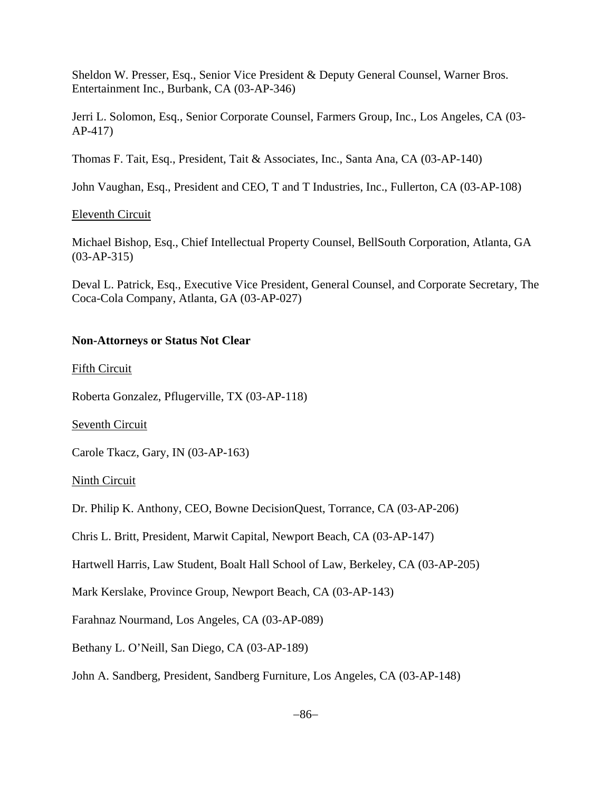Sheldon W. Presser, Esq., Senior Vice President & Deputy General Counsel, Warner Bros. Entertainment Inc., Burbank, CA (03-AP-346)

Jerri L. Solomon, Esq., Senior Corporate Counsel, Farmers Group, Inc., Los Angeles, CA (03- AP-417)

Thomas F. Tait, Esq., President, Tait & Associates, Inc., Santa Ana, CA (03-AP-140)

John Vaughan, Esq., President and CEO, T and T Industries, Inc., Fullerton, CA (03-AP-108)

### Eleventh Circuit

Michael Bishop, Esq., Chief Intellectual Property Counsel, BellSouth Corporation, Atlanta, GA (03-AP-315)

Deval L. Patrick, Esq., Executive Vice President, General Counsel, and Corporate Secretary, The Coca-Cola Company, Atlanta, GA (03-AP-027)

### **Non-Attorneys or Status Not Clear**

### Fifth Circuit

Roberta Gonzalez, Pflugerville, TX (03-AP-118)

Seventh Circuit

Carole Tkacz, Gary, IN (03-AP-163)

Ninth Circuit

Dr. Philip K. Anthony, CEO, Bowne DecisionQuest, Torrance, CA (03-AP-206)

Chris L. Britt, President, Marwit Capital, Newport Beach, CA (03-AP-147)

Hartwell Harris, Law Student, Boalt Hall School of Law, Berkeley, CA (03-AP-205)

Mark Kerslake, Province Group, Newport Beach, CA (03-AP-143)

Farahnaz Nourmand, Los Angeles, CA (03-AP-089)

Bethany L. O'Neill, San Diego, CA (03-AP-189)

John A. Sandberg, President, Sandberg Furniture, Los Angeles, CA (03-AP-148)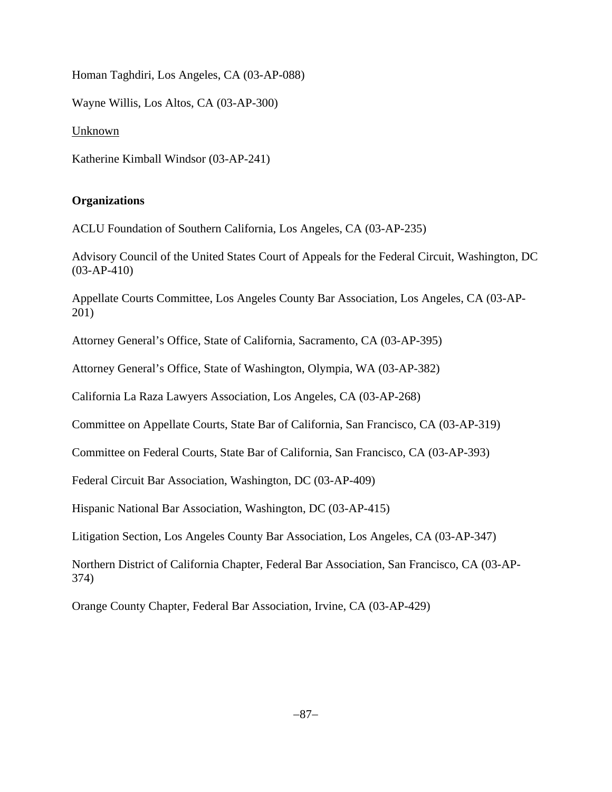Homan Taghdiri, Los Angeles, CA (03-AP-088)

Wayne Willis, Los Altos, CA (03-AP-300)

Unknown

Katherine Kimball Windsor (03-AP-241)

# **Organizations**

ACLU Foundation of Southern California, Los Angeles, CA (03-AP-235)

Advisory Council of the United States Court of Appeals for the Federal Circuit, Washington, DC (03-AP-410)

Appellate Courts Committee, Los Angeles County Bar Association, Los Angeles, CA (03-AP-201)

Attorney General's Office, State of California, Sacramento, CA (03-AP-395)

Attorney General's Office, State of Washington, Olympia, WA (03-AP-382)

California La Raza Lawyers Association, Los Angeles, CA (03-AP-268)

Committee on Appellate Courts, State Bar of California, San Francisco, CA (03-AP-319)

Committee on Federal Courts, State Bar of California, San Francisco, CA (03-AP-393)

Federal Circuit Bar Association, Washington, DC (03-AP-409)

Hispanic National Bar Association, Washington, DC (03-AP-415)

Litigation Section, Los Angeles County Bar Association, Los Angeles, CA (03-AP-347)

Northern District of California Chapter, Federal Bar Association, San Francisco, CA (03-AP-374)

Orange County Chapter, Federal Bar Association, Irvine, CA (03-AP-429)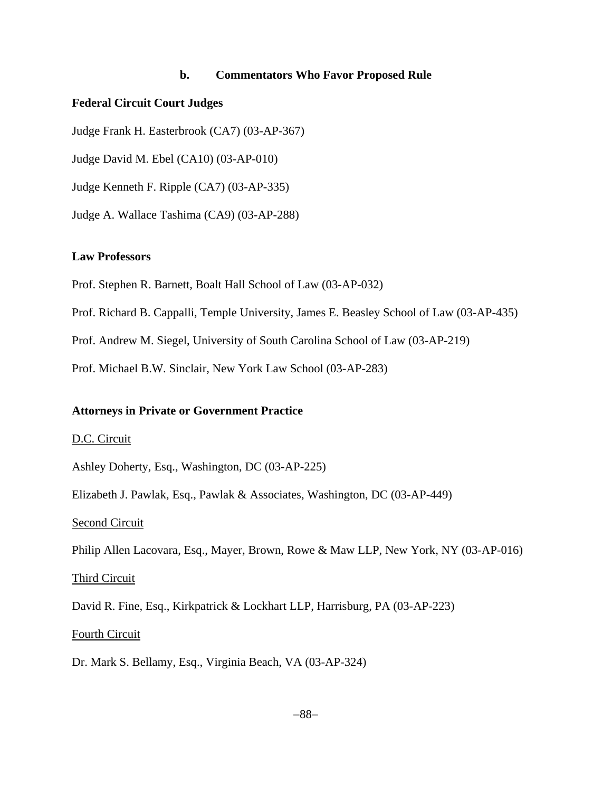### **b. Commentators Who Favor Proposed Rule**

#### **Federal Circuit Court Judges**

Judge Frank H. Easterbrook (CA7) (03-AP-367)

Judge David M. Ebel (CA10) (03-AP-010)

Judge Kenneth F. Ripple (CA7) (03-AP-335)

Judge A. Wallace Tashima (CA9) (03-AP-288)

#### **Law Professors**

Prof. Stephen R. Barnett, Boalt Hall School of Law (03-AP-032)

Prof. Richard B. Cappalli, Temple University, James E. Beasley School of Law (03-AP-435)

Prof. Andrew M. Siegel, University of South Carolina School of Law (03-AP-219)

Prof. Michael B.W. Sinclair, New York Law School (03-AP-283)

#### **Attorneys in Private or Government Practice**

#### D.C. Circuit

Ashley Doherty, Esq., Washington, DC (03-AP-225)

Elizabeth J. Pawlak, Esq., Pawlak & Associates, Washington, DC (03-AP-449)

#### Second Circuit

Philip Allen Lacovara, Esq., Mayer, Brown, Rowe & Maw LLP, New York, NY (03-AP-016)

#### Third Circuit

David R. Fine, Esq., Kirkpatrick & Lockhart LLP, Harrisburg, PA (03-AP-223)

### Fourth Circuit

Dr. Mark S. Bellamy, Esq., Virginia Beach, VA (03-AP-324)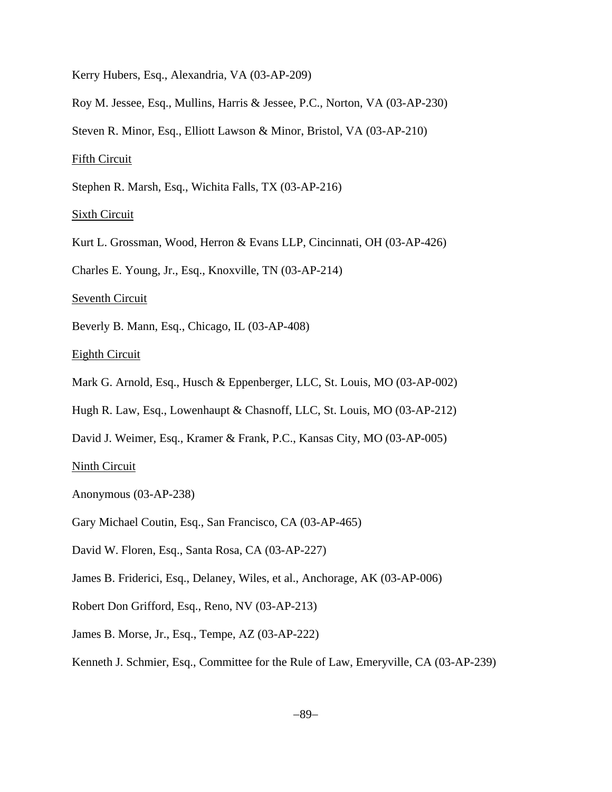Kerry Hubers, Esq., Alexandria, VA (03-AP-209)

Roy M. Jessee, Esq., Mullins, Harris & Jessee, P.C., Norton, VA (03-AP-230)

Steven R. Minor, Esq., Elliott Lawson & Minor, Bristol, VA (03-AP-210)

Fifth Circuit

Stephen R. Marsh, Esq., Wichita Falls, TX (03-AP-216)

Sixth Circuit

Kurt L. Grossman, Wood, Herron & Evans LLP, Cincinnati, OH (03-AP-426)

Charles E. Young, Jr., Esq., Knoxville, TN (03-AP-214)

Seventh Circuit

Beverly B. Mann, Esq., Chicago, IL (03-AP-408)

Eighth Circuit

Mark G. Arnold, Esq., Husch & Eppenberger, LLC, St. Louis, MO (03-AP-002)

Hugh R. Law, Esq., Lowenhaupt & Chasnoff, LLC, St. Louis, MO (03-AP-212)

David J. Weimer, Esq., Kramer & Frank, P.C., Kansas City, MO (03-AP-005)

Ninth Circuit

Anonymous (03-AP-238)

Gary Michael Coutin, Esq., San Francisco, CA (03-AP-465)

David W. Floren, Esq., Santa Rosa, CA (03-AP-227)

James B. Friderici, Esq., Delaney, Wiles, et al., Anchorage, AK (03-AP-006)

Robert Don Grifford, Esq., Reno, NV (03-AP-213)

James B. Morse, Jr., Esq., Tempe, AZ (03-AP-222)

Kenneth J. Schmier, Esq., Committee for the Rule of Law, Emeryville, CA (03-AP-239)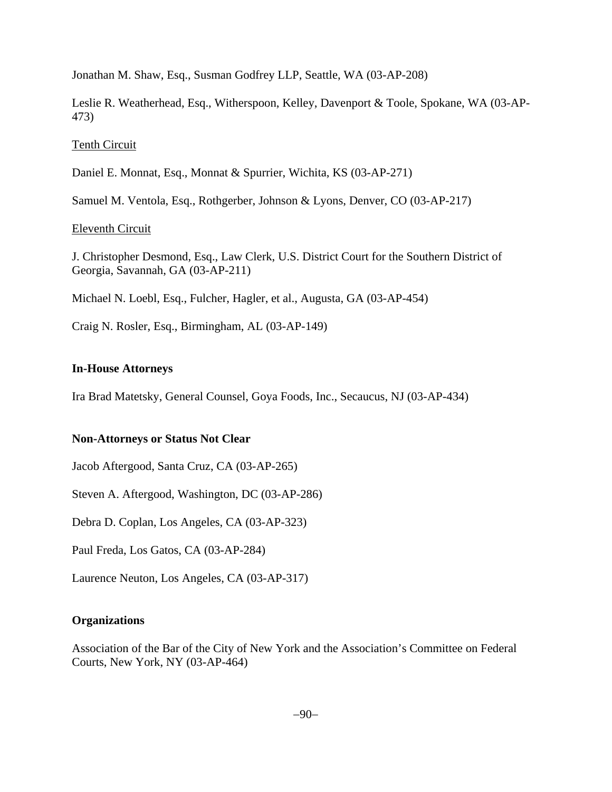Jonathan M. Shaw, Esq., Susman Godfrey LLP, Seattle, WA (03-AP-208)

Leslie R. Weatherhead, Esq., Witherspoon, Kelley, Davenport & Toole, Spokane, WA (03-AP-473)

### Tenth Circuit

Daniel E. Monnat, Esq., Monnat & Spurrier, Wichita, KS (03-AP-271)

Samuel M. Ventola, Esq., Rothgerber, Johnson & Lyons, Denver, CO (03-AP-217)

## Eleventh Circuit

J. Christopher Desmond, Esq., Law Clerk, U.S. District Court for the Southern District of Georgia, Savannah, GA (03-AP-211)

Michael N. Loebl, Esq., Fulcher, Hagler, et al., Augusta, GA (03-AP-454)

Craig N. Rosler, Esq., Birmingham, AL (03-AP-149)

## **In-House Attorneys**

Ira Brad Matetsky, General Counsel, Goya Foods, Inc., Secaucus, NJ (03-AP-434)

### **Non-Attorneys or Status Not Clear**

Jacob Aftergood, Santa Cruz, CA (03-AP-265)

Steven A. Aftergood, Washington, DC (03-AP-286)

Debra D. Coplan, Los Angeles, CA (03-AP-323)

Paul Freda, Los Gatos, CA (03-AP-284)

Laurence Neuton, Los Angeles, CA (03-AP-317)

# **Organizations**

Association of the Bar of the City of New York and the Association's Committee on Federal Courts, New York, NY (03-AP-464)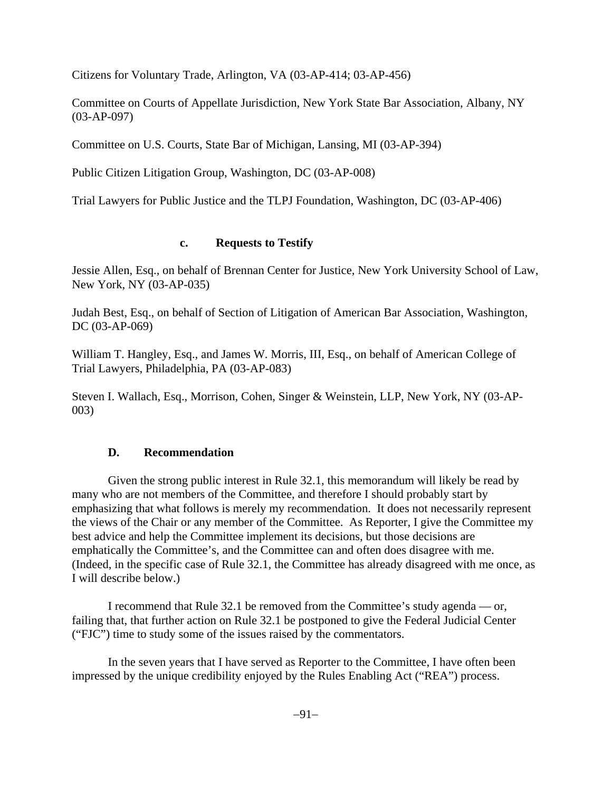Citizens for Voluntary Trade, Arlington, VA (03-AP-414; 03-AP-456)

Committee on Courts of Appellate Jurisdiction, New York State Bar Association, Albany, NY (03-AP-097)

Committee on U.S. Courts, State Bar of Michigan, Lansing, MI (03-AP-394)

Public Citizen Litigation Group, Washington, DC (03-AP-008)

Trial Lawyers for Public Justice and the TLPJ Foundation, Washington, DC (03-AP-406)

## **c. Requests to Testify**

Jessie Allen, Esq., on behalf of Brennan Center for Justice, New York University School of Law, New York, NY (03-AP-035)

Judah Best, Esq., on behalf of Section of Litigation of American Bar Association, Washington, DC (03-AP-069)

William T. Hangley, Esq., and James W. Morris, III, Esq., on behalf of American College of Trial Lawyers, Philadelphia, PA (03-AP-083)

Steven I. Wallach, Esq., Morrison, Cohen, Singer & Weinstein, LLP, New York, NY (03-AP-003)

# **D. Recommendation**

Given the strong public interest in Rule 32.1, this memorandum will likely be read by many who are not members of the Committee, and therefore I should probably start by emphasizing that what follows is merely my recommendation. It does not necessarily represent the views of the Chair or any member of the Committee. As Reporter, I give the Committee my best advice and help the Committee implement its decisions, but those decisions are emphatically the Committee's, and the Committee can and often does disagree with me. (Indeed, in the specific case of Rule 32.1, the Committee has already disagreed with me once, as I will describe below.)

I recommend that Rule 32.1 be removed from the Committee's study agenda — or, failing that, that further action on Rule 32.1 be postponed to give the Federal Judicial Center ("FJC") time to study some of the issues raised by the commentators.

In the seven years that I have served as Reporter to the Committee, I have often been impressed by the unique credibility enjoyed by the Rules Enabling Act ("REA") process.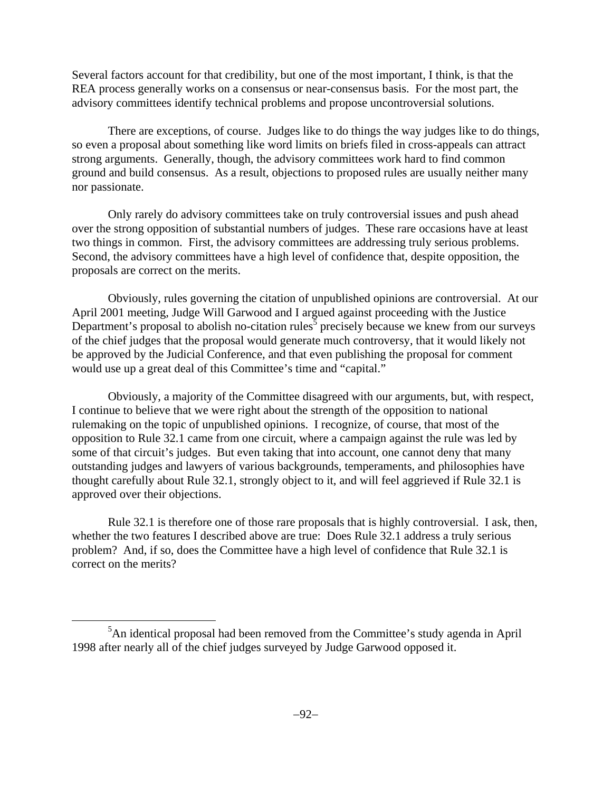Several factors account for that credibility, but one of the most important, I think, is that the REA process generally works on a consensus or near-consensus basis. For the most part, the advisory committees identify technical problems and propose uncontroversial solutions.

There are exceptions, of course. Judges like to do things the way judges like to do things, so even a proposal about something like word limits on briefs filed in cross-appeals can attract strong arguments. Generally, though, the advisory committees work hard to find common ground and build consensus. As a result, objections to proposed rules are usually neither many nor passionate.

Only rarely do advisory committees take on truly controversial issues and push ahead over the strong opposition of substantial numbers of judges. These rare occasions have at least two things in common. First, the advisory committees are addressing truly serious problems. Second, the advisory committees have a high level of confidence that, despite opposition, the proposals are correct on the merits.

Obviously, rules governing the citation of unpublished opinions are controversial. At our April 2001 meeting, Judge Will Garwood and I argued against proceeding with the Justice Department's proposal to abolish no-citation rules<sup>5</sup> precisely because we knew from our surveys of the chief judges that the proposal would generate much controversy, that it would likely not be approved by the Judicial Conference, and that even publishing the proposal for comment would use up a great deal of this Committee's time and "capital."

Obviously, a majority of the Committee disagreed with our arguments, but, with respect, I continue to believe that we were right about the strength of the opposition to national rulemaking on the topic of unpublished opinions. I recognize, of course, that most of the opposition to Rule 32.1 came from one circuit, where a campaign against the rule was led by some of that circuit's judges. But even taking that into account, one cannot deny that many outstanding judges and lawyers of various backgrounds, temperaments, and philosophies have thought carefully about Rule 32.1, strongly object to it, and will feel aggrieved if Rule 32.1 is approved over their objections.

Rule 32.1 is therefore one of those rare proposals that is highly controversial. I ask, then, whether the two features I described above are true: Does Rule 32.1 address a truly serious problem? And, if so, does the Committee have a high level of confidence that Rule 32.1 is correct on the merits?

 $\frac{1}{5}$  ${}^{5}$ An identical proposal had been removed from the Committee's study agenda in April 1998 after nearly all of the chief judges surveyed by Judge Garwood opposed it.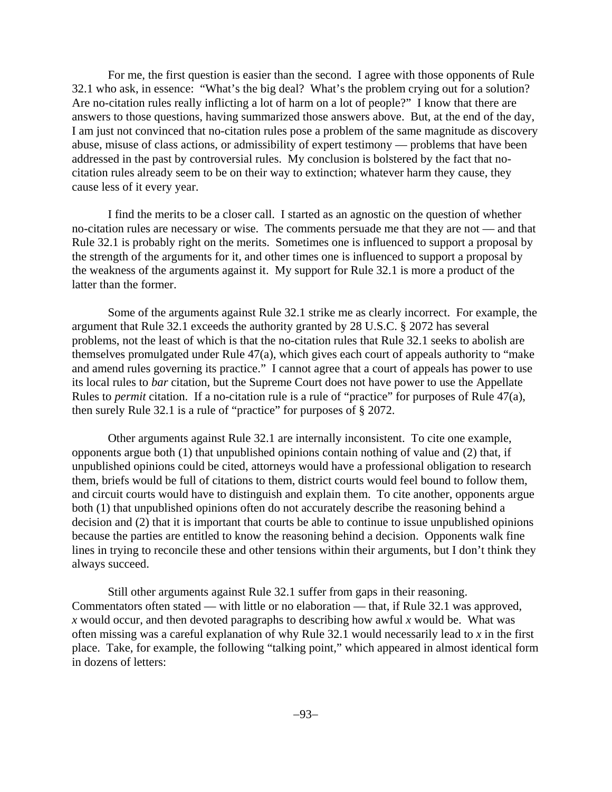For me, the first question is easier than the second. I agree with those opponents of Rule 32.1 who ask, in essence: "What's the big deal? What's the problem crying out for a solution? Are no-citation rules really inflicting a lot of harm on a lot of people?" I know that there are answers to those questions, having summarized those answers above. But, at the end of the day, I am just not convinced that no-citation rules pose a problem of the same magnitude as discovery abuse, misuse of class actions, or admissibility of expert testimony — problems that have been addressed in the past by controversial rules. My conclusion is bolstered by the fact that nocitation rules already seem to be on their way to extinction; whatever harm they cause, they cause less of it every year.

I find the merits to be a closer call. I started as an agnostic on the question of whether no-citation rules are necessary or wise. The comments persuade me that they are not — and that Rule 32.1 is probably right on the merits. Sometimes one is influenced to support a proposal by the strength of the arguments for it, and other times one is influenced to support a proposal by the weakness of the arguments against it. My support for Rule 32.1 is more a product of the latter than the former.

Some of the arguments against Rule 32.1 strike me as clearly incorrect. For example, the argument that Rule 32.1 exceeds the authority granted by 28 U.S.C. § 2072 has several problems, not the least of which is that the no-citation rules that Rule 32.1 seeks to abolish are themselves promulgated under Rule 47(a), which gives each court of appeals authority to "make and amend rules governing its practice." I cannot agree that a court of appeals has power to use its local rules to *bar* citation, but the Supreme Court does not have power to use the Appellate Rules to *permit* citation. If a no-citation rule is a rule of "practice" for purposes of Rule 47(a), then surely Rule 32.1 is a rule of "practice" for purposes of § 2072.

Other arguments against Rule 32.1 are internally inconsistent. To cite one example, opponents argue both (1) that unpublished opinions contain nothing of value and (2) that, if unpublished opinions could be cited, attorneys would have a professional obligation to research them, briefs would be full of citations to them, district courts would feel bound to follow them, and circuit courts would have to distinguish and explain them. To cite another, opponents argue both (1) that unpublished opinions often do not accurately describe the reasoning behind a decision and (2) that it is important that courts be able to continue to issue unpublished opinions because the parties are entitled to know the reasoning behind a decision. Opponents walk fine lines in trying to reconcile these and other tensions within their arguments, but I don't think they always succeed.

Still other arguments against Rule 32.1 suffer from gaps in their reasoning. Commentators often stated — with little or no elaboration — that, if Rule 32.1 was approved, *x* would occur, and then devoted paragraphs to describing how awful *x* would be. What was often missing was a careful explanation of why Rule 32.1 would necessarily lead to *x* in the first place. Take, for example, the following "talking point," which appeared in almost identical form in dozens of letters: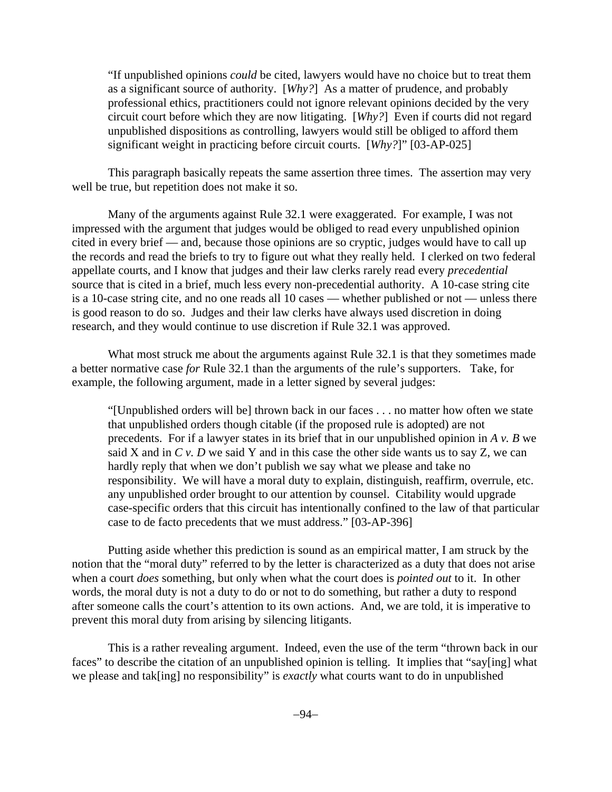"If unpublished opinions *could* be cited, lawyers would have no choice but to treat them as a significant source of authority. [*Why?*] As a matter of prudence, and probably professional ethics, practitioners could not ignore relevant opinions decided by the very circuit court before which they are now litigating. [*Why?*] Even if courts did not regard unpublished dispositions as controlling, lawyers would still be obliged to afford them significant weight in practicing before circuit courts. [*Why?*]" [03-AP-025]

This paragraph basically repeats the same assertion three times. The assertion may very well be true, but repetition does not make it so.

Many of the arguments against Rule 32.1 were exaggerated. For example, I was not impressed with the argument that judges would be obliged to read every unpublished opinion cited in every brief — and, because those opinions are so cryptic, judges would have to call up the records and read the briefs to try to figure out what they really held. I clerked on two federal appellate courts, and I know that judges and their law clerks rarely read every *precedential* source that is cited in a brief, much less every non-precedential authority. A 10-case string cite is a 10-case string cite, and no one reads all 10 cases — whether published or not — unless there is good reason to do so. Judges and their law clerks have always used discretion in doing research, and they would continue to use discretion if Rule 32.1 was approved.

What most struck me about the arguments against Rule 32.1 is that they sometimes made a better normative case *for* Rule 32.1 than the arguments of the rule's supporters. Take, for example, the following argument, made in a letter signed by several judges:

"[Unpublished orders will be] thrown back in our faces . . . no matter how often we state that unpublished orders though citable (if the proposed rule is adopted) are not precedents. For if a lawyer states in its brief that in our unpublished opinion in *A v. B* we said X and in *C v. D* we said Y and in this case the other side wants us to say Z, we can hardly reply that when we don't publish we say what we please and take no responsibility. We will have a moral duty to explain, distinguish, reaffirm, overrule, etc. any unpublished order brought to our attention by counsel. Citability would upgrade case-specific orders that this circuit has intentionally confined to the law of that particular case to de facto precedents that we must address." [03-AP-396]

Putting aside whether this prediction is sound as an empirical matter, I am struck by the notion that the "moral duty" referred to by the letter is characterized as a duty that does not arise when a court *does* something, but only when what the court does is *pointed out* to it. In other words, the moral duty is not a duty to do or not to do something, but rather a duty to respond after someone calls the court's attention to its own actions. And, we are told, it is imperative to prevent this moral duty from arising by silencing litigants.

This is a rather revealing argument. Indeed, even the use of the term "thrown back in our faces" to describe the citation of an unpublished opinion is telling. It implies that "say[ing] what we please and tak[ing] no responsibility" is *exactly* what courts want to do in unpublished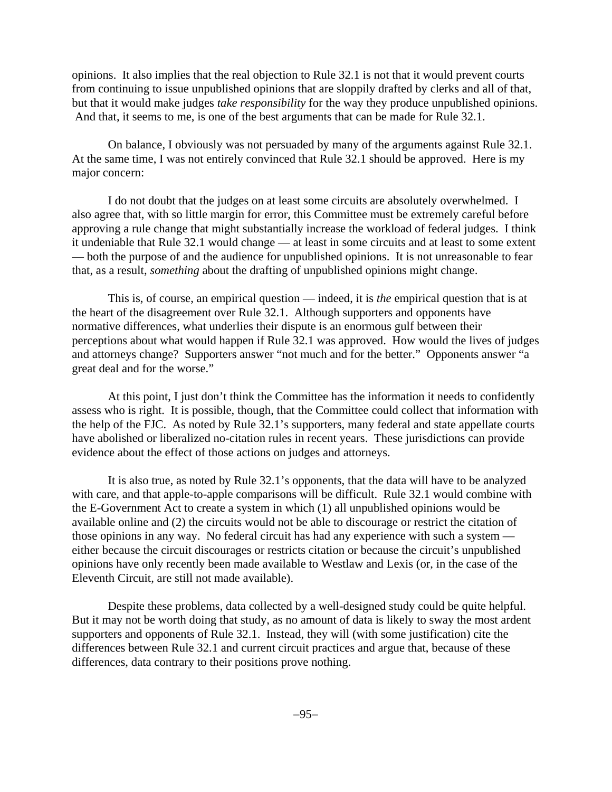opinions. It also implies that the real objection to Rule 32.1 is not that it would prevent courts from continuing to issue unpublished opinions that are sloppily drafted by clerks and all of that, but that it would make judges *take responsibility* for the way they produce unpublished opinions. And that, it seems to me, is one of the best arguments that can be made for Rule 32.1.

On balance, I obviously was not persuaded by many of the arguments against Rule 32.1. At the same time, I was not entirely convinced that Rule 32.1 should be approved. Here is my major concern:

I do not doubt that the judges on at least some circuits are absolutely overwhelmed. I also agree that, with so little margin for error, this Committee must be extremely careful before approving a rule change that might substantially increase the workload of federal judges. I think it undeniable that Rule 32.1 would change — at least in some circuits and at least to some extent — both the purpose of and the audience for unpublished opinions. It is not unreasonable to fear that, as a result, *something* about the drafting of unpublished opinions might change.

This is, of course, an empirical question — indeed, it is *the* empirical question that is at the heart of the disagreement over Rule 32.1. Although supporters and opponents have normative differences, what underlies their dispute is an enormous gulf between their perceptions about what would happen if Rule 32.1 was approved. How would the lives of judges and attorneys change? Supporters answer "not much and for the better." Opponents answer "a great deal and for the worse."

At this point, I just don't think the Committee has the information it needs to confidently assess who is right. It is possible, though, that the Committee could collect that information with the help of the FJC. As noted by Rule 32.1's supporters, many federal and state appellate courts have abolished or liberalized no-citation rules in recent years. These jurisdictions can provide evidence about the effect of those actions on judges and attorneys.

It is also true, as noted by Rule 32.1's opponents, that the data will have to be analyzed with care, and that apple-to-apple comparisons will be difficult. Rule 32.1 would combine with the E-Government Act to create a system in which (1) all unpublished opinions would be available online and (2) the circuits would not be able to discourage or restrict the citation of those opinions in any way. No federal circuit has had any experience with such a system either because the circuit discourages or restricts citation or because the circuit's unpublished opinions have only recently been made available to Westlaw and Lexis (or, in the case of the Eleventh Circuit, are still not made available).

Despite these problems, data collected by a well-designed study could be quite helpful. But it may not be worth doing that study, as no amount of data is likely to sway the most ardent supporters and opponents of Rule 32.1. Instead, they will (with some justification) cite the differences between Rule 32.1 and current circuit practices and argue that, because of these differences, data contrary to their positions prove nothing.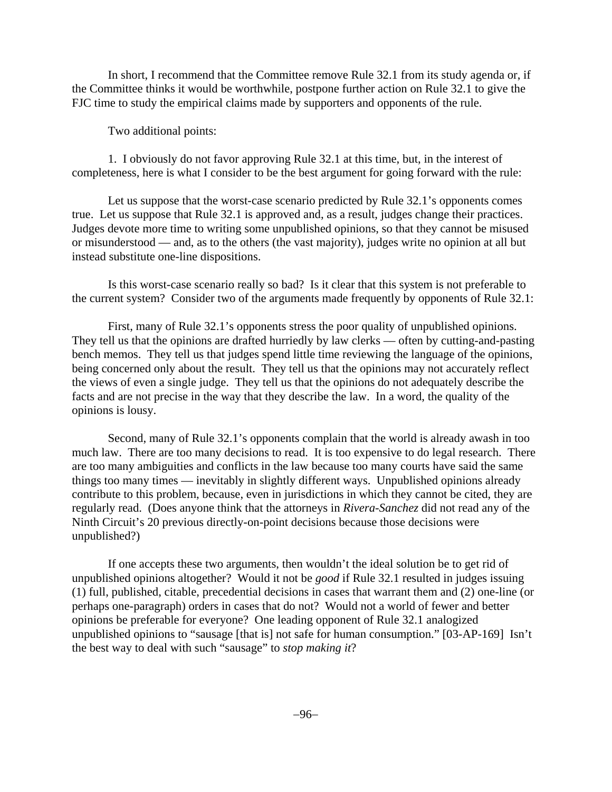In short, I recommend that the Committee remove Rule 32.1 from its study agenda or, if the Committee thinks it would be worthwhile, postpone further action on Rule 32.1 to give the FJC time to study the empirical claims made by supporters and opponents of the rule.

Two additional points:

1. I obviously do not favor approving Rule 32.1 at this time, but, in the interest of completeness, here is what I consider to be the best argument for going forward with the rule:

Let us suppose that the worst-case scenario predicted by Rule 32.1's opponents comes true. Let us suppose that Rule 32.1 is approved and, as a result, judges change their practices. Judges devote more time to writing some unpublished opinions, so that they cannot be misused or misunderstood — and, as to the others (the vast majority), judges write no opinion at all but instead substitute one-line dispositions.

Is this worst-case scenario really so bad? Is it clear that this system is not preferable to the current system? Consider two of the arguments made frequently by opponents of Rule 32.1:

First, many of Rule 32.1's opponents stress the poor quality of unpublished opinions. They tell us that the opinions are drafted hurriedly by law clerks — often by cutting-and-pasting bench memos. They tell us that judges spend little time reviewing the language of the opinions, being concerned only about the result. They tell us that the opinions may not accurately reflect the views of even a single judge. They tell us that the opinions do not adequately describe the facts and are not precise in the way that they describe the law. In a word, the quality of the opinions is lousy.

Second, many of Rule 32.1's opponents complain that the world is already awash in too much law. There are too many decisions to read. It is too expensive to do legal research. There are too many ambiguities and conflicts in the law because too many courts have said the same things too many times — inevitably in slightly different ways. Unpublished opinions already contribute to this problem, because, even in jurisdictions in which they cannot be cited, they are regularly read. (Does anyone think that the attorneys in *Rivera-Sanchez* did not read any of the Ninth Circuit's 20 previous directly-on-point decisions because those decisions were unpublished?)

If one accepts these two arguments, then wouldn't the ideal solution be to get rid of unpublished opinions altogether? Would it not be *good* if Rule 32.1 resulted in judges issuing (1) full, published, citable, precedential decisions in cases that warrant them and (2) one-line (or perhaps one-paragraph) orders in cases that do not? Would not a world of fewer and better opinions be preferable for everyone? One leading opponent of Rule 32.1 analogized unpublished opinions to "sausage [that is] not safe for human consumption." [03-AP-169] Isn't the best way to deal with such "sausage" to *stop making it*?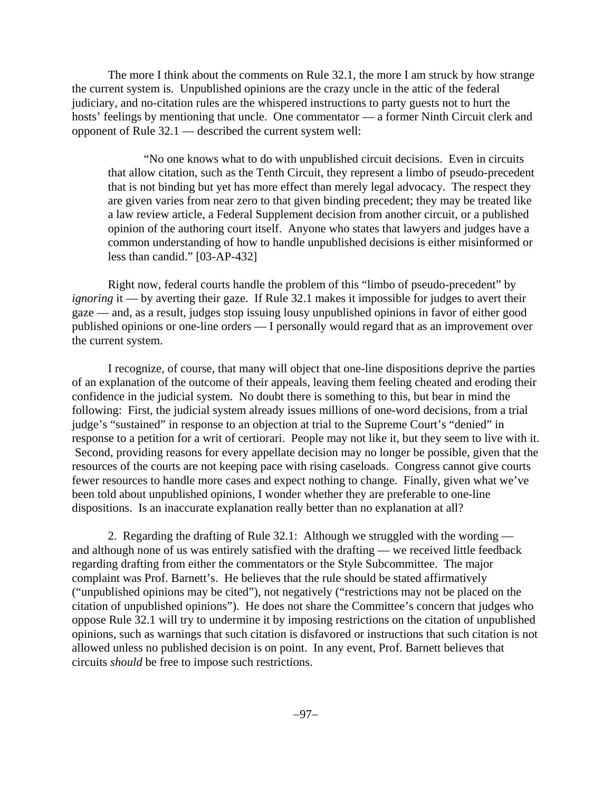The more I think about the comments on Rule 32.1, the more I am struck by how strange the current system is. Unpublished opinions are the crazy uncle in the attic of the federal judiciary, and no-citation rules are the whispered instructions to party guests not to hurt the hosts' feelings by mentioning that uncle. One commentator — a former Ninth Circuit clerk and opponent of Rule 32.1 — described the current system well:

"No one knows what to do with unpublished circuit decisions. Even in circuits that allow citation, such as the Tenth Circuit, they represent a limbo of pseudo-precedent that is not binding but yet has more effect than merely legal advocacy. The respect they are given varies from near zero to that given binding precedent; they may be treated like a law review article, a Federal Supplement decision from another circuit, or a published opinion of the authoring court itself. Anyone who states that lawyers and judges have a common understanding of how to handle unpublished decisions is either misinformed or less than candid." [03-AP-432]

Right now, federal courts handle the problem of this "limbo of pseudo-precedent" by *ignoring* it — by averting their gaze. If Rule 32.1 makes it impossible for judges to avert their gaze — and, as a result, judges stop issuing lousy unpublished opinions in favor of either good published opinions or one-line orders — I personally would regard that as an improvement over the current system.

I recognize, of course, that many will object that one-line dispositions deprive the parties of an explanation of the outcome of their appeals, leaving them feeling cheated and eroding their confidence in the judicial system. No doubt there is something to this, but bear in mind the following: First, the judicial system already issues millions of one-word decisions, from a trial judge's "sustained" in response to an objection at trial to the Supreme Court's "denied" in response to a petition for a writ of certiorari. People may not like it, but they seem to live with it. Second, providing reasons for every appellate decision may no longer be possible, given that the resources of the courts are not keeping pace with rising caseloads. Congress cannot give courts fewer resources to handle more cases and expect nothing to change. Finally, given what we've been told about unpublished opinions, I wonder whether they are preferable to one-line dispositions. Is an inaccurate explanation really better than no explanation at all?

2. Regarding the drafting of Rule 32.1: Although we struggled with the wording and although none of us was entirely satisfied with the drafting — we received little feedback regarding drafting from either the commentators or the Style Subcommittee. The major complaint was Prof. Barnett's. He believes that the rule should be stated affirmatively ("unpublished opinions may be cited"), not negatively ("restrictions may not be placed on the citation of unpublished opinions"). He does not share the Committee's concern that judges who oppose Rule 32.1 will try to undermine it by imposing restrictions on the citation of unpublished opinions, such as warnings that such citation is disfavored or instructions that such citation is not allowed unless no published decision is on point. In any event, Prof. Barnett believes that circuits *should* be free to impose such restrictions.